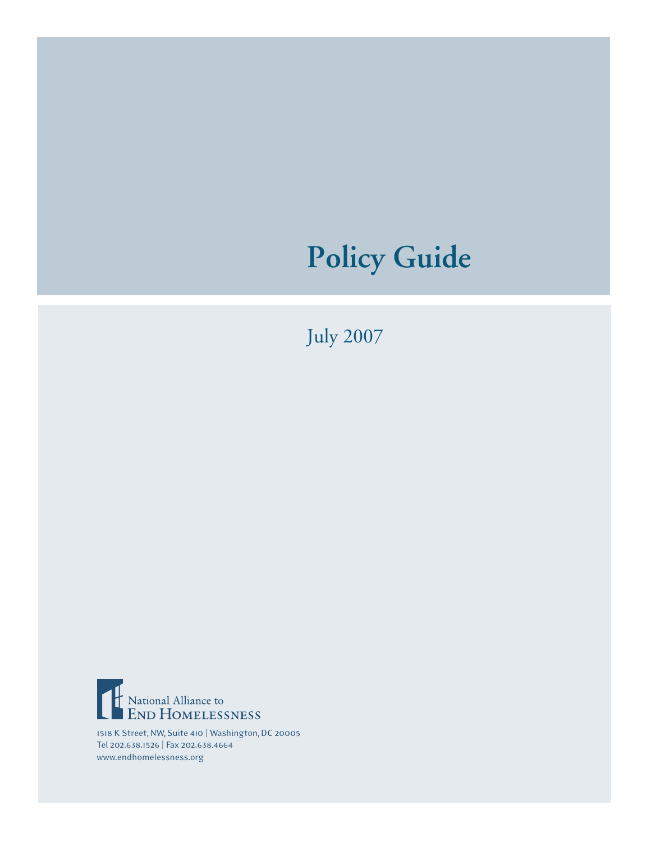# **Policy Guide**

July 2007



1518 K Street, NW, Suite 410 | Washington, DC 20005 Tel 202.638.1526 | Fax 202.638.4664 www.endhomelessness.org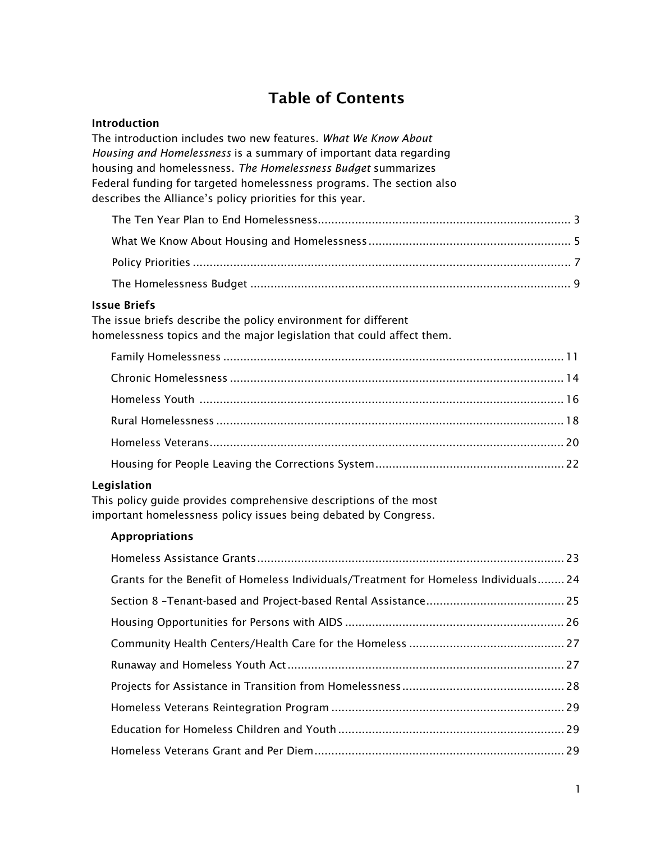# Table of Contents

#### Introduction

| The introduction includes two new features. What We Know About<br>Housing and Homelessness is a summary of important data regarding<br>housing and homelessness. The Homelessness Budget summarizes |  |
|-----------------------------------------------------------------------------------------------------------------------------------------------------------------------------------------------------|--|
| Federal funding for targeted homelessness programs. The section also<br>describes the Alliance's policy priorities for this year.                                                                   |  |
|                                                                                                                                                                                                     |  |
|                                                                                                                                                                                                     |  |
|                                                                                                                                                                                                     |  |
|                                                                                                                                                                                                     |  |
| <b>Issue Briefs</b><br>The issue briefs describe the policy environment for different<br>homelessness topics and the major legislation that could affect them.                                      |  |
|                                                                                                                                                                                                     |  |
|                                                                                                                                                                                                     |  |
|                                                                                                                                                                                                     |  |
|                                                                                                                                                                                                     |  |
|                                                                                                                                                                                                     |  |
|                                                                                                                                                                                                     |  |
| Legislation<br>This policy guide provides comprehensive descriptions of the most<br>important homelessness policy issues being debated by Congress.                                                 |  |
| <b>Appropriations</b>                                                                                                                                                                               |  |

| Grants for the Benefit of Homeless Individuals/Treatment for Homeless Individuals 24 |  |
|--------------------------------------------------------------------------------------|--|
|                                                                                      |  |
|                                                                                      |  |
|                                                                                      |  |
|                                                                                      |  |
|                                                                                      |  |
|                                                                                      |  |
|                                                                                      |  |
|                                                                                      |  |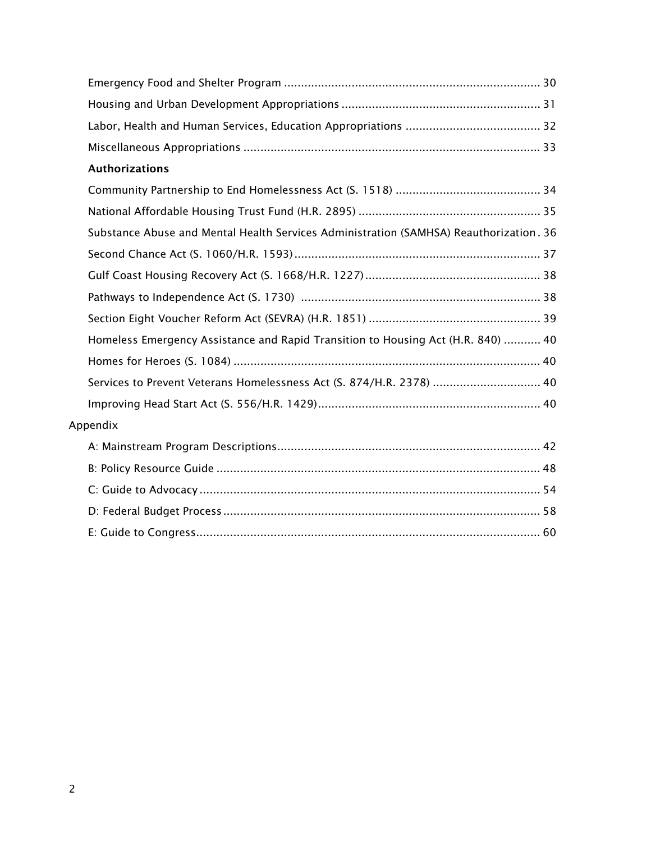| <b>Authorizations</b>                                                                  |  |
|----------------------------------------------------------------------------------------|--|
|                                                                                        |  |
|                                                                                        |  |
| Substance Abuse and Mental Health Services Administration (SAMHSA) Reauthorization. 36 |  |
|                                                                                        |  |
|                                                                                        |  |
|                                                                                        |  |
|                                                                                        |  |
| Homeless Emergency Assistance and Rapid Transition to Housing Act (H.R. 840)  40       |  |
|                                                                                        |  |
| Services to Prevent Veterans Homelessness Act (S. 874/H.R. 2378)  40                   |  |
|                                                                                        |  |
| Appendix                                                                               |  |
|                                                                                        |  |
|                                                                                        |  |
|                                                                                        |  |
|                                                                                        |  |
|                                                                                        |  |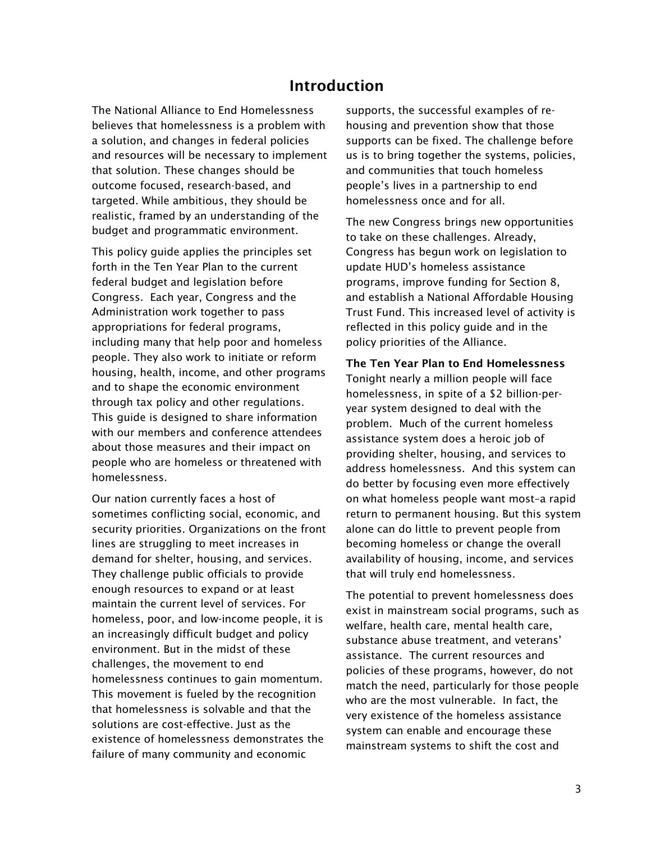## Introduction

The National Alliance to End Homelessness believes that homelessness is a problem with a solution, and changes in federal policies and resources will be necessary to implement that solution. These changes should be outcome focused, research-based, and targeted. While ambitious, they should be realistic, framed by an understanding of the budget and programmatic environment.

This policy guide applies the principles set forth in the Ten Year Plan to the current federal budget and legislation before Congress. Each year, Congress and the Administration work together to pass appropriations for federal programs, including many that help poor and homeless people. They also work to initiate or reform housing, health, income, and other programs and to shape the economic environment through tax policy and other regulations. This guide is designed to share information with our members and conference attendees about those measures and their impact on people who are homeless or threatened with homelessness.

Our nation currently faces a host of sometimes conflicting social, economic, and security priorities. Organizations on the front lines are struggling to meet increases in demand for shelter, housing, and services. They challenge public officials to provide enough resources to expand or at least maintain the current level of services. For homeless, poor, and low-income people, it is an increasingly difficult budget and policy environment. But in the midst of these challenges, the movement to end homelessness continues to gain momentum. This movement is fueled by the recognition that homelessness is solvable and that the solutions are cost-effective. Just as the existence of homelessness demonstrates the failure of many community and economic

supports, the successful examples of rehousing and prevention show that those supports can be fixed. The challenge before us is to bring together the systems, policies, and communities that touch homeless people's lives in a partnership to end homelessness once and for all.

The new Congress brings new opportunities to take on these challenges. Already, Congress has begun work on legislation to update HUD's homeless assistance programs, improve funding for Section 8, and establish a National Affordable Housing Trust Fund. This increased level of activity is reflected in this policy guide and in the policy priorities of the Alliance.

The Ten Year Plan to End Homelessness Tonight nearly a million people will face homelessness, in spite of a \$2 billion-peryear system designed to deal with the problem. Much of the current homeless assistance system does a heroic job of providing shelter, housing, and services to address homelessness. And this system can do better by focusing even more effectively on what homeless people want most–a rapid return to permanent housing. But this system alone can do little to prevent people from becoming homeless or change the overall availability of housing, income, and services that will truly end homelessness.

The potential to prevent homelessness does exist in mainstream social programs, such as welfare, health care, mental health care, substance abuse treatment, and veterans' assistance. The current resources and policies of these programs, however, do not match the need, particularly for those people who are the most vulnerable. In fact, the very existence of the homeless assistance system can enable and encourage these mainstream systems to shift the cost and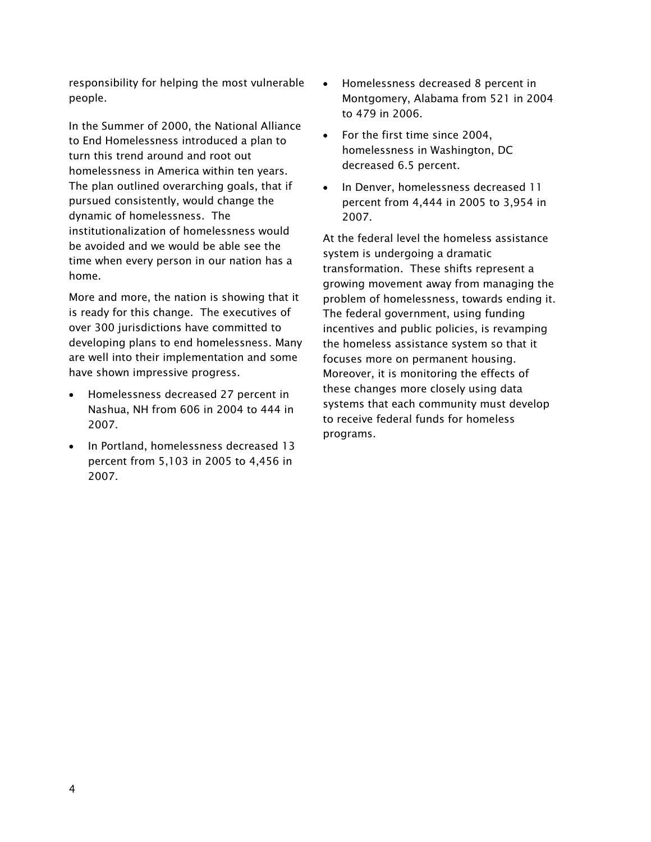responsibility for helping the most vulnerable people.

In the Summer of 2000, the National Alliance to End Homelessness introduced a plan to turn this trend around and root out homelessness in America within ten years. The plan outlined overarching goals, that if pursued consistently, would change the dynamic of homelessness. The institutionalization of homelessness would be avoided and we would be able see the time when every person in our nation has a home.

More and more, the nation is showing that it is ready for this change. The executives of over 300 jurisdictions have committed to developing plans to end homelessness. Many are well into their implementation and some have shown impressive progress.

- - Homelessness decreased 27 percent in Nashua, NH from 606 in 2004 to 444 in 2007.
- In Portland, homelessness decreased 13 percent from 5,103 in 2005 to 4,456 in 2007.
- $\bullet$  Homelessness decreased 8 percent in Montgomery, Alabama from 521 in 2004 to 479 in 2006.
- - For the first time since 2004, homelessness in Washington, DC decreased 6.5 percent.
- In Denver, homelessness decreased 11 percent from 4,444 in 2005 to 3,954 in 2007.

At the federal level the homeless assistance system is undergoing a dramatic transformation. These shifts represent a growing movement away from managing the problem of homelessness, towards ending it. The federal government, using funding incentives and public policies, is revamping the homeless assistance system so that it focuses more on permanent housing. Moreover, it is monitoring the effects of these changes more closely using data systems that each community must develop to receive federal funds for homeless programs.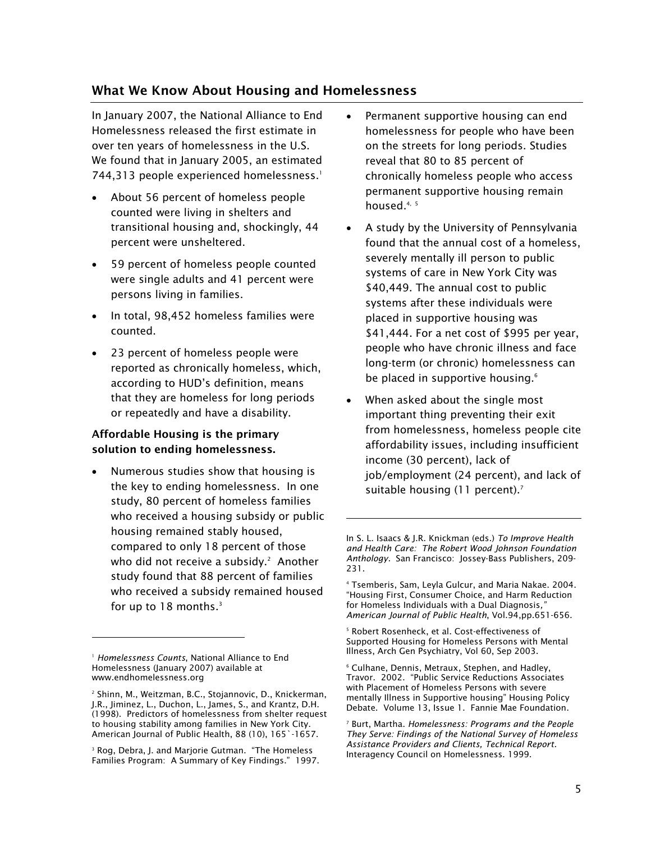#### What We Know About Housing and Homelessness

In January 2007, the National Alliance to End Homelessness released the first estimate in over ten years of homelessness in the U.S. We found that in January 2005, an estimated 744,313 people experienced homelessness.<sup>1</sup>

- - About 56 percent of homeless people counted were living in shelters and transitional housing and, shockingly, 44 percent were unsheltered.
- $\bullet$  59 percent of homeless people counted were single adults and 41 percent were persons living in families.
- - In total, 98,452 homeless families were counted.
- $\bullet$  23 percent of homeless people were reported as chronically homeless, which, according to HUD's definition, means that they are homeless for long periods or repeatedly and have a disability.

#### Affordable Housing is the primary solution to ending homelessness.

- Numerous studies show that housing is the key to ending homelessness. In one study, 80 percent of homeless families who received a housing subsidy or public housing remained stably housed, compared to only 18 percent of those who did not receive a subsidy. $^2$  Another study found that 88 percent of families who received a subsidy remained housed for up to  $18$  months.<sup>3</sup>

l

- - Permanent supportive housing can end homelessness for people who have been on the streets for long periods. Studies reveal that 80 to 85 percent of chronically homeless people who access permanent supportive housing remain housed.<sup>4, 5</sup>
- - A study by the University of Pennsylvania found that the annual cost of a homeless, severely mentally ill person to public systems of care in New York City was \$40,449. The annual cost to public systems after these individuals were placed in supportive housing was \$41,444. For a net cost of \$995 per year, people who have chronic illness and face long-term (or chronic) homelessness can be placed in supportive housing.<sup>6</sup>
- - When asked about the single most important thing preventing their exit from homelessness, homeless people cite affordability issues, including insufficient income (30 percent), lack of job/employment (24 percent), and lack of suitable housing (11 percent).<sup>7</sup>

-

<sup>1</sup> *Homelessness Counts*, National Alliance to End Homelessness (January 2007) available at www.endhomelessness.org

<sup>2</sup> Shinn, M., Weitzman, B.C., Stojannovic, D., Knickerman, J.R., Jiminez, L., Duchon, L., James, S., and Krantz, D.H. (1998). Predictors of homelessness from shelter request to housing stability among families in New York City. American Journal of Public Health, 88 (10), 165`-1657.

<sup>3</sup> Rog, Debra, J. and Marjorie Gutman. "The Homeless Families Program: A Summary of Key Findings." 1997.

In S. L. Isaacs & J.R. Knickman (eds.) *To Improve Health and Health Care: The Robert Wood Johnson Foundation Anthology.* San Francisco: Jossey-Bass Publishers, 209- 231.

<sup>4</sup> Tsemberis, Sam, Leyla Gulcur, and Maria Nakae. 2004. "Housing First, Consumer Choice, and Harm Reduction for Homeless Individuals with a Dual Diagnosis*," American Journal of Public Health*, Vol.94,pp.651-656.

<sup>5</sup> Robert Rosenheck, et al. Cost-effectiveness of Supported Housing for Homeless Persons with Mental Illness, Arch Gen Psychiatry, Vol 60, Sep 2003.

<sup>6</sup> Culhane, Dennis, Metraux, Stephen, and Hadley, Travor. 2002. "Public Service Reductions Associates with Placement of Homeless Persons with severe mentally Illness in Supportive housing" Housing Policy Debate. Volume 13, Issue 1. Fannie Mae Foundation.

<sup>7</sup> Burt, Martha. *Homelessness: Programs and the People They Serve: Findings of the National Survey of Homeless Assistance Providers and Clients, Technical Report.* Interagency Council on Homelessness. 1999.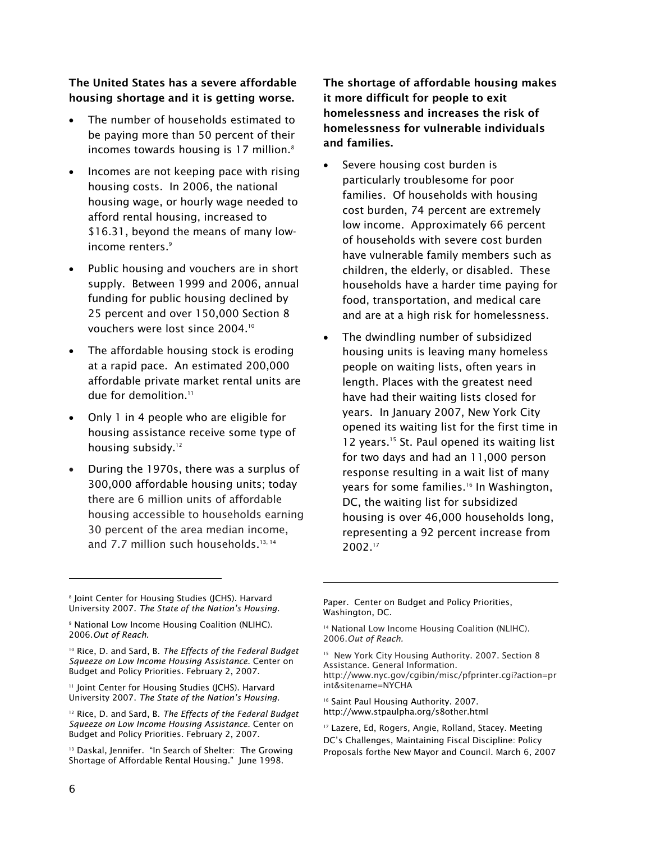#### The United States has a severe affordable housing shortage and it is getting worse.

- - The number of households estimated to be paying more than 50 percent of their incomes towards housing is  $17$  million. $8$
- - Incomes are not keeping pace with rising housing costs. In 2006, the national housing wage, or hourly wage needed to afford rental housing, increased to \$16.31, beyond the means of many lowincome renters.<sup>9</sup>
- - Public housing and vouchers are in short supply. Between 1999 and 2006, annual funding for public housing declined by 25 percent and over 150,000 Section 8 vouchers were lost since 2004.10
- - The affordable housing stock is eroding at a rapid pace. An estimated 200,000 affordable private market rental units are due for demolition.<sup>11</sup>
- - Only 1 in 4 people who are eligible for housing assistance receive some type of housing subsidy.<sup>12</sup>
- - During the 1970s, there was a surplus of 300,000 affordable housing units; today there are 6 million units of affordable housing accessible to households earning 30 percent of the area median income, and 7.7 million such households.<sup>13, 14</sup>

The shortage of affordable housing makes it more difficult for people to exit homelessness and increases the risk of homelessness for vulnerable individuals and families.

- - Severe housing cost burden is particularly troublesome for poor families. Of households with housing cost burden, 74 percent are extremely low income. Approximately 66 percent of households with severe cost burden have vulnerable family members such as children, the elderly, or disabled. These households have a harder time paying for food, transportation, and medical care and are at a high risk for homelessness.
- - The dwindling number of subsidized housing units is leaving many homeless people on waiting lists, often years in length. Places with the greatest need have had their waiting lists closed for years. In January 2007, New York City opened its waiting list for the first time in 12 years.<sup>15</sup> St. Paul opened its waiting list for two days and had an 11,000 person response resulting in a wait list of many years for some families.<sup>16</sup> In Washington, DC, the waiting list for subsidized housing is over 46,000 households long, representing a 92 percent increase from 2002.17

8 Joint Center for Housing Studies (JCHS). Harvard University 2007. *The State of the Nation's Housing.* 

<sup>11</sup> Joint Center for Housing Studies (JCHS). Harvard University 2007. *The State of the Nation's Housing.* 

12 Rice, D. and Sard, B. *The Effects of the Federal Budget Squeeze on Low Income Housing Assistance.* Center on Budget and Policy Priorities. February 2, 2007.

Paper. Center on Budget and Policy Priorities, Washington, DC.

<sup>15</sup> New York City Housing Authority. 2007. Section 8 Assistance. General Information. http://www.nyc.gov/cgibin/misc/pfprinter.cgi?action=pr int&sitename=NYCHA

<sup>16</sup> Saint Paul Housing Authority. 2007. http://www.stpaulpha.org/s8other.html

<sup>17</sup> Lazere, Ed, Rogers, Angie, Rolland, Stacey. Meeting DC's Challenges, Maintaining Fiscal Discipline: Policy Proposals forthe New Mayor and Council. March 6, 2007

<sup>9</sup> National Low Income Housing Coalition (NLIHC). 2006.*Out of Reach.*

<sup>10</sup> Rice, D. and Sard, B. *The Effects of the Federal Budget Squeeze on Low Income Housing Assistance.* Center on Budget and Policy Priorities. February 2, 2007.

<sup>&</sup>lt;sup>13</sup> Daskal, Jennifer. "In Search of Shelter: The Growing Shortage of Affordable Rental Housing." June 1998.

<sup>&</sup>lt;sup>14</sup> National Low Income Housing Coalition (NLIHC). 2006.*Out of Reach.*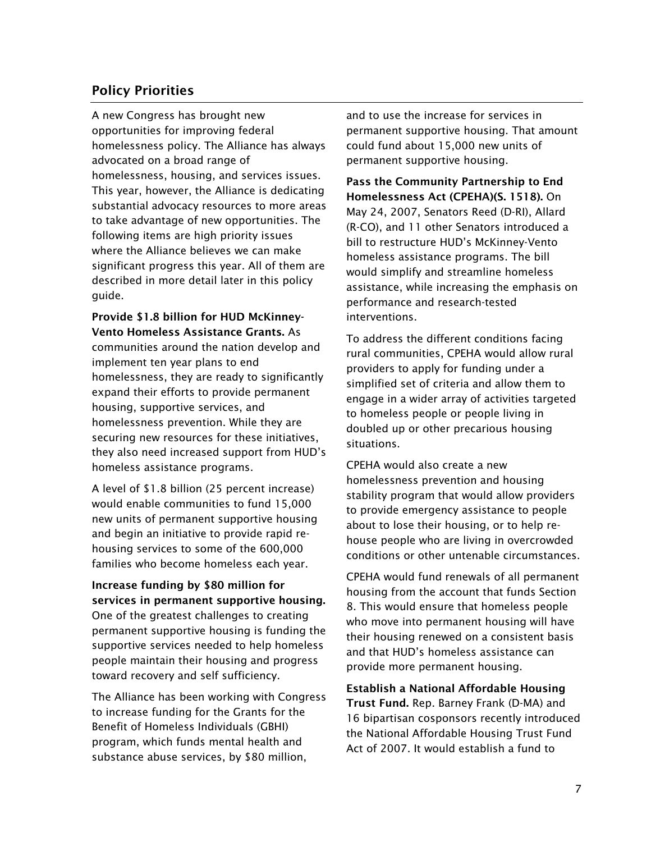## Policy Priorities

A new Congress has brought new opportunities for improving federal homelessness policy. The Alliance has always advocated on a broad range of homelessness, housing, and services issues. This year, however, the Alliance is dedicating substantial advocacy resources to more areas to take advantage of new opportunities. The following items are high priority issues where the Alliance believes we can make significant progress this year. All of them are described in more detail later in this policy guide.

Provide \$1.8 billion for HUD McKinney-Vento Homeless Assistance Grants. As communities around the nation develop and implement ten year plans to end homelessness, they are ready to significantly expand their efforts to provide permanent housing, supportive services, and homelessness prevention. While they are securing new resources for these initiatives, they also need increased support from HUD's homeless assistance programs.

A level of \$1.8 billion (25 percent increase) would enable communities to fund 15,000 new units of permanent supportive housing and begin an initiative to provide rapid rehousing services to some of the 600,000 families who become homeless each year.

Increase funding by \$80 million for services in permanent supportive housing. One of the greatest challenges to creating permanent supportive housing is funding the supportive services needed to help homeless people maintain their housing and progress toward recovery and self sufficiency.

The Alliance has been working with Congress to increase funding for the Grants for the Benefit of Homeless Individuals (GBHI) program, which funds mental health and substance abuse services, by \$80 million,

and to use the increase for services in permanent supportive housing. That amount could fund about 15,000 new units of permanent supportive housing.

Pass the Community Partnership to End Homelessness Act (CPEHA)(S. 1518). On May 24, 2007, Senators Reed (D-RI), Allard (R-CO), and 11 other Senators introduced a bill to restructure HUD's McKinney-Vento homeless assistance programs. The bill would simplify and streamline homeless assistance, while increasing the emphasis on performance and research-tested interventions.

To address the different conditions facing rural communities, CPEHA would allow rural providers to apply for funding under a simplified set of criteria and allow them to engage in a wider array of activities targeted to homeless people or people living in doubled up or other precarious housing situations.

CPEHA would also create a new homelessness prevention and housing stability program that would allow providers to provide emergency assistance to people about to lose their housing, or to help rehouse people who are living in overcrowded conditions or other untenable circumstances.

CPEHA would fund renewals of all permanent housing from the account that funds Section 8. This would ensure that homeless people who move into permanent housing will have their housing renewed on a consistent basis and that HUD's homeless assistance can provide more permanent housing.

Establish a National Affordable Housing Trust Fund. Rep. Barney Frank (D-MA) and 16 bipartisan cosponsors recently introduced the National Affordable Housing Trust Fund Act of 2007. It would establish a fund to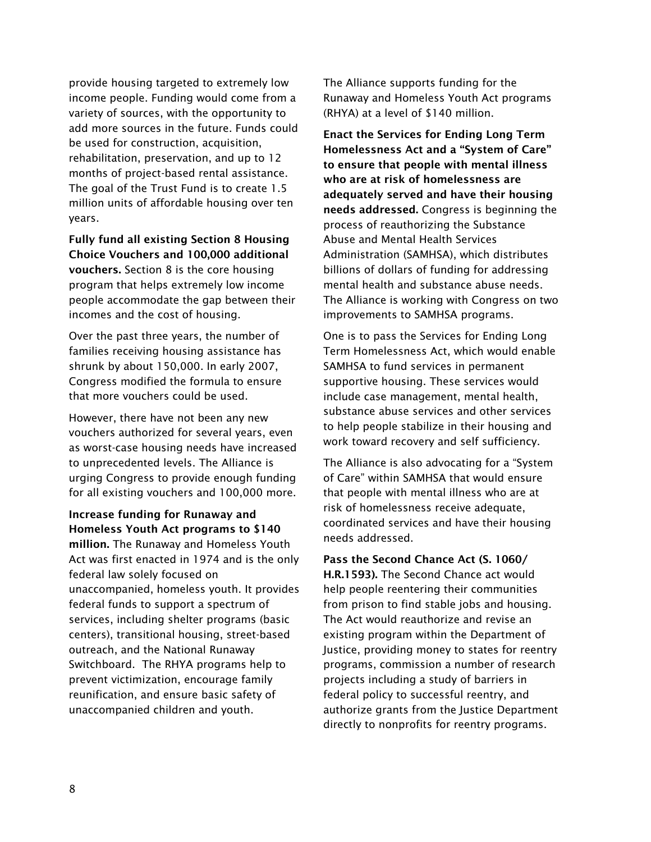provide housing targeted to extremely low income people. Funding would come from a variety of sources, with the opportunity to add more sources in the future. Funds could be used for construction, acquisition, rehabilitation, preservation, and up to 12 months of project-based rental assistance. The goal of the Trust Fund is to create 1.5 million units of affordable housing over ten years.

Fully fund all existing Section 8 Housing Choice Vouchers and 100,000 additional vouchers. Section 8 is the core housing program that helps extremely low income people accommodate the gap between their incomes and the cost of housing.

Over the past three years, the number of families receiving housing assistance has shrunk by about 150,000. In early 2007, Congress modified the formula to ensure that more vouchers could be used.

However, there have not been any new vouchers authorized for several years, even as worst-case housing needs have increased to unprecedented levels. The Alliance is urging Congress to provide enough funding for all existing vouchers and 100,000 more.

Increase funding for Runaway and Homeless Youth Act programs to \$140 million. The Runaway and Homeless Youth Act was first enacted in 1974 and is the only federal law solely focused on unaccompanied, homeless youth. It provides federal funds to support a spectrum of services, including shelter programs (basic centers), transitional housing, street-based outreach, and the National Runaway Switchboard. The RHYA programs help to prevent victimization, encourage family reunification, and ensure basic safety of unaccompanied children and youth.

The Alliance supports funding for the Runaway and Homeless Youth Act programs (RHYA) at a level of \$140 million.

Enact the Services for Ending Long Term Homelessness Act and a "System of Care" to ensure that people with mental illness who are at risk of homelessness are adequately served and have their housing needs addressed. Congress is beginning the process of reauthorizing the Substance Abuse and Mental Health Services Administration (SAMHSA), which distributes billions of dollars of funding for addressing mental health and substance abuse needs. The Alliance is working with Congress on two improvements to SAMHSA programs.

One is to pass the Services for Ending Long Term Homelessness Act, which would enable SAMHSA to fund services in permanent supportive housing. These services would include case management, mental health, substance abuse services and other services to help people stabilize in their housing and work toward recovery and self sufficiency.

The Alliance is also advocating for a "System of Care" within SAMHSA that would ensure that people with mental illness who are at risk of homelessness receive adequate, coordinated services and have their housing needs addressed.

Pass the Second Chance Act (S. 1060/ H.R.1593). The Second Chance act would help people reentering their communities from prison to find stable jobs and housing. The Act would reauthorize and revise an existing program within the Department of Justice, providing money to states for reentry programs, commission a number of research projects including a study of barriers in federal policy to successful reentry, and authorize grants from the Justice Department directly to nonprofits for reentry programs.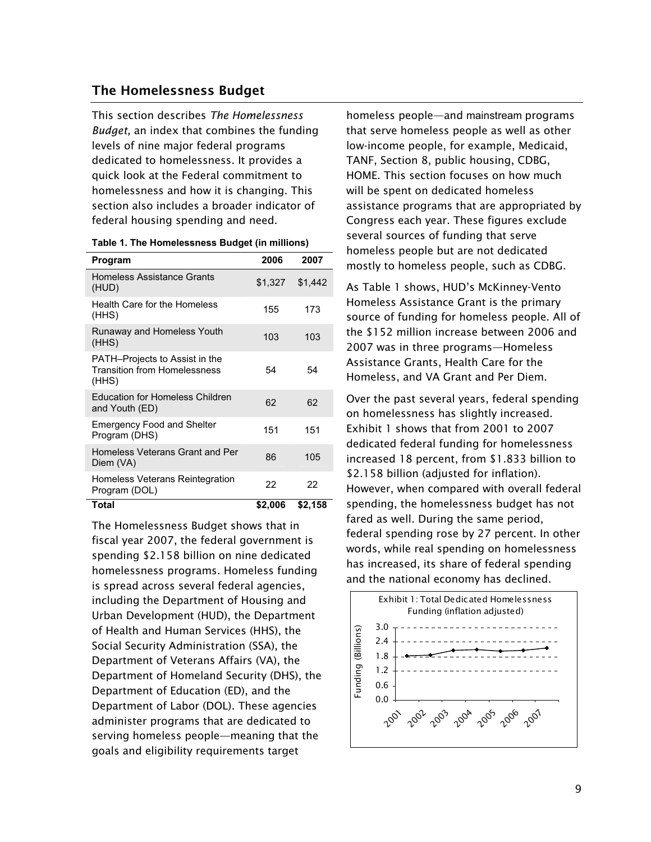#### The Homelessness Budget

This section describes *The Homelessness Budget,* an index that combines the funding levels of nine major federal programs dedicated to homelessness. It provides a quick look at the Federal commitment to homelessness and how it is changing. This section also includes a broader indicator of federal housing spending and need.

| Program                                                                        | 2006    | 2007    |
|--------------------------------------------------------------------------------|---------|---------|
| <b>Homeless Assistance Grants</b><br>(HUD)                                     | \$1,327 | \$1,442 |
| <b>Health Care for the Homeless</b><br>(HHS)                                   | 155     | 173     |
| <b>Runaway and Homeless Youth</b><br>(HHS)                                     | 103     | 103     |
| PATH-Projects to Assist in the<br><b>Transition from Homelessness</b><br>(HHS) | 54      | 54      |
| <b>Education for Homeless Children</b><br>and Youth (ED)                       | 62      | 62      |
| <b>Emergency Food and Shelter</b><br>Program (DHS)                             | 151     | 151     |
| Homeless Veterans Grant and Per<br>Diem (VA)                                   | 86      | 105     |
| Homeless Veterans Reintegration<br>Program (DOL)                               | 22      | 22      |
| Total                                                                          | \$2,006 | \$2,158 |

The Homelessness Budget shows that in fiscal year 2007, the federal government is spending \$2.158 billion on nine dedicated homelessness programs. Homeless funding is spread across several federal agencies, including the Department of Housing and Urban Development (HUD), the Department of Health and Human Services (HHS), the Social Security Administration (SSA), the Department of Veterans Affairs (VA), the Department of Homeland Security (DHS), the Department of Education (ED), and the Department of Labor (DOL). These agencies administer programs that are dedicated to serving homeless people—meaning that the goals and eligibility requirements target

homeless people—and mainstream programs that serve homeless people as well as other low-income people, for example, Medicaid, TANF, Section 8, public housing, CDBG, HOME. This section focuses on how much will be spent on dedicated homeless assistance programs that are appropriated by Congress each year. These figures exclude several sources of funding that serve homeless people but are not dedicated mostly to homeless people, such as CDBG.

As Table 1 shows, HUD's McKinney-Vento Homeless Assistance Grant is the primary source of funding for homeless people. All of the \$152 million increase between 2006 and 2007 was in three programs—Homeless Assistance Grants, Health Care for the Homeless, and VA Grant and Per Diem.

Over the past several years, federal spending on homelessness has slightly increased. Exhibit 1 shows that from 2001 to 2007 dedicated federal funding for homelessness increased 18 percent, from \$1.833 billion to \$2.158 billion (adjusted for inflation). However, when compared with overall federal spending, the homelessness budget has not fared as well. During the same period, federal spending rose by 27 percent. In other words, while real spending on homelessness has increased, its share of federal spending and the national economy has declined.

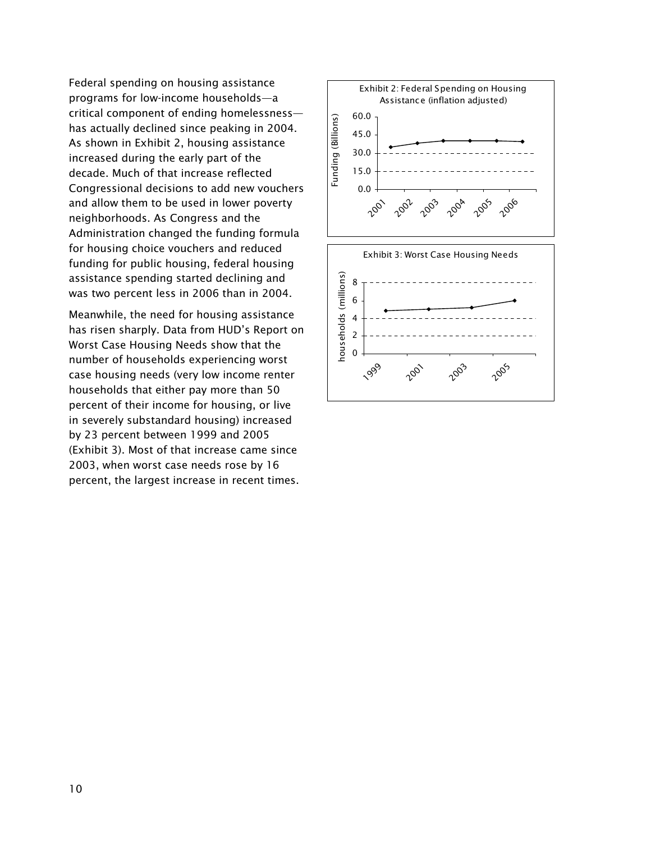Federal spending on housing assistance programs for low-income households—a critical component of ending homelessness has actually declined since peaking in 2004. As shown in Exhibit 2, housing assistance increased during the early part of the decade. Much of that increase reflected Congressional decisions to add new vouchers and allow them to be used in lower poverty neighborhoods. As Congress and the Administration changed the funding formula for housing choice vouchers and reduced funding for public housing, federal housing assistance spending started declining and was two percent less in 2006 than in 2004.

Meanwhile, the need for housing assistance has risen sharply. Data from HUD's Report on Worst Case Housing Needs show that the number of households experiencing worst case housing needs (very low income renter households that either pay more than 50 percent of their income for housing, or live in severely substandard housing) increased by 23 percent between 1999 and 2005 (Exhibit 3). Most of that increase came since 2003, when worst case needs rose by 16 percent, the largest increase in recent times.



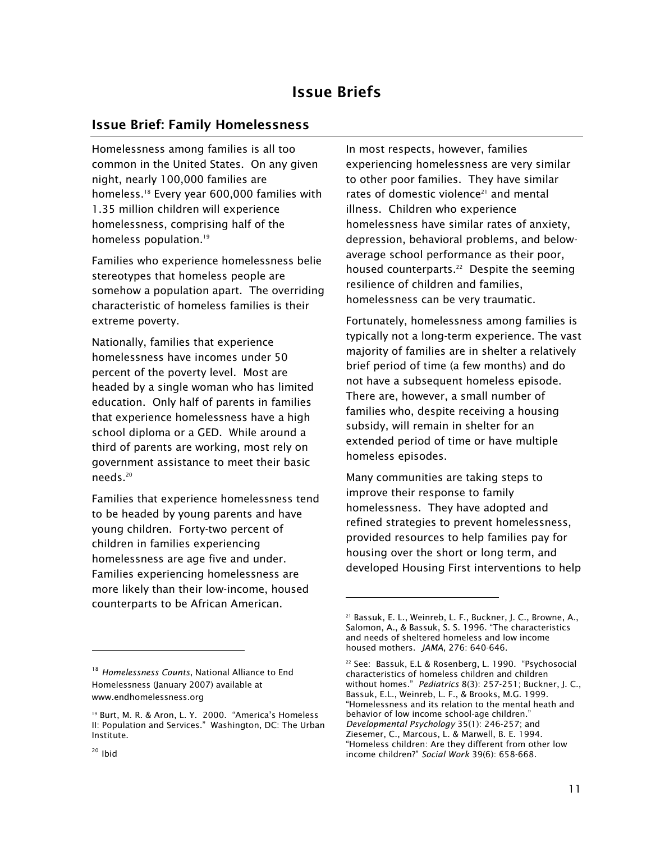## Issue Briefs

#### Issue Brief: Family Homelessness

Homelessness among families is all too common in the United States. On any given night, nearly 100,000 families are homeless.18 Every year 600,000 families with 1.35 million children will experience homelessness, comprising half of the homeless population.<sup>19</sup>

Families who experience homelessness belie stereotypes that homeless people are somehow a population apart. The overriding characteristic of homeless families is their extreme poverty.

Nationally, families that experience homelessness have incomes under 50 percent of the poverty level. Most are headed by a single woman who has limited education. Only half of parents in families that experience homelessness have a high school diploma or a GED. While around a third of parents are working, most rely on government assistance to meet their basic needs.20

Families that experience homelessness tend to be headed by young parents and have young children. Forty-two percent of children in families experiencing homelessness are age five and under. Families experiencing homelessness are more likely than their low-income, housed counterparts to be African American.

In most respects, however, families experiencing homelessness are very similar to other poor families. They have similar rates of domestic violence $21$  and mental illness. Children who experience homelessness have similar rates of anxiety, depression, behavioral problems, and belowaverage school performance as their poor, housed counterparts.<sup>22</sup> Despite the seeming resilience of children and families, homelessness can be very traumatic.

Fortunately, homelessness among families is typically not a long-term experience. The vast majority of families are in shelter a relatively brief period of time (a few months) and do not have a subsequent homeless episode. There are, however, a small number of families who, despite receiving a housing subsidy, will remain in shelter for an extended period of time or have multiple homeless episodes.

Many communities are taking steps to improve their response to family homelessness. They have adopted and refined strategies to prevent homelessness, provided resources to help families pay for housing over the short or long term, and developed Housing First interventions to help

l

<sup>18</sup> *Homelessness Counts*, National Alliance to End Homelessness (January 2007) available at www.endhomelessness.org

<sup>&</sup>lt;sup>19</sup> Burt, M. R. & Aron, L. Y. 2000. "America's Homeless II: Population and Services." Washington, DC: The Urban Institute.

<sup>21</sup> Bassuk, E. L., Weinreb, L. F., Buckner, J. C., Browne, A., Salomon, A., & Bassuk, S. S. 1996. "The characteristics and needs of sheltered homeless and low income housed mothers. *JAMA*, 276: 640-646.

<sup>22</sup> See: Bassuk, E.L & Rosenberg, L. 1990. "Psychosocial characteristics of homeless children and children without homes." *Pediatrics* 8(3): 257-251; Buckner, J. C., Bassuk, E.L., Weinreb, L. F., & Brooks, M.G. 1999. "Homelessness and its relation to the mental heath and behavior of low income school-age children." *Developmental Psychology* 35(1): 246-257; and Ziesemer, C., Marcous, L. & Marwell, B. E. 1994. "Homeless children: Are they different from other low income children?" *Social Work* 39(6): 658-668.

 $20$  Ibid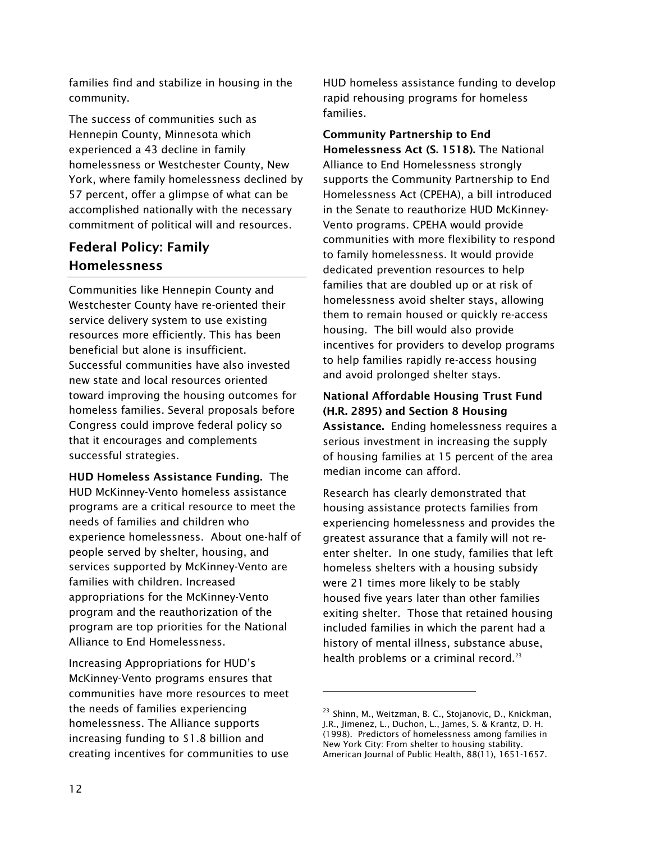families find and stabilize in housing in the community.

The success of communities such as Hennepin County, Minnesota which experienced a 43 decline in family homelessness or Westchester County, New York, where family homelessness declined by 57 percent, offer a glimpse of what can be accomplished nationally with the necessary commitment of political will and resources.

## Federal Policy: Family Homelessness

Communities like Hennepin County and Westchester County have re-oriented their service delivery system to use existing resources more efficiently. This has been beneficial but alone is insufficient. Successful communities have also invested new state and local resources oriented toward improving the housing outcomes for homeless families. Several proposals before Congress could improve federal policy so that it encourages and complements successful strategies.

HUD Homeless Assistance Funding. The HUD McKinney-Vento homeless assistance programs are a critical resource to meet the needs of families and children who experience homelessness. About one-half of people served by shelter, housing, and services supported by McKinney-Vento are families with children. Increased appropriations for the McKinney-Vento program and the reauthorization of the program are top priorities for the National Alliance to End Homelessness.

Increasing Appropriations for HUD's McKinney-Vento programs ensures that communities have more resources to meet the needs of families experiencing homelessness. The Alliance supports increasing funding to \$1.8 billion and creating incentives for communities to use HUD homeless assistance funding to develop rapid rehousing programs for homeless families.

Community Partnership to End Homelessness Act (S. 1518). The National Alliance to End Homelessness strongly supports the Community Partnership to End Homelessness Act (CPEHA), a bill introduced in the Senate to reauthorize HUD McKinney-Vento programs. CPEHA would provide communities with more flexibility to respond to family homelessness. It would provide dedicated prevention resources to help families that are doubled up or at risk of homelessness avoid shelter stays, allowing them to remain housed or quickly re-access housing. The bill would also provide incentives for providers to develop programs to help families rapidly re-access housing and avoid prolonged shelter stays.

## National Affordable Housing Trust Fund (H.R. 2895) and Section 8 Housing

Assistance. Ending homelessness requires a serious investment in increasing the supply of housing families at 15 percent of the area median income can afford.

Research has clearly demonstrated that housing assistance protects families from experiencing homelessness and provides the greatest assurance that a family will not reenter shelter. In one study, families that left homeless shelters with a housing subsidy were 21 times more likely to be stably housed five years later than other families exiting shelter. Those that retained housing included families in which the parent had a history of mental illness, substance abuse, health problems or a criminal record.<sup>23</sup>

1

<sup>&</sup>lt;sup>23</sup> Shinn, M., Weitzman, B. C., Stojanovic, D., Knickman, J.R., Jimenez, L., Duchon, L., James, S. & Krantz, D. H. (1998). Predictors of homelessness among families in New York City: From shelter to housing stability. American Journal of Public Health, 88(11), 1651-1657.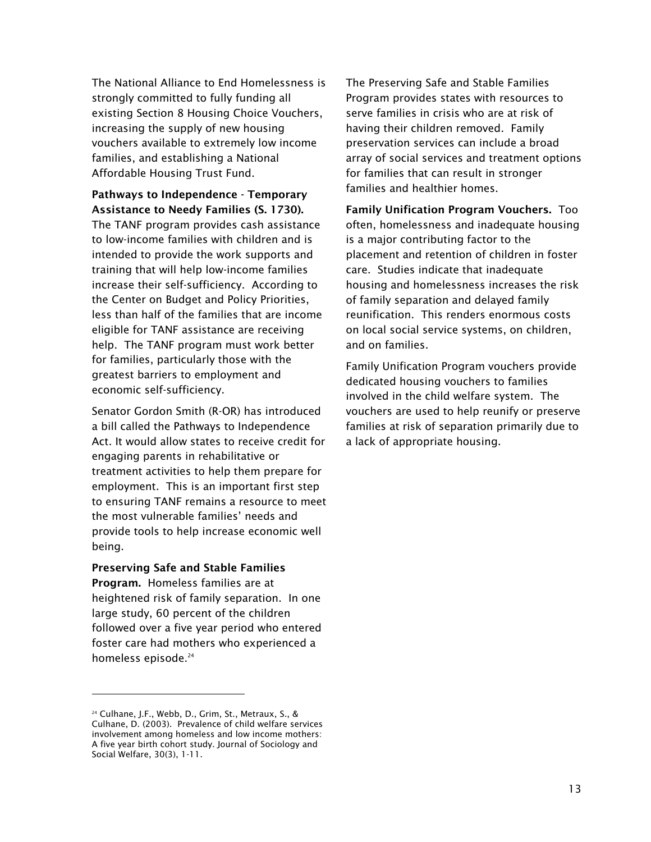The National Alliance to End Homelessness is strongly committed to fully funding all existing Section 8 Housing Choice Vouchers, increasing the supply of new housing vouchers available to extremely low income families, and establishing a National Affordable Housing Trust Fund.

Pathways to Independence - Temporary Assistance to Needy Families (S. 1730).

The TANF program provides cash assistance to low-income families with children and is intended to provide the work supports and training that will help low-income families increase their self-sufficiency. According to the Center on Budget and Policy Priorities, less than half of the families that are income eligible for TANF assistance are receiving help. The TANF program must work better for families, particularly those with the greatest barriers to employment and economic self-sufficiency.

Senator Gordon Smith (R-OR) has introduced a bill called the Pathways to Independence Act. It would allow states to receive credit for engaging parents in rehabilitative or treatment activities to help them prepare for employment. This is an important first step to ensuring TANF remains a resource to meet the most vulnerable families' needs and provide tools to help increase economic well being.

#### Preserving Safe and Stable Families

Program. Homeless families are at heightened risk of family separation. In one large study, 60 percent of the children followed over a five year period who entered foster care had mothers who experienced a homeless episode.<sup>24</sup>

The Preserving Safe and Stable Families Program provides states with resources to serve families in crisis who are at risk of having their children removed. Family preservation services can include a broad array of social services and treatment options for families that can result in stronger families and healthier homes.

Family Unification Program Vouchers. Too often, homelessness and inadequate housing is a major contributing factor to the placement and retention of children in foster care. Studies indicate that inadequate housing and homelessness increases the risk of family separation and delayed family reunification. This renders enormous costs on local social service systems, on children, and on families.

Family Unification Program vouchers provide dedicated housing vouchers to families involved in the child welfare system. The vouchers are used to help reunify or preserve families at risk of separation primarily due to a lack of appropriate housing.

<sup>24</sup> Culhane, J.F., Webb, D., Grim, St., Metraux, S., & Culhane, D. (2003). Prevalence of child welfare services involvement among homeless and low income mothers: A five year birth cohort study. Journal of Sociology and Social Welfare, 30(3), 1-11.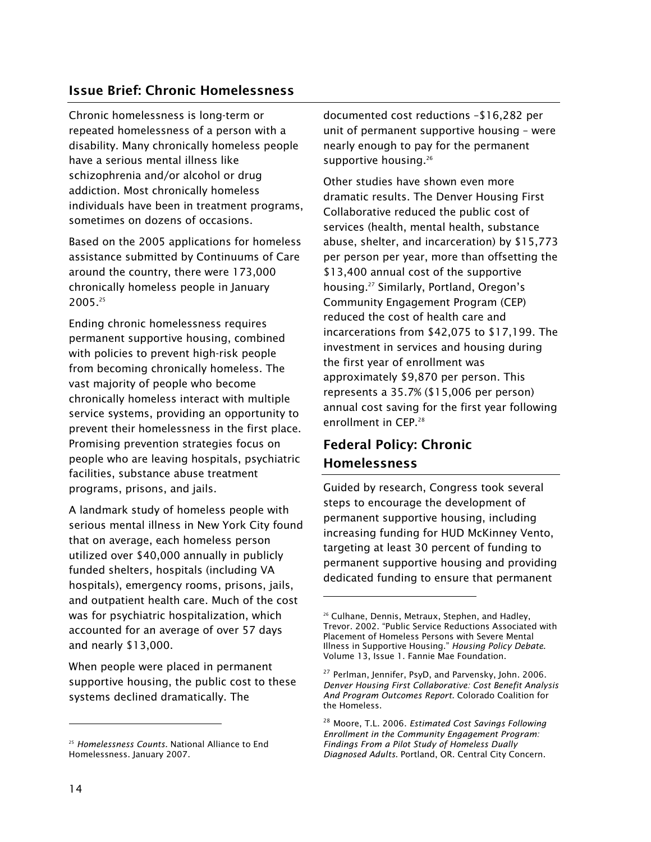## Issue Brief: Chronic Homelessness

Chronic homelessness is long-term or repeated homelessness of a person with a disability. Many chronically homeless people have a serious mental illness like schizophrenia and/or alcohol or drug addiction. Most chronically homeless individuals have been in treatment programs, sometimes on dozens of occasions.

Based on the 2005 applications for homeless assistance submitted by Continuums of Care around the country, there were 173,000 chronically homeless people in January 2005.25

Ending chronic homelessness requires permanent supportive housing, combined with policies to prevent high-risk people from becoming chronically homeless. The vast majority of people who become chronically homeless interact with multiple service systems, providing an opportunity to prevent their homelessness in the first place. Promising prevention strategies focus on people who are leaving hospitals, psychiatric facilities, substance abuse treatment programs, prisons, and jails.

A landmark study of homeless people with serious mental illness in New York City found that on average, each homeless person utilized over \$40,000 annually in publicly funded shelters, hospitals (including VA hospitals), emergency rooms, prisons, jails, and outpatient health care. Much of the cost was for psychiatric hospitalization, which accounted for an average of over 57 days and nearly \$13,000.

When people were placed in permanent supportive housing, the public cost to these systems declined dramatically. The

documented cost reductions –\$16,282 per unit of permanent supportive housing – were nearly enough to pay for the permanent supportive housing.<sup>26</sup>

Other studies have shown even more dramatic results. The Denver Housing First Collaborative reduced the public cost of services (health, mental health, substance abuse, shelter, and incarceration) by \$15,773 per person per year, more than offsetting the \$13,400 annual cost of the supportive housing.27 Similarly, Portland, Oregon's Community Engagement Program (CEP) reduced the cost of health care and incarcerations from \$42,075 to \$17,199. The investment in services and housing during the first year of enrollment was approximately \$9,870 per person. This represents a 35.7% (\$15,006 per person) annual cost saving for the first year following enrollment in CEP.<sup>28</sup>

## Federal Policy: Chronic Homelessness

l

Guided by research, Congress took several steps to encourage the development of permanent supportive housing, including increasing funding for HUD McKinney Vento, targeting at least 30 percent of funding to permanent supportive housing and providing dedicated funding to ensure that permanent

ł

<sup>25</sup> *Homelessness Counts.* National Alliance to End Homelessness. January 2007.

<sup>&</sup>lt;sup>26</sup> Culhane, Dennis, Metraux, Stephen, and Hadley, Trevor. 2002. "Public Service Reductions Associated with Placement of Homeless Persons with Severe Mental Illness in Supportive Housing." *Housing Policy Debate.*  Volume 13, Issue 1. Fannie Mae Foundation.

<sup>&</sup>lt;sup>27</sup> Perlman, Jennifer, PsyD, and Parvensky, John. 2006. *Denver Housing First Collaborative: Cost Benefit Analysis And Program Outcomes Report.* Colorado Coalition for the Homeless.

<sup>28</sup> Moore, T.L. 2006. *Estimated Cost Savings Following Enrollment in the Community Engagement Program: Findings From a Pilot Study of Homeless Dually Diagnosed Adults.* Portland, OR. Central City Concern.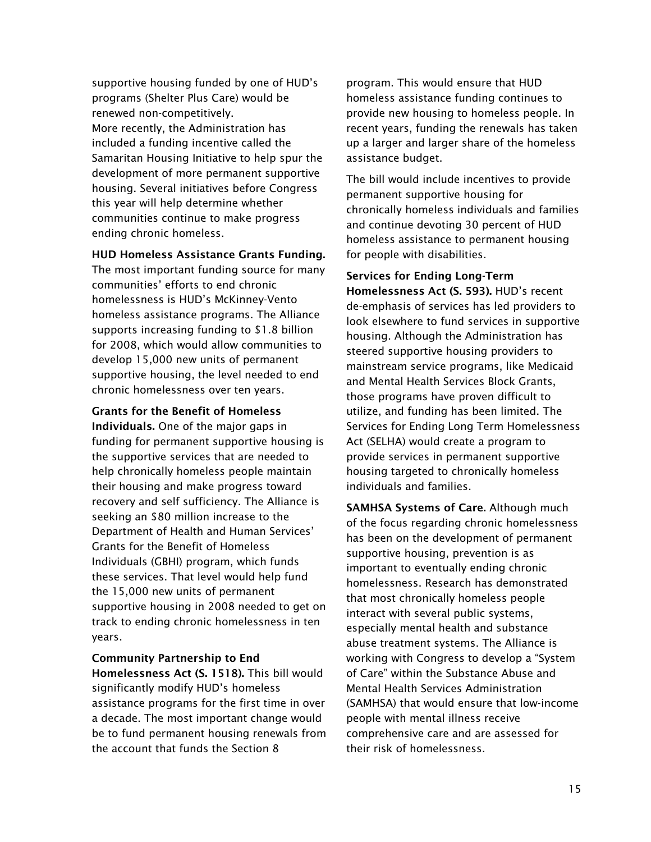supportive housing funded by one of HUD's programs (Shelter Plus Care) would be renewed non-competitively. More recently, the Administration has included a funding incentive called the Samaritan Housing Initiative to help spur the development of more permanent supportive housing. Several initiatives before Congress this year will help determine whether communities continue to make progress ending chronic homeless.

#### HUD Homeless Assistance Grants Funding.

The most important funding source for many communities' efforts to end chronic homelessness is HUD's McKinney-Vento homeless assistance programs. The Alliance supports increasing funding to \$1.8 billion for 2008, which would allow communities to develop 15,000 new units of permanent supportive housing, the level needed to end chronic homelessness over ten years.

Grants for the Benefit of Homeless Individuals. One of the major gaps in funding for permanent supportive housing is the supportive services that are needed to help chronically homeless people maintain their housing and make progress toward recovery and self sufficiency. The Alliance is seeking an \$80 million increase to the Department of Health and Human Services' Grants for the Benefit of Homeless Individuals (GBHI) program, which funds these services. That level would help fund the 15,000 new units of permanent supportive housing in 2008 needed to get on track to ending chronic homelessness in ten years.

Community Partnership to End Homelessness Act (S. 1518). This bill would significantly modify HUD's homeless assistance programs for the first time in over a decade. The most important change would be to fund permanent housing renewals from the account that funds the Section 8

program. This would ensure that HUD homeless assistance funding continues to provide new housing to homeless people. In recent years, funding the renewals has taken up a larger and larger share of the homeless assistance budget.

The bill would include incentives to provide permanent supportive housing for chronically homeless individuals and families and continue devoting 30 percent of HUD homeless assistance to permanent housing for people with disabilities.

Services for Ending Long-Term Homelessness Act (S. 593). HUD's recent de-emphasis of services has led providers to look elsewhere to fund services in supportive housing. Although the Administration has steered supportive housing providers to mainstream service programs, like Medicaid and Mental Health Services Block Grants, those programs have proven difficult to utilize, and funding has been limited. The Services for Ending Long Term Homelessness Act (SELHA) would create a program to provide services in permanent supportive housing targeted to chronically homeless individuals and families.

SAMHSA Systems of Care. Although much of the focus regarding chronic homelessness has been on the development of permanent supportive housing, prevention is as important to eventually ending chronic homelessness. Research has demonstrated that most chronically homeless people interact with several public systems, especially mental health and substance abuse treatment systems. The Alliance is working with Congress to develop a "System of Care" within the Substance Abuse and Mental Health Services Administration (SAMHSA) that would ensure that low-income people with mental illness receive comprehensive care and are assessed for their risk of homelessness.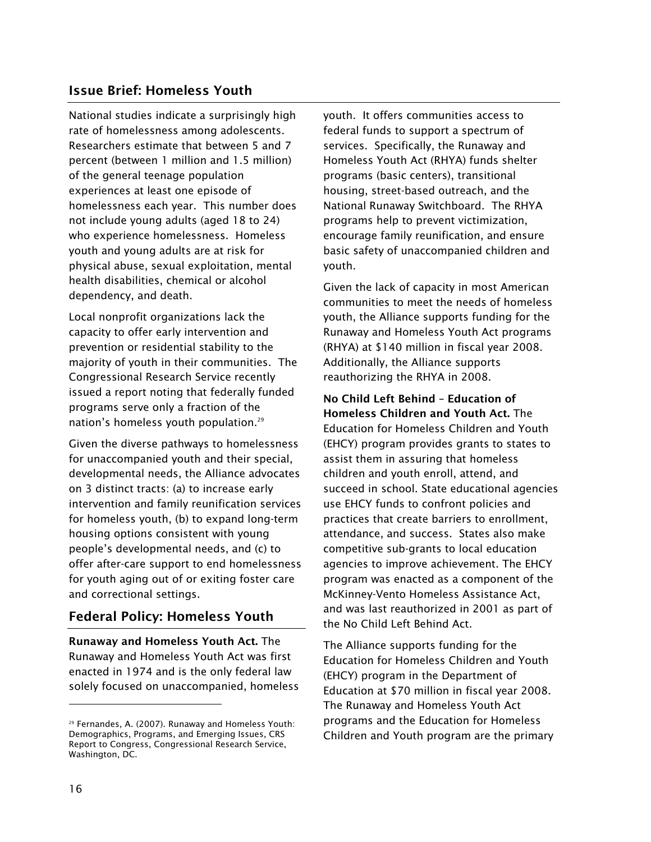## Issue Brief: Homeless Youth

National studies indicate a surprisingly high rate of homelessness among adolescents. Researchers estimate that between 5 and 7 percent (between 1 million and 1.5 million) of the general teenage population experiences at least one episode of homelessness each year. This number does not include young adults (aged 18 to 24) who experience homelessness. Homeless youth and young adults are at risk for physical abuse, sexual exploitation, mental health disabilities, chemical or alcohol dependency, and death.

Local nonprofit organizations lack the capacity to offer early intervention and prevention or residential stability to the majority of youth in their communities. The Congressional Research Service recently issued a report noting that federally funded programs serve only a fraction of the nation's homeless youth population.<sup>29</sup>

Given the diverse pathways to homelessness for unaccompanied youth and their special, developmental needs, the Alliance advocates on 3 distinct tracts: (a) to increase early intervention and family reunification services for homeless youth, (b) to expand long-term housing options consistent with young people's developmental needs, and (c) to offer after-care support to end homelessness for youth aging out of or exiting foster care and correctional settings.

## Federal Policy: Homeless Youth

Runaway and Homeless Youth Act. The Runaway and Homeless Youth Act was first enacted in 1974 and is the only federal law solely focused on unaccompanied, homeless youth. It offers communities access to federal funds to support a spectrum of services. Specifically, the Runaway and Homeless Youth Act (RHYA) funds shelter programs (basic centers), transitional housing, street-based outreach, and the National Runaway Switchboard. The RHYA programs help to prevent victimization, encourage family reunification, and ensure basic safety of unaccompanied children and youth.

Given the lack of capacity in most American communities to meet the needs of homeless youth, the Alliance supports funding for the Runaway and Homeless Youth Act programs (RHYA) at \$140 million in fiscal year 2008. Additionally, the Alliance supports reauthorizing the RHYA in 2008.

No Child Left Behind – Education of Homeless Children and Youth Act. The Education for Homeless Children and Youth (EHCY) program provides grants to states to assist them in assuring that homeless children and youth enroll, attend, and succeed in school. State educational agencies use EHCY funds to confront policies and practices that create barriers to enrollment, attendance, and success. States also make competitive sub-grants to local education agencies to improve achievement. The EHCY program was enacted as a component of the McKinney-Vento Homeless Assistance Act, and was last reauthorized in 2001 as part of the No Child Left Behind Act.

The Alliance supports funding for the Education for Homeless Children and Youth (EHCY) program in the Department of Education at \$70 million in fiscal year 2008. The Runaway and Homeless Youth Act programs and the Education for Homeless Children and Youth program are the primary

ł

<sup>29</sup> Fernandes, A. (2007). Runaway and Homeless Youth: Demographics, Programs, and Emerging Issues, CRS Report to Congress, Congressional Research Service, Washington, DC.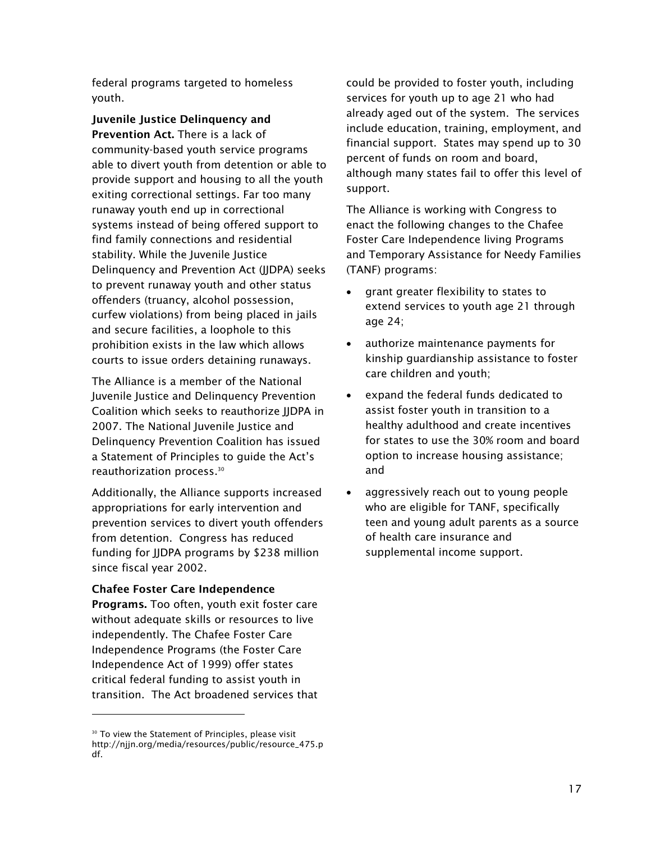federal programs targeted to homeless youth.

Juvenile Justice Delinquency and

Prevention Act. There is a lack of community-based youth service programs able to divert youth from detention or able to provide support and housing to all the youth exiting correctional settings. Far too many runaway youth end up in correctional systems instead of being offered support to find family connections and residential stability. While the Juvenile Justice Delinquency and Prevention Act (JJDPA) seeks to prevent runaway youth and other status offenders (truancy, alcohol possession, curfew violations) from being placed in jails and secure facilities, a loophole to this prohibition exists in the law which allows courts to issue orders detaining runaways.

The Alliance is a member of the National Juvenile Justice and Delinquency Prevention Coalition which seeks to reauthorize JJDPA in 2007. The National Juvenile Justice and Delinquency Prevention Coalition has issued a Statement of Principles to guide the Act's reauthorization process.30

Additionally, the Alliance supports increased appropriations for early intervention and prevention services to divert youth offenders from detention. Congress has reduced funding for JJDPA programs by \$238 million since fiscal year 2002.

#### Chafee Foster Care Independence

l

Programs. Too often, youth exit foster care without adequate skills or resources to live independently. The Chafee Foster Care Independence Programs (the Foster Care Independence Act of 1999) offer states critical federal funding to assist youth in transition. The Act broadened services that could be provided to foster youth, including services for youth up to age 21 who had already aged out of the system. The services include education, training, employment, and financial support. States may spend up to 30 percent of funds on room and board, although many states fail to offer this level of support.

The Alliance is working with Congress to enact the following changes to the Chafee Foster Care Independence living Programs and Temporary Assistance for Needy Families (TANF) programs:

- grant greater flexibility to states to extend services to youth age 21 through age 24;
- $\bullet$  authorize maintenance payments for kinship guardianship assistance to foster care children and youth;
- expand the federal funds dedicated to assist foster youth in transition to a healthy adulthood and create incentives for states to use the 30% room and board option to increase housing assistance; and
- $\bullet$  aggressively reach out to young people who are eligible for TANF, specifically teen and young adult parents as a source of health care insurance and supplemental income support.

<sup>&</sup>lt;sup>30</sup> To view the Statement of Principles, please visit http://njjn.org/media/resources/public/resource\_475.p df.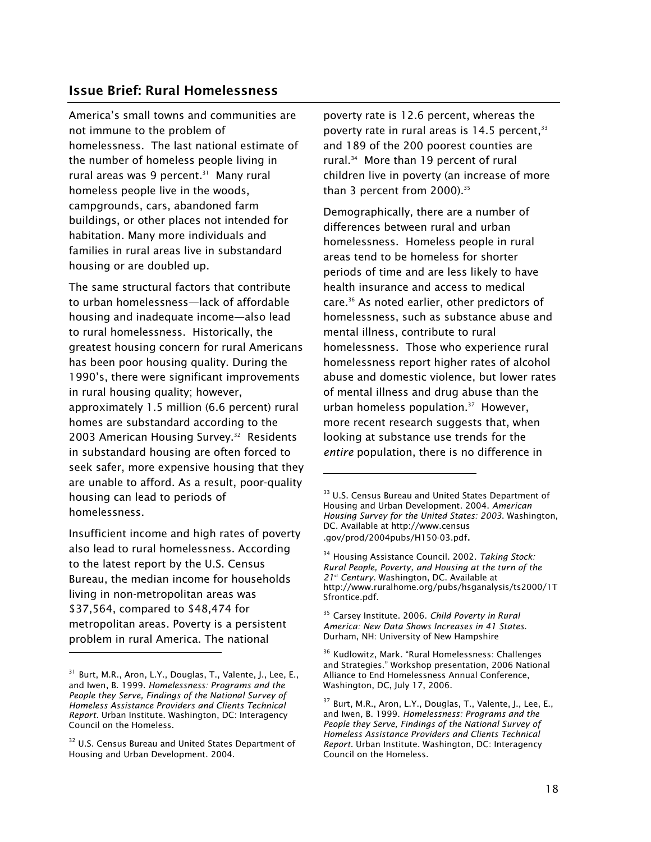#### Issue Brief: Rural Homelessness

America's small towns and communities are not immune to the problem of homelessness. The last national estimate of the number of homeless people living in rural areas was 9 percent. $31$  Many rural homeless people live in the woods, campgrounds, cars, abandoned farm buildings, or other places not intended for habitation. Many more individuals and families in rural areas live in substandard housing or are doubled up.

The same structural factors that contribute to urban homelessness—lack of affordable housing and inadequate income—also lead to rural homelessness. Historically, the greatest housing concern for rural Americans has been poor housing quality. During the 1990's, there were significant improvements in rural housing quality; however, approximately 1.5 million (6.6 percent) rural homes are substandard according to the 2003 American Housing Survey.<sup>32</sup> Residents in substandard housing are often forced to seek safer, more expensive housing that they are unable to afford. As a result, poor-quality housing can lead to periods of homelessness.

Insufficient income and high rates of poverty also lead to rural homelessness. According to the latest report by the U.S. Census Bureau, the median income for households living in non-metropolitan areas was \$37,564, compared to \$48,474 for metropolitan areas. Poverty is a persistent problem in rural America. The national

ł

poverty rate is 12.6 percent, whereas the poverty rate in rural areas is  $14.5$  percent,  $33$ and 189 of the 200 poorest counties are rural.34 More than 19 percent of rural children live in poverty (an increase of more than 3 percent from  $2000$ ).<sup>35</sup>

Demographically, there are a number of differences between rural and urban homelessness. Homeless people in rural areas tend to be homeless for shorter periods of time and are less likely to have health insurance and access to medical care.36 As noted earlier, other predictors of homelessness, such as substance abuse and mental illness, contribute to rural homelessness. Those who experience rural homelessness report higher rates of alcohol abuse and domestic violence, but lower rates of mental illness and drug abuse than the urban homeless population.<sup>37</sup> However, more recent research suggests that, when looking at substance use trends for the *entire* population, there is no difference in

<sup>35</sup> Carsey Institute. 2006. *Child Poverty in Rural America: New Data Shows Increases in 41 States*. Durham, NH: University of New Hampshire

<sup>36</sup> Kudlowitz, Mark. "Rural Homelessness: Challenges and Strategies." Workshop presentation, 2006 National Alliance to End Homelessness Annual Conference, Washington, DC, July 17, 2006.

<sup>&</sup>lt;sup>31</sup> Burt, M.R., Aron, L.Y., Douglas, T., Valente, J., Lee, E., and Iwen, B. 1999. *Homelessness: Programs and the People they Serve, Findings of the National Survey of Homeless Assistance Providers and Clients Technical Report.* Urban Institute. Washington, DC: Interagency Council on the Homeless.

<sup>&</sup>lt;sup>32</sup> U.S. Census Bureau and United States Department of Housing and Urban Development. 2004.

<sup>&</sup>lt;sup>33</sup> U.S. Census Bureau and United States Department of Housing and Urban Development. 2004. *American Housing Survey for the United States: 2003*. Washington, DC. Available at http://www.census .gov/prod/2004pubs/H150-03.pdf.

<sup>34</sup> Housing Assistance Council. 2002. *Taking Stock: Rural People, Poverty, and Housing at the turn of the 21st Century*. Washington, DC. Available at http://www.ruralhome.org/pubs/hsganalysis/ts2000/1T Sfrontice.pdf.

 $37$  Burt, M.R., Aron, L.Y., Douglas, T., Valente, J., Lee, E., and Iwen, B. 1999. *Homelessness: Programs and the People they Serve, Findings of the National Survey of Homeless Assistance Providers and Clients Technical Report.* Urban Institute. Washington, DC: Interagency Council on the Homeless.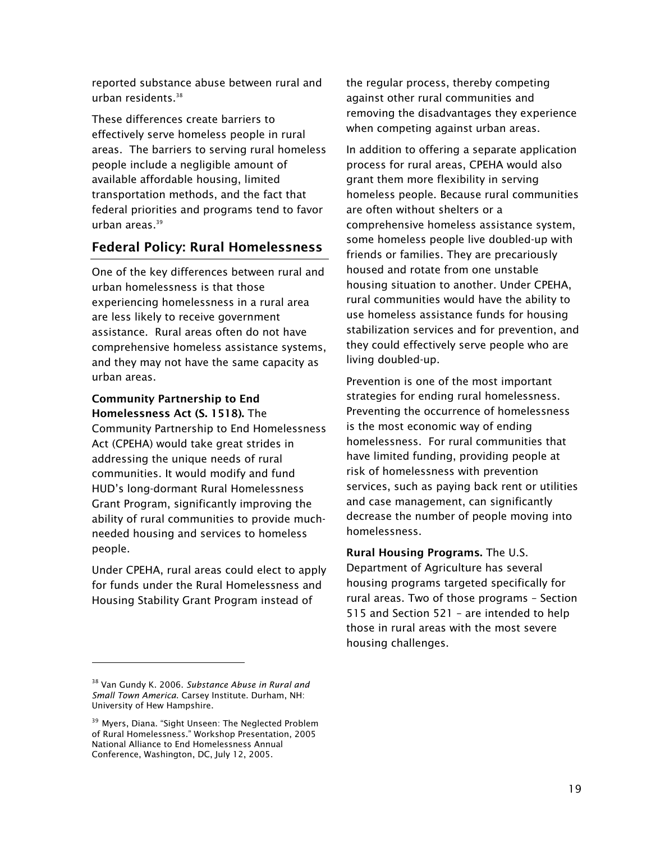reported substance abuse between rural and urban residents.38

These differences create barriers to effectively serve homeless people in rural areas. The barriers to serving rural homeless people include a negligible amount of available affordable housing, limited transportation methods, and the fact that federal priorities and programs tend to favor urban areas.<sup>39</sup>

## Federal Policy: Rural Homelessness

One of the key differences between rural and urban homelessness is that those experiencing homelessness in a rural area are less likely to receive government assistance. Rural areas often do not have comprehensive homeless assistance systems, and they may not have the same capacity as urban areas.

#### Community Partnership to End Homelessness Act (S. 1518). The

Community Partnership to End Homelessness Act (CPEHA) would take great strides in addressing the unique needs of rural communities. It would modify and fund HUD's long-dormant Rural Homelessness Grant Program, significantly improving the ability of rural communities to provide muchneeded housing and services to homeless people.

Under CPEHA, rural areas could elect to apply for funds under the Rural Homelessness and Housing Stability Grant Program instead of

l

the regular process, thereby competing against other rural communities and removing the disadvantages they experience when competing against urban areas.

In addition to offering a separate application process for rural areas, CPEHA would also grant them more flexibility in serving homeless people. Because rural communities are often without shelters or a comprehensive homeless assistance system, some homeless people live doubled-up with friends or families. They are precariously housed and rotate from one unstable housing situation to another. Under CPEHA, rural communities would have the ability to use homeless assistance funds for housing stabilization services and for prevention, and they could effectively serve people who are living doubled-up.

Prevention is one of the most important strategies for ending rural homelessness. Preventing the occurrence of homelessness is the most economic way of ending homelessness. For rural communities that have limited funding, providing people at risk of homelessness with prevention services, such as paying back rent or utilities and case management, can significantly decrease the number of people moving into homelessness.

Rural Housing Programs. The U.S. Department of Agriculture has several housing programs targeted specifically for rural areas. Two of those programs – Section 515 and Section 521 – are intended to help those in rural areas with the most severe housing challenges.

<sup>38</sup> Van Gundy K. 2006. *Substance Abuse in Rural and Small Town America*. Carsey Institute. Durham, NH: University of Hew Hampshire.

<sup>&</sup>lt;sup>39</sup> Myers, Diana. "Sight Unseen: The Neglected Problem of Rural Homelessness." Workshop Presentation, 2005 National Alliance to End Homelessness Annual Conference, Washington, DC, July 12, 2005.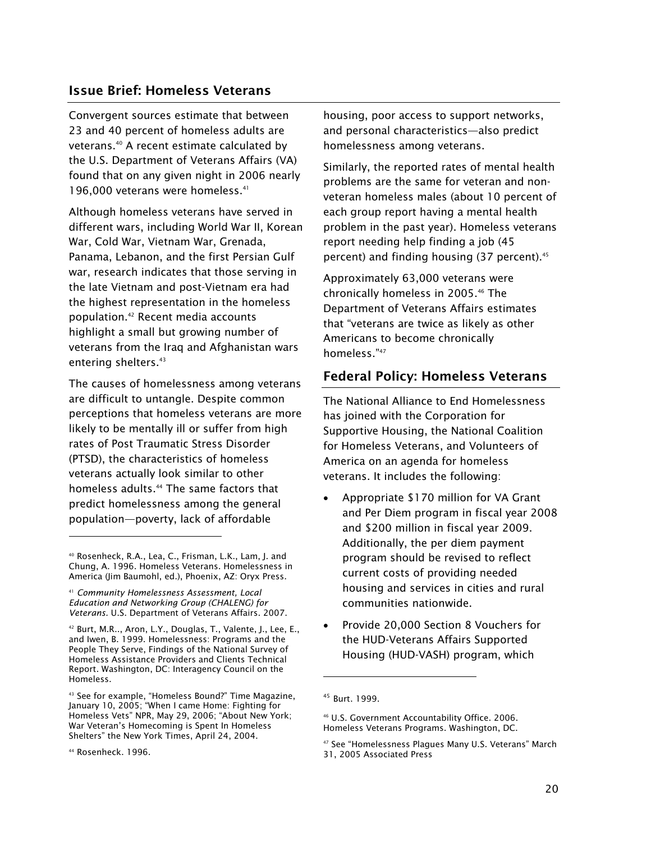#### Issue Brief: Homeless Veterans

Convergent sources estimate that between 23 and 40 percent of homeless adults are veterans.40 A recent estimate calculated by the U.S. Department of Veterans Affairs (VA) found that on any given night in 2006 nearly 196,000 veterans were homeless.<sup>41</sup>

Although homeless veterans have served in different wars, including World War II, Korean War, Cold War, Vietnam War, Grenada, Panama, Lebanon, and the first Persian Gulf war, research indicates that those serving in the late Vietnam and post-Vietnam era had the highest representation in the homeless population.42 Recent media accounts highlight a small but growing number of veterans from the Iraq and Afghanistan wars entering shelters.<sup>43</sup>

The causes of homelessness among veterans are difficult to untangle. Despite common perceptions that homeless veterans are more likely to be mentally ill or suffer from high rates of Post Traumatic Stress Disorder (PTSD), the characteristics of homeless veterans actually look similar to other homeless adults.<sup>44</sup> The same factors that predict homelessness among the general population—poverty, lack of affordable

42 Burt, M.R.., Aron, L.Y., Douglas, T., Valente, J., Lee, E., and Iwen, B. 1999. Homelessness: Programs and the People They Serve, Findings of the National Survey of Homeless Assistance Providers and Clients Technical Report. Washington, DC: Interagency Council on the Homeless.

43 See for example, "Homeless Bound?" Time Magazine, January 10, 2005; "When I came Home: Fighting for Homeless Vets" NPR, May 29, 2006; "About New York; War Veteran's Homecoming is Spent In Homeless Shelters" the New York Times, April 24, 2004.

ł

housing, poor access to support networks, and personal characteristics—also predict homelessness among veterans.

Similarly, the reported rates of mental health problems are the same for veteran and nonveteran homeless males (about 10 percent of each group report having a mental health problem in the past year). Homeless veterans report needing help finding a job (45 percent) and finding housing (37 percent).<sup>45</sup>

Approximately 63,000 veterans were chronically homeless in 2005.<sup>46</sup> The Department of Veterans Affairs estimates that "veterans are twice as likely as other Americans to become chronically homeless."47

## Federal Policy: Homeless Veterans

The National Alliance to End Homelessness has joined with the Corporation for Supportive Housing, the National Coalition for Homeless Veterans, and Volunteers of America on an agenda for homeless veterans. It includes the following:

- - Appropriate \$170 million for VA Grant and Per Diem program in fiscal year 2008 and \$200 million in fiscal year 2009. Additionally, the per diem payment program should be revised to reflect current costs of providing needed housing and services in cities and rural communities nationwide.
- $\bullet$  Provide 20,000 Section 8 Vouchers for the HUD-Veterans Affairs Supported Housing (HUD-VASH) program, which

<sup>40</sup> Rosenheck, R.A., Lea, C., Frisman, L.K., Lam, J. and Chung, A. 1996. Homeless Veterans. Homelessness in America (Jim Baumohl, ed.), Phoenix, AZ: Oryx Press.

<sup>41</sup> *Community Homelessness Assessment, Local Education and Networking Group (CHALENG) for Veterans.* U.S. Department of Veterans Affairs. 2007.

<sup>44</sup> Rosenheck. 1996.

<sup>45</sup> Burt. 1999.

<sup>46</sup> U.S. Government Accountability Office. 2006. Homeless Veterans Programs. Washington, DC.

<sup>47</sup> See "Homelessness Plagues Many U.S. Veterans" March 31, 2005 Associated Press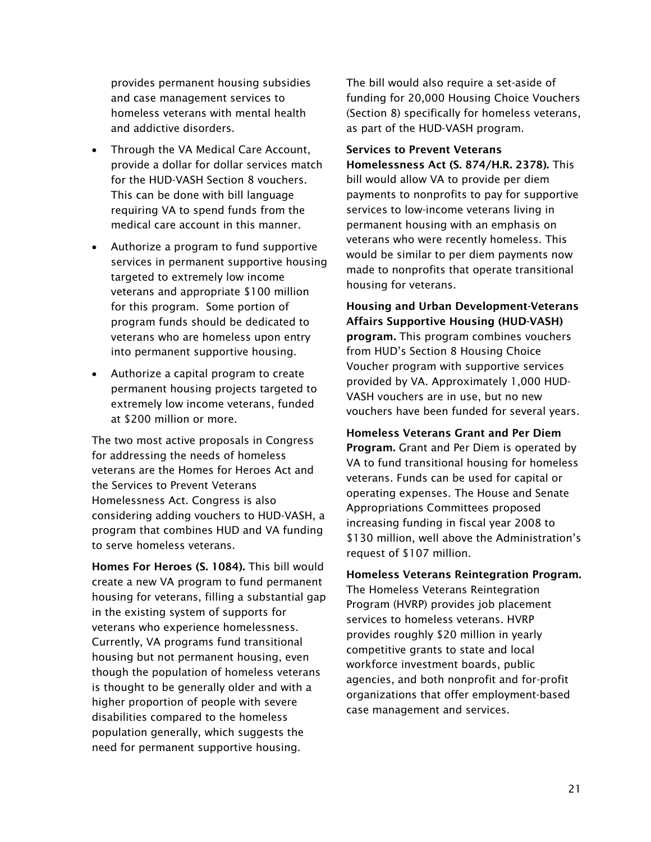provides permanent housing subsidies and case management services to homeless veterans with mental health and addictive disorders.

- $\bullet$  Through the VA Medical Care Account, provide a dollar for dollar services match for the HUD-VASH Section 8 vouchers. This can be done with bill language requiring VA to spend funds from the medical care account in this manner.
- Authorize a program to fund supportive services in permanent supportive housing targeted to extremely low income veterans and appropriate \$100 million for this program. Some portion of program funds should be dedicated to veterans who are homeless upon entry into permanent supportive housing.
- $\bullet$  Authorize a capital program to create permanent housing projects targeted to extremely low income veterans, funded at \$200 million or more.

The two most active proposals in Congress for addressing the needs of homeless veterans are the Homes for Heroes Act and the Services to Prevent Veterans Homelessness Act. Congress is also considering adding vouchers to HUD-VASH, a program that combines HUD and VA funding to serve homeless veterans.

Homes For Heroes (S. 1084). This bill would create a new VA program to fund permanent housing for veterans, filling a substantial gap in the existing system of supports for veterans who experience homelessness. Currently, VA programs fund transitional housing but not permanent housing, even though the population of homeless veterans is thought to be generally older and with a higher proportion of people with severe disabilities compared to the homeless population generally, which suggests the need for permanent supportive housing.

The bill would also require a set-aside of funding for 20,000 Housing Choice Vouchers (Section 8) specifically for homeless veterans, as part of the HUD-VASH program.

Services to Prevent Veterans Homelessness Act (S. 874/H.R. 2378). This bill would allow VA to provide per diem payments to nonprofits to pay for supportive services to low-income veterans living in permanent housing with an emphasis on veterans who were recently homeless. This would be similar to per diem payments now made to nonprofits that operate transitional housing for veterans.

Housing and Urban Development-Veterans Affairs Supportive Housing (HUD-VASH) program. This program combines vouchers from HUD's Section 8 Housing Choice Voucher program with supportive services provided by VA. Approximately 1,000 HUD-VASH vouchers are in use, but no new vouchers have been funded for several years.

Homeless Veterans Grant and Per Diem Program. Grant and Per Diem is operated by VA to fund transitional housing for homeless veterans. Funds can be used for capital or operating expenses. The House and Senate Appropriations Committees proposed increasing funding in fiscal year 2008 to \$130 million, well above the Administration's request of \$107 million.

Homeless Veterans Reintegration Program. The Homeless Veterans Reintegration Program (HVRP) provides job placement services to homeless veterans. HVRP provides roughly \$20 million in yearly competitive grants to state and local workforce investment boards, public agencies, and both nonprofit and for-profit organizations that offer employment-based case management and services.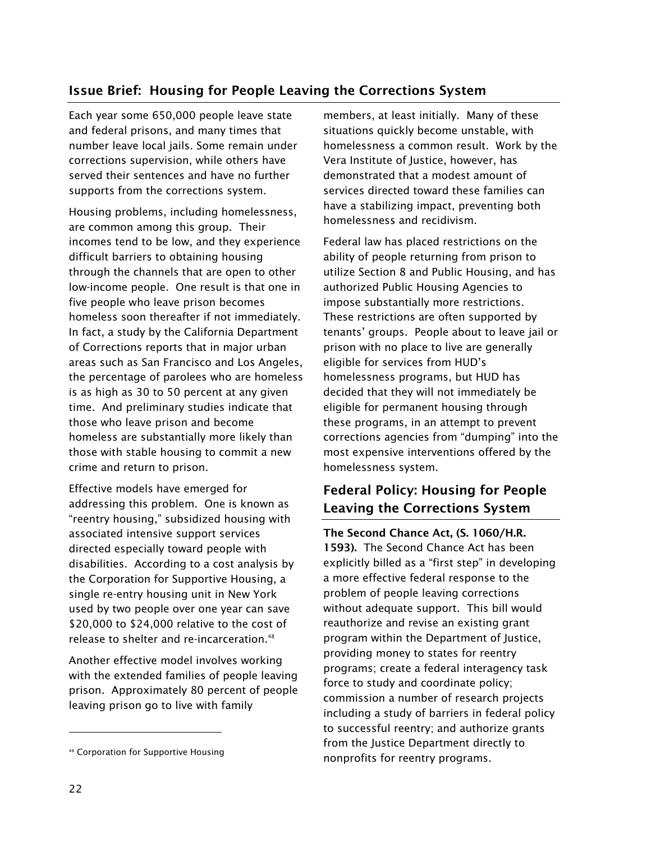## Issue Brief: Housing for People Leaving the Corrections System

Each year some 650,000 people leave state and federal prisons, and many times that number leave local jails. Some remain under corrections supervision, while others have served their sentences and have no further supports from the corrections system.

Housing problems, including homelessness, are common among this group. Their incomes tend to be low, and they experience difficult barriers to obtaining housing through the channels that are open to other low-income people. One result is that one in five people who leave prison becomes homeless soon thereafter if not immediately. In fact, a study by the California Department of Corrections reports that in major urban areas such as San Francisco and Los Angeles, the percentage of parolees who are homeless is as high as 30 to 50 percent at any given time. And preliminary studies indicate that those who leave prison and become homeless are substantially more likely than those with stable housing to commit a new crime and return to prison.

Effective models have emerged for addressing this problem. One is known as "reentry housing," subsidized housing with associated intensive support services directed especially toward people with disabilities. According to a cost analysis by the Corporation for Supportive Housing, a single re-entry housing unit in New York used by two people over one year can save \$20,000 to \$24,000 relative to the cost of release to shelter and re-incarceration.<sup>48</sup>

Another effective model involves working with the extended families of people leaving prison. Approximately 80 percent of people leaving prison go to live with family

members, at least initially. Many of these situations quickly become unstable, with homelessness a common result. Work by the Vera Institute of Justice, however, has demonstrated that a modest amount of services directed toward these families can have a stabilizing impact, preventing both homelessness and recidivism.

Federal law has placed restrictions on the ability of people returning from prison to utilize Section 8 and Public Housing, and has authorized Public Housing Agencies to impose substantially more restrictions. These restrictions are often supported by tenants' groups. People about to leave jail or prison with no place to live are generally eligible for services from HUD's homelessness programs, but HUD has decided that they will not immediately be eligible for permanent housing through these programs, in an attempt to prevent corrections agencies from "dumping" into the most expensive interventions offered by the homelessness system.

## Federal Policy: Housing for People Leaving the Corrections System

The Second Chance Act, (S. 1060/H.R. 1593). The Second Chance Act has been explicitly billed as a "first step" in developing a more effective federal response to the problem of people leaving corrections without adequate support. This bill would reauthorize and revise an existing grant program within the Department of Justice, providing money to states for reentry programs; create a federal interagency task force to study and coordinate policy; commission a number of research projects including a study of barriers in federal policy to successful reentry; and authorize grants from the Justice Department directly to nonprofits for reentry programs.

ł

<sup>48</sup> Corporation for Supportive Housing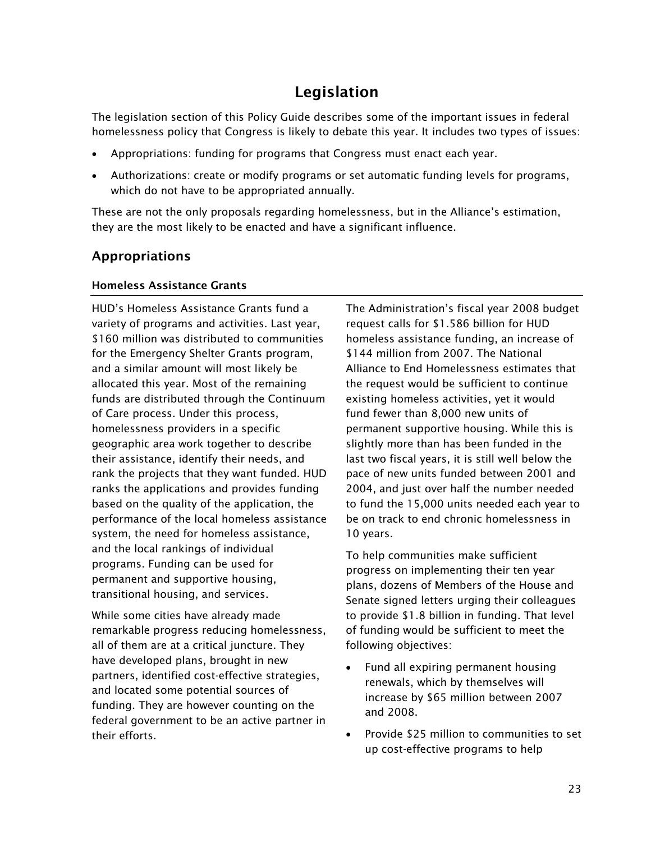# Legislation

The legislation section of this Policy Guide describes some of the important issues in federal homelessness policy that Congress is likely to debate this year. It includes two types of issues:

- -Appropriations: funding for programs that Congress must enact each year.
- Authorizations: create or modify programs or set automatic funding levels for programs, which do not have to be appropriated annually.

These are not the only proposals regarding homelessness, but in the Alliance's estimation, they are the most likely to be enacted and have a significant influence.

## Appropriations

#### Homeless Assistance Grants

HUD's Homeless Assistance Grants fund a variety of programs and activities. Last year, \$160 million was distributed to communities for the Emergency Shelter Grants program, and a similar amount will most likely be allocated this year. Most of the remaining funds are distributed through the Continuum of Care process. Under this process, homelessness providers in a specific geographic area work together to describe their assistance, identify their needs, and rank the projects that they want funded. HUD ranks the applications and provides funding based on the quality of the application, the performance of the local homeless assistance system, the need for homeless assistance, and the local rankings of individual programs. Funding can be used for permanent and supportive housing, transitional housing, and services.

While some cities have already made remarkable progress reducing homelessness, all of them are at a critical juncture. They have developed plans, brought in new partners, identified cost-effective strategies, and located some potential sources of funding. They are however counting on the federal government to be an active partner in their efforts.

The Administration's fiscal year 2008 budget request calls for \$1.586 billion for HUD homeless assistance funding, an increase of \$144 million from 2007. The National Alliance to End Homelessness estimates that the request would be sufficient to continue existing homeless activities, yet it would fund fewer than 8,000 new units of permanent supportive housing. While this is slightly more than has been funded in the last two fiscal years, it is still well below the pace of new units funded between 2001 and 2004, and just over half the number needed to fund the 15,000 units needed each year to be on track to end chronic homelessness in 10 years.

To help communities make sufficient progress on implementing their ten year plans, dozens of Members of the House and Senate signed letters urging their colleagues to provide \$1.8 billion in funding. That level of funding would be sufficient to meet the following objectives:

- - Fund all expiring permanent housing renewals, which by themselves will increase by \$65 million between 2007 and 2008.
- - Provide \$25 million to communities to set up cost-effective programs to help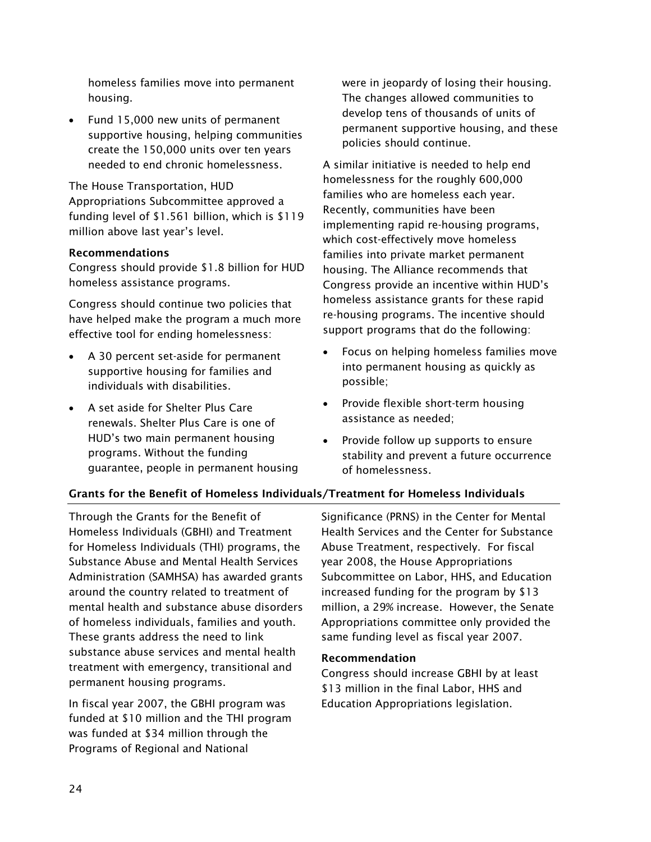homeless families move into permanent housing.

- Fund 15,000 new units of permanent supportive housing, helping communities create the 150,000 units over ten years needed to end chronic homelessness.

The House Transportation, HUD Appropriations Subcommittee approved a funding level of \$1.561 billion, which is \$119 million above last year's level.

#### Recommendations

Congress should provide \$1.8 billion for HUD homeless assistance programs.

Congress should continue two policies that have helped make the program a much more effective tool for ending homelessness:

- - A 30 percent set-aside for permanent supportive housing for families and individuals with disabilities.
- A set aside for Shelter Plus Care renewals. Shelter Plus Care is one of HUD's two main permanent housing programs. Without the funding guarantee, people in permanent housing

were in jeopardy of losing their housing. The changes allowed communities to develop tens of thousands of units of permanent supportive housing, and these policies should continue.

A similar initiative is needed to help end homelessness for the roughly 600,000 families who are homeless each year. Recently, communities have been implementing rapid re-housing programs, which cost-effectively move homeless families into private market permanent housing. The Alliance recommends that Congress provide an incentive within HUD's homeless assistance grants for these rapid re-housing programs. The incentive should support programs that do the following:

- $\bullet$  Focus on helping homeless families move into permanent housing as quickly as possible;
- Provide flexible short-term housing assistance as needed;
- Provide follow up supports to ensure stability and prevent a future occurrence of homelessness.

## Grants for the Benefit of Homeless Individuals/Treatment for Homeless Individuals

Through the Grants for the Benefit of Homeless Individuals (GBHI) and Treatment for Homeless Individuals (THI) programs, the Substance Abuse and Mental Health Services Administration (SAMHSA) has awarded grants around the country related to treatment of mental health and substance abuse disorders of homeless individuals, families and youth. These grants address the need to link substance abuse services and mental health treatment with emergency, transitional and permanent housing programs.

In fiscal year 2007, the GBHI program was funded at \$10 million and the THI program was funded at \$34 million through the Programs of Regional and National

Significance (PRNS) in the Center for Mental Health Services and the Center for Substance Abuse Treatment, respectively. For fiscal year 2008, the House Appropriations Subcommittee on Labor, HHS, and Education increased funding for the program by \$13 million, a 29% increase. However, the Senate Appropriations committee only provided the same funding level as fiscal year 2007.

#### Recommendation

Congress should increase GBHI by at least \$13 million in the final Labor, HHS and Education Appropriations legislation.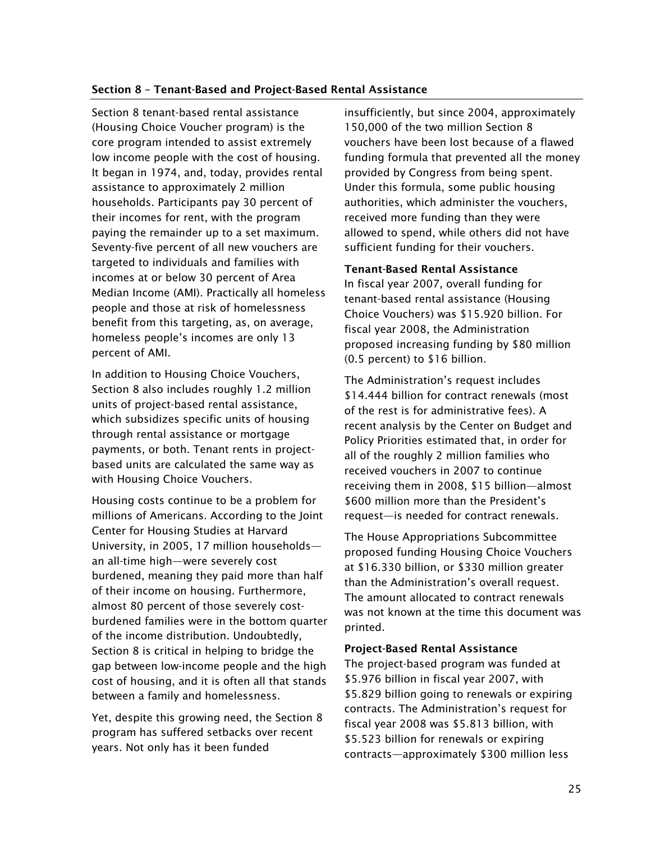#### Section 8 – Tenant-Based and Project-Based Rental Assistance

Section 8 tenant-based rental assistance (Housing Choice Voucher program) is the core program intended to assist extremely low income people with the cost of housing. It began in 1974, and, today, provides rental assistance to approximately 2 million households. Participants pay 30 percent of their incomes for rent, with the program paying the remainder up to a set maximum. Seventy-five percent of all new vouchers are targeted to individuals and families with incomes at or below 30 percent of Area Median Income (AMI). Practically all homeless people and those at risk of homelessness benefit from this targeting, as, on average, homeless people's incomes are only 13 percent of AMI.

In addition to Housing Choice Vouchers, Section 8 also includes roughly 1.2 million units of project-based rental assistance, which subsidizes specific units of housing through rental assistance or mortgage payments, or both. Tenant rents in projectbased units are calculated the same way as with Housing Choice Vouchers.

Housing costs continue to be a problem for millions of Americans. According to the Joint Center for Housing Studies at Harvard University, in 2005, 17 million households an all-time high—were severely cost burdened, meaning they paid more than half of their income on housing. Furthermore, almost 80 percent of those severely costburdened families were in the bottom quarter of the income distribution. Undoubtedly, Section 8 is critical in helping to bridge the gap between low-income people and the high cost of housing, and it is often all that stands between a family and homelessness.

Yet, despite this growing need, the Section 8 program has suffered setbacks over recent years. Not only has it been funded

insufficiently, but since 2004, approximately 150,000 of the two million Section 8 vouchers have been lost because of a flawed funding formula that prevented all the money provided by Congress from being spent. Under this formula, some public housing authorities, which administer the vouchers, received more funding than they were allowed to spend, while others did not have sufficient funding for their vouchers.

#### Tenant-Based Rental Assistance

In fiscal year 2007, overall funding for tenant-based rental assistance (Housing Choice Vouchers) was \$15.920 billion. For fiscal year 2008, the Administration proposed increasing funding by \$80 million (0.5 percent) to \$16 billion.

The Administration's request includes \$14.444 billion for contract renewals (most of the rest is for administrative fees). A recent analysis by the Center on Budget and Policy Priorities estimated that, in order for all of the roughly 2 million families who received vouchers in 2007 to continue receiving them in 2008, \$15 billion—almost \$600 million more than the President's request—is needed for contract renewals.

The House Appropriations Subcommittee proposed funding Housing Choice Vouchers at \$16.330 billion, or \$330 million greater than the Administration's overall request. The amount allocated to contract renewals was not known at the time this document was printed.

#### Project-Based Rental Assistance

The project-based program was funded at \$5.976 billion in fiscal year 2007, with \$5.829 billion going to renewals or expiring contracts. The Administration's request for fiscal year 2008 was \$5.813 billion, with \$5.523 billion for renewals or expiring contracts—approximately \$300 million less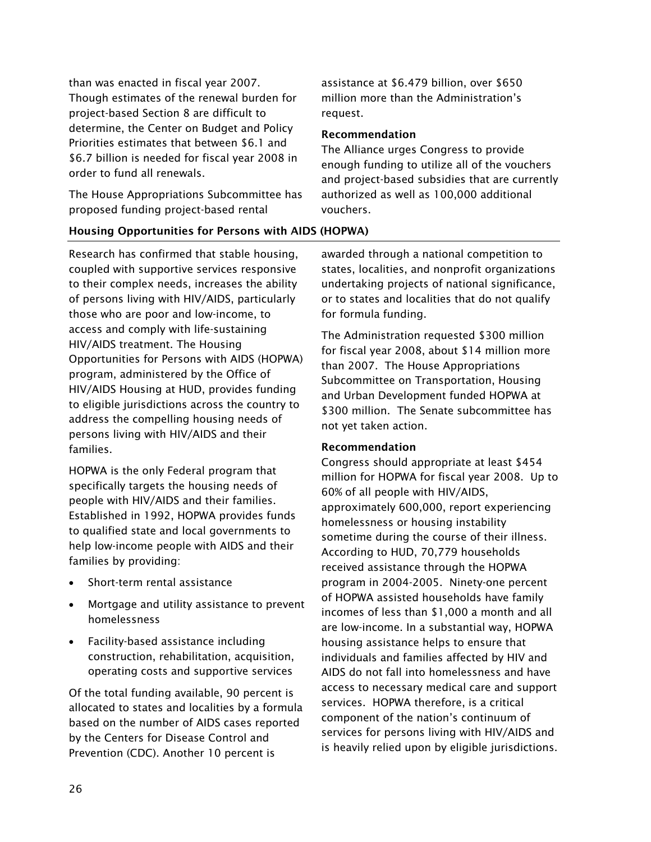than was enacted in fiscal year 2007. Though estimates of the renewal burden for project-based Section 8 are difficult to determine, the Center on Budget and Policy Priorities estimates that between \$6.1 and \$6.7 billion is needed for fiscal year 2008 in order to fund all renewals.

The House Appropriations Subcommittee has proposed funding project-based rental

assistance at \$6.479 billion, over \$650 million more than the Administration's request.

#### Recommendation

The Alliance urges Congress to provide enough funding to utilize all of the vouchers and project-based subsidies that are currently authorized as well as 100,000 additional vouchers.

#### Housing Opportunities for Persons with AIDS (HOPWA)

Research has confirmed that stable housing, coupled with supportive services responsive to their complex needs, increases the ability of persons living with HIV/AIDS, particularly those who are poor and low-income, to access and comply with life-sustaining HIV/AIDS treatment. The Housing Opportunities for Persons with AIDS (HOPWA) program, administered by the Office of HIV/AIDS Housing at HUD, provides funding to eligible jurisdictions across the country to address the compelling housing needs of persons living with HIV/AIDS and their families.

HOPWA is the only Federal program that specifically targets the housing needs of people with HIV/AIDS and their families. Established in 1992, HOPWA provides funds to qualified state and local governments to help low-income people with AIDS and their families by providing:

- -Short-term rental assistance
- - Mortgage and utility assistance to prevent homelessness
- Facility-based assistance including construction, rehabilitation, acquisition, operating costs and supportive services

Of the total funding available, 90 percent is allocated to states and localities by a formula based on the number of AIDS cases reported by the Centers for Disease Control and Prevention (CDC). Another 10 percent is

awarded through a national competition to states, localities, and nonprofit organizations undertaking projects of national significance, or to states and localities that do not qualify for formula funding.

The Administration requested \$300 million for fiscal year 2008, about \$14 million more than 2007. The House Appropriations Subcommittee on Transportation, Housing and Urban Development funded HOPWA at \$300 million. The Senate subcommittee has not yet taken action.

#### Recommendation

Congress should appropriate at least \$454 million for HOPWA for fiscal year 2008. Up to 60% of all people with HIV/AIDS, approximately 600,000, report experiencing homelessness or housing instability sometime during the course of their illness. According to HUD, 70,779 households received assistance through the HOPWA program in 2004-2005. Ninety-one percent of HOPWA assisted households have family incomes of less than \$1,000 a month and all are low-income. In a substantial way, HOPWA housing assistance helps to ensure that individuals and families affected by HIV and AIDS do not fall into homelessness and have access to necessary medical care and support services. HOPWA therefore, is a critical component of the nation's continuum of services for persons living with HIV/AIDS and is heavily relied upon by eligible jurisdictions.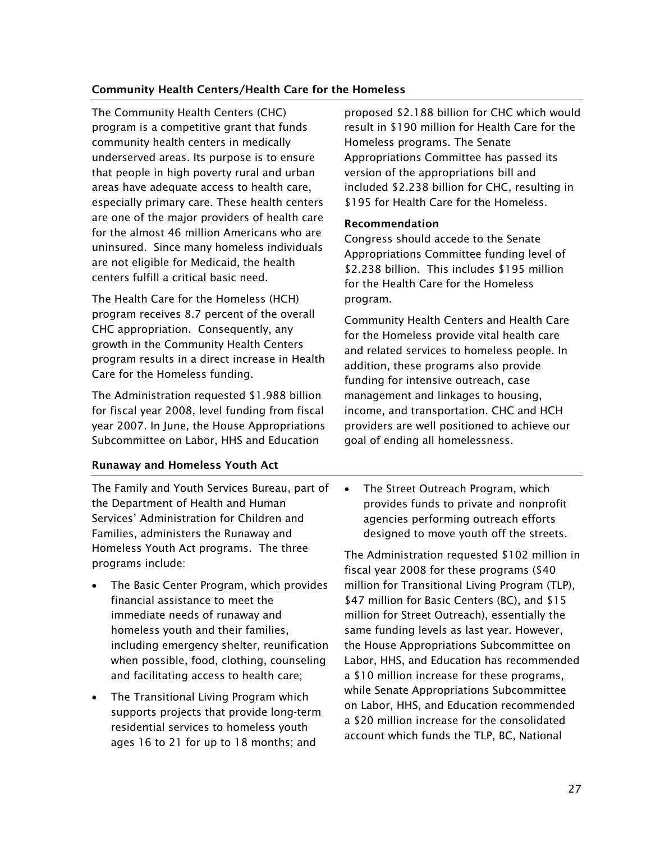#### Community Health Centers/Health Care for the Homeless

The Community Health Centers (CHC) program is a competitive grant that funds community health centers in medically underserved areas. Its purpose is to ensure that people in high poverty rural and urban areas have adequate access to health care, especially primary care. These health centers are one of the major providers of health care for the almost 46 million Americans who are uninsured. Since many homeless individuals are not eligible for Medicaid, the health centers fulfill a critical basic need.

The Health Care for the Homeless (HCH) program receives 8.7 percent of the overall CHC appropriation. Consequently, any growth in the Community Health Centers program results in a direct increase in Health Care for the Homeless funding.

The Administration requested \$1.988 billion for fiscal year 2008, level funding from fiscal year 2007. In June, the House Appropriations Subcommittee on Labor, HHS and Education

Runaway and Homeless Youth Act

- The Family and Youth Services Bureau, part of the Department of Health and Human Services' Administration for Children and Families, administers the Runaway and Homeless Youth Act programs. The three programs include:
- - The Basic Center Program, which provides financial assistance to meet the immediate needs of runaway and homeless youth and their families, including emergency shelter, reunification when possible, food, clothing, counseling and facilitating access to health care;
- - The Transitional Living Program which supports projects that provide long-term residential services to homeless youth ages 16 to 21 for up to 18 months; and

proposed \$2.188 billion for CHC which would result in \$190 million for Health Care for the Homeless programs. The Senate Appropriations Committee has passed its version of the appropriations bill and included \$2.238 billion for CHC, resulting in \$195 for Health Care for the Homeless.

#### Recommendation

Congress should accede to the Senate Appropriations Committee funding level of \$2.238 billion. This includes \$195 million for the Health Care for the Homeless program.

Community Health Centers and Health Care for the Homeless provide vital health care and related services to homeless people. In addition, these programs also provide funding for intensive outreach, case management and linkages to housing, income, and transportation. CHC and HCH providers are well positioned to achieve our goal of ending all homelessness.

 $\bullet$  The Street Outreach Program, which provides funds to private and nonprofit agencies performing outreach efforts designed to move youth off the streets.

The Administration requested \$102 million in fiscal year 2008 for these programs (\$40 million for Transitional Living Program (TLP), \$47 million for Basic Centers (BC), and \$15 million for Street Outreach), essentially the same funding levels as last year. However, the House Appropriations Subcommittee on Labor, HHS, and Education has recommended a \$10 million increase for these programs, while Senate Appropriations Subcommittee on Labor, HHS, and Education recommended a \$20 million increase for the consolidated account which funds the TLP, BC, National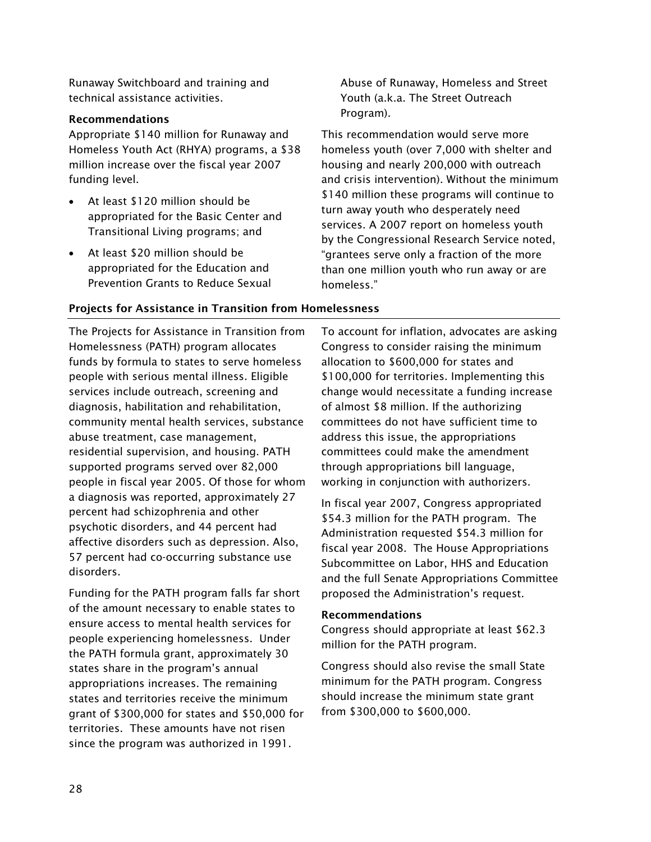Runaway Switchboard and training and technical assistance activities.

#### Recommendations

Appropriate \$140 million for Runaway and Homeless Youth Act (RHYA) programs, a \$38 million increase over the fiscal year 2007 funding level.

- At least \$120 million should be appropriated for the Basic Center and Transitional Living programs; and
- At least \$20 million should be appropriated for the Education and Prevention Grants to Reduce Sexual

Abuse of Runaway, Homeless and Street Youth (a.k.a. The Street Outreach Program).

This recommendation would serve more homeless youth (over 7,000 with shelter and housing and nearly 200,000 with outreach and crisis intervention). Without the minimum \$140 million these programs will continue to turn away youth who desperately need services. A 2007 report on homeless youth by the Congressional Research Service noted, "grantees serve only a fraction of the more than one million youth who run away or are homeless."

#### Projects for Assistance in Transition from Homelessness

The Projects for Assistance in Transition from Homelessness (PATH) program allocates funds by formula to states to serve homeless people with serious mental illness. Eligible services include outreach, screening and diagnosis, habilitation and rehabilitation, community mental health services, substance abuse treatment, case management, residential supervision, and housing. PATH supported programs served over 82,000 people in fiscal year 2005. Of those for whom a diagnosis was reported, approximately 27 percent had schizophrenia and other psychotic disorders, and 44 percent had affective disorders such as depression. Also, 57 percent had co-occurring substance use disorders.

Funding for the PATH program falls far short of the amount necessary to enable states to ensure access to mental health services for people experiencing homelessness. Under the PATH formula grant, approximately 30 states share in the program's annual appropriations increases. The remaining states and territories receive the minimum grant of \$300,000 for states and \$50,000 for territories. These amounts have not risen since the program was authorized in 1991.

To account for inflation, advocates are asking Congress to consider raising the minimum allocation to \$600,000 for states and \$100,000 for territories. Implementing this change would necessitate a funding increase of almost \$8 million. If the authorizing committees do not have sufficient time to address this issue, the appropriations committees could make the amendment through appropriations bill language, working in conjunction with authorizers.

In fiscal year 2007, Congress appropriated \$54.3 million for the PATH program. The Administration requested \$54.3 million for fiscal year 2008. The House Appropriations Subcommittee on Labor, HHS and Education and the full Senate Appropriations Committee proposed the Administration's request.

#### Recommendations

Congress should appropriate at least \$62.3 million for the PATH program.

Congress should also revise the small State minimum for the PATH program. Congress should increase the minimum state grant from \$300,000 to \$600,000.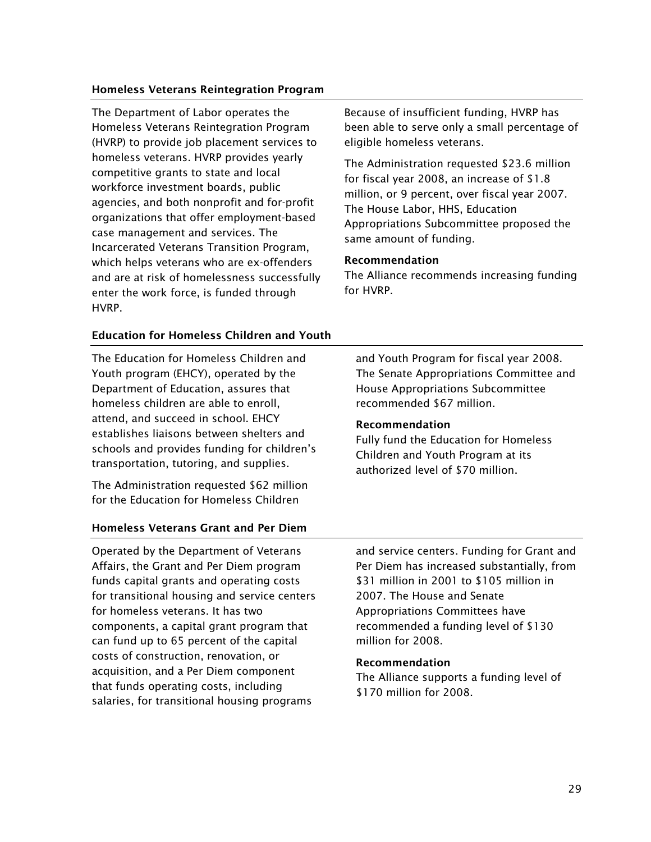#### Homeless Veterans Reintegration Program

The Department of Labor operates the Homeless Veterans Reintegration Program (HVRP) to provide job placement services to homeless veterans. HVRP provides yearly competitive grants to state and local workforce investment boards, public agencies, and both nonprofit and for-profit organizations that offer employment-based case management and services. The Incarcerated Veterans Transition Program, which helps veterans who are ex-offenders and are at risk of homelessness successfully enter the work force, is funded through HVRP.

#### Education for Homeless Children and Youth

The Education for Homeless Children and Youth program (EHCY), operated by the Department of Education, assures that homeless children are able to enroll, attend, and succeed in school. EHCY establishes liaisons between shelters and schools and provides funding for children's transportation, tutoring, and supplies.

The Administration requested \$62 million for the Education for Homeless Children

#### Homeless Veterans Grant and Per Diem

Operated by the Department of Veterans Affairs, the Grant and Per Diem program funds capital grants and operating costs for transitional housing and service centers for homeless veterans. It has two components, a capital grant program that can fund up to 65 percent of the capital costs of construction, renovation, or acquisition, and a Per Diem component that funds operating costs, including salaries, for transitional housing programs

Because of insufficient funding, HVRP has been able to serve only a small percentage of eligible homeless veterans.

The Administration requested \$23.6 million for fiscal year 2008, an increase of \$1.8 million, or 9 percent, over fiscal year 2007. The House Labor, HHS, Education Appropriations Subcommittee proposed the same amount of funding.

#### Recommendation

The Alliance recommends increasing funding for HVRP.

and Youth Program for fiscal year 2008. The Senate Appropriations Committee and House Appropriations Subcommittee recommended \$67 million.

#### Recommendation

Fully fund the Education for Homeless Children and Youth Program at its authorized level of \$70 million.

and service centers. Funding for Grant and Per Diem has increased substantially, from \$31 million in 2001 to \$105 million in 2007. The House and Senate Appropriations Committees have recommended a funding level of \$130 million for 2008.

#### Recommendation

The Alliance supports a funding level of \$170 million for 2008.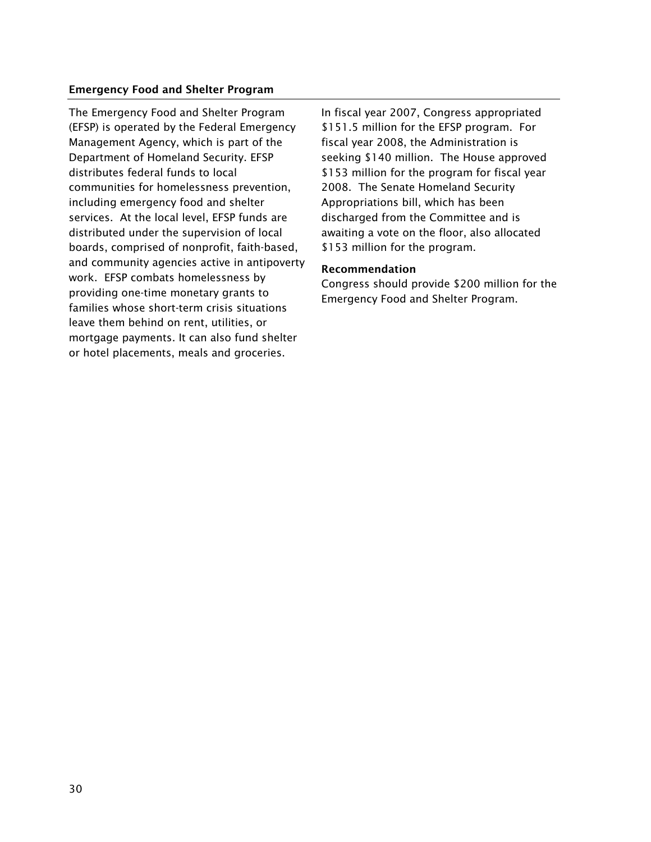#### Emergency Food and Shelter Program

The Emergency Food and Shelter Program (EFSP) is operated by the Federal Emergency Management Agency, which is part of the Department of Homeland Security. EFSP distributes federal funds to local communities for homelessness prevention, including emergency food and shelter services. At the local level, EFSP funds are distributed under the supervision of local boards, comprised of nonprofit, faith-based, and community agencies active in antipoverty work. EFSP combats homelessness by providing one-time monetary grants to families whose short-term crisis situations leave them behind on rent, utilities, or mortgage payments. It can also fund shelter or hotel placements, meals and groceries.

In fiscal year 2007, Congress appropriated \$151.5 million for the EFSP program. For fiscal year 2008, the Administration is seeking \$140 million. The House approved \$153 million for the program for fiscal year 2008. The Senate Homeland Security Appropriations bill, which has been discharged from the Committee and is awaiting a vote on the floor, also allocated \$153 million for the program.

#### Recommendation

Congress should provide \$200 million for the Emergency Food and Shelter Program.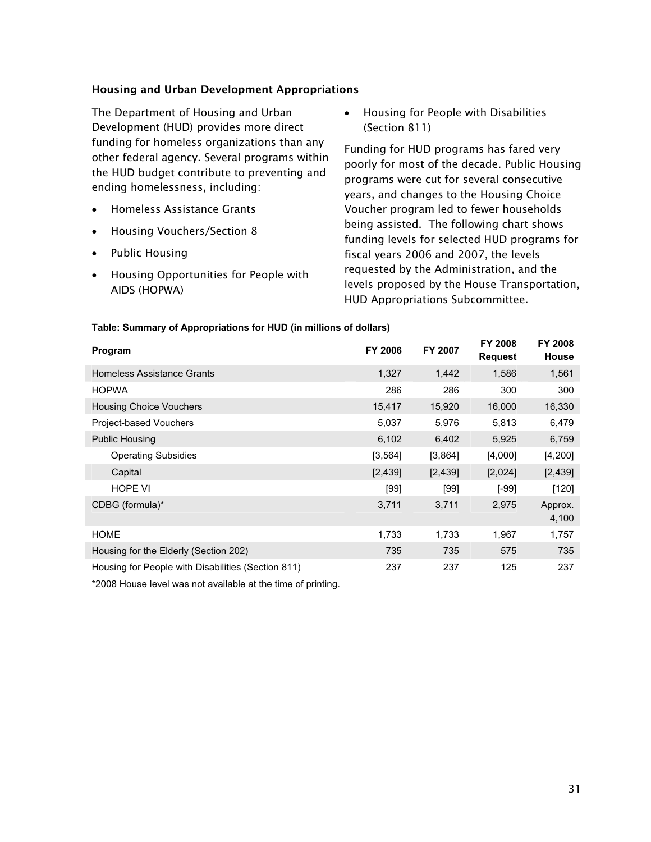#### Housing and Urban Development Appropriations

The Department of Housing and Urban Development (HUD) provides more direct funding for homeless organizations than any other federal agency. Several programs within the HUD budget contribute to preventing and ending homelessness, including:

- $\bullet$ Homeless Assistance Grants
- $\bullet$ Housing Vouchers/Section 8
- $\bullet$ Public Housing
- $\bullet$  Housing Opportunities for People with AIDS (HOPWA)

 $\bullet$  Housing for People with Disabilities (Section 811)

Funding for HUD programs has fared very poorly for most of the decade. Public Housing programs were cut for several consecutive years, and changes to the Housing Choice Voucher program led to fewer households being assisted. The following chart shows funding levels for selected HUD programs for fiscal years 2006 and 2007, the levels requested by the Administration, and the levels proposed by the House Transportation, HUD Appropriations Subcommittee.

| Program                                            | <b>FY 2006</b> | FY 2007 | <b>FY 2008</b><br><b>Request</b> | <b>FY 2008</b><br>House |
|----------------------------------------------------|----------------|---------|----------------------------------|-------------------------|
| <b>Homeless Assistance Grants</b>                  | 1,327          | 1,442   | 1,586                            | 1,561                   |
| <b>HOPWA</b>                                       | 286            | 286     | 300                              | 300                     |
| <b>Housing Choice Vouchers</b>                     | 15,417         | 15,920  | 16,000                           | 16,330                  |
| Project-based Vouchers                             | 5,037          | 5,976   | 5,813                            | 6,479                   |
| <b>Public Housing</b>                              | 6,102          | 6,402   | 5,925                            | 6,759                   |
| <b>Operating Subsidies</b>                         | [3, 564]       | [3,864] | [4,000]                          | [4, 200]                |
| Capital                                            | [2,439]        | [2,439] | [2,024]                          | [2,439]                 |
| <b>HOPE VI</b>                                     | [99]           | [99]    | [-99]                            | [120]                   |
| CDBG (formula)*                                    | 3,711          | 3,711   | 2,975                            | Approx.<br>4,100        |
| <b>HOME</b>                                        | 1,733          | 1,733   | 1,967                            | 1,757                   |
| Housing for the Elderly (Section 202)              | 735            | 735     | 575                              | 735                     |
| Housing for People with Disabilities (Section 811) | 237            | 237     | 125                              | 237                     |

#### **Table: Summary of Appropriations for HUD (in millions of dollars)**

\*2008 House level was not available at the time of printing.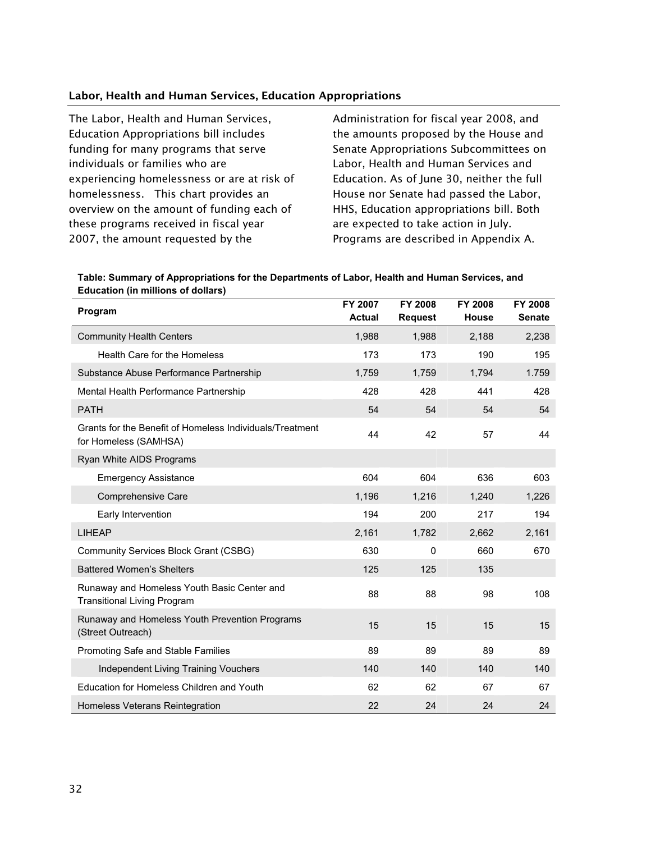#### Labor, Health and Human Services, Education Appropriations

The Labor, Health and Human Services, Education Appropriations bill includes funding for many programs that serve individuals or families who are experiencing homelessness or are at risk of homelessness. This chart provides an overview on the amount of funding each of these programs received in fiscal year 2007, the amount requested by the

Administration for fiscal year 2008, and the amounts proposed by the House and Senate Appropriations Subcommittees on Labor, Health and Human Services and Education. As of June 30, neither the full House nor Senate had passed the Labor, HHS, Education appropriations bill. Both are expected to take action in July. Programs are described in Appendix A.

| Table: Summary of Appropriations for the Departments of Labor, Health and Human Services, and |
|-----------------------------------------------------------------------------------------------|
| <b>Education (in millions of dollars)</b>                                                     |

| Program                                                                           | FY 2007<br><b>Actual</b> | FY 2008<br><b>Request</b> | FY 2008<br>House | FY 2008<br><b>Senate</b> |
|-----------------------------------------------------------------------------------|--------------------------|---------------------------|------------------|--------------------------|
| <b>Community Health Centers</b>                                                   | 1,988                    | 1,988                     | 2,188            | 2,238                    |
| Health Care for the Homeless                                                      | 173                      | 173                       | 190              | 195                      |
| Substance Abuse Performance Partnership                                           | 1,759                    | 1,759                     | 1,794            | 1.759                    |
| Mental Health Performance Partnership                                             | 428                      | 428                       | 441              | 428                      |
| <b>PATH</b>                                                                       | 54                       | 54                        | 54               | 54                       |
| Grants for the Benefit of Homeless Individuals/Treatment<br>for Homeless (SAMHSA) | 44                       | 42                        | 57               | 44                       |
| Ryan White AIDS Programs                                                          |                          |                           |                  |                          |
| <b>Emergency Assistance</b>                                                       | 604                      | 604                       | 636              | 603                      |
| <b>Comprehensive Care</b>                                                         | 1,196                    | 1,216                     | 1,240            | 1,226                    |
| Early Intervention                                                                | 194                      | 200                       | 217              | 194                      |
| <b>LIHEAP</b>                                                                     | 2,161                    | 1,782                     | 2,662            | 2,161                    |
| Community Services Block Grant (CSBG)                                             | 630                      | 0                         | 660              | 670                      |
| <b>Battered Women's Shelters</b>                                                  | 125                      | 125                       | 135              |                          |
| Runaway and Homeless Youth Basic Center and<br><b>Transitional Living Program</b> | 88                       | 88                        | 98               | 108                      |
| Runaway and Homeless Youth Prevention Programs<br>(Street Outreach)               | 15                       | 15                        | 15               | 15                       |
| Promoting Safe and Stable Families                                                | 89                       | 89                        | 89               | 89                       |
| <b>Independent Living Training Vouchers</b>                                       | 140                      | 140                       | 140              | 140                      |
| Education for Homeless Children and Youth                                         | 62                       | 62                        | 67               | 67                       |
| Homeless Veterans Reintegration                                                   | 22                       | 24                        | 24               | 24                       |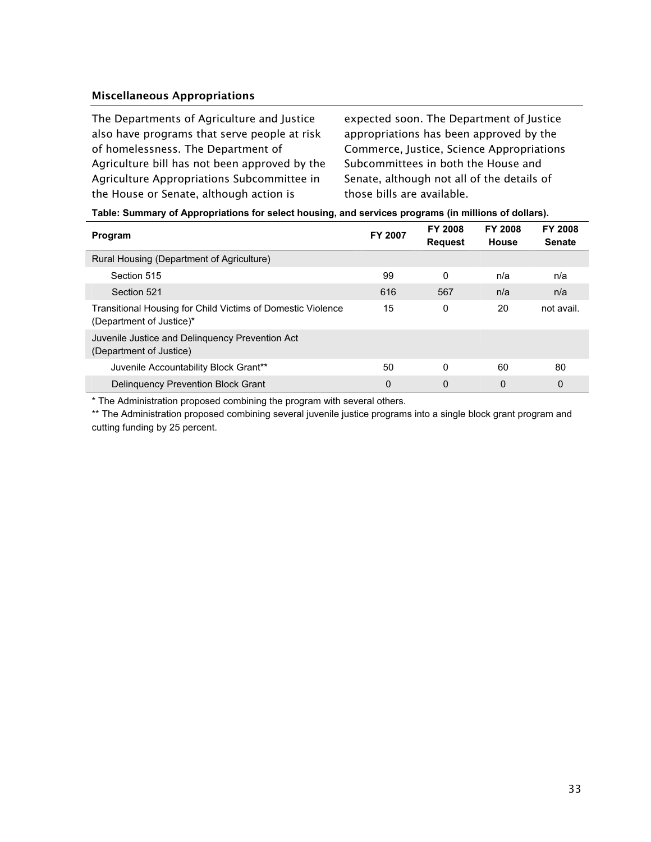#### Miscellaneous Appropriations

The Departments of Agriculture and Justice also have programs that serve people at risk of homelessness. The Department of Agriculture bill has not been approved by the Agriculture Appropriations Subcommittee in the House or Senate, although action is

expected soon. The Department of Justice appropriations has been approved by the Commerce, Justice, Science Appropriations Subcommittees in both the House and Senate, although not all of the details of those bills are available.

| Table: Summary of Appropriations for select housing, and services programs (in millions of dollars). |  |
|------------------------------------------------------------------------------------------------------|--|
|------------------------------------------------------------------------------------------------------|--|

| Program                                                                                 | <b>FY 2007</b> | <b>FY 2008</b><br><b>Request</b> | <b>FY 2008</b><br><b>House</b> | <b>FY 2008</b><br><b>Senate</b> |
|-----------------------------------------------------------------------------------------|----------------|----------------------------------|--------------------------------|---------------------------------|
| Rural Housing (Department of Agriculture)                                               |                |                                  |                                |                                 |
| Section 515                                                                             | 99             | $\Omega$                         | n/a                            | n/a                             |
| Section 521                                                                             | 616            | 567                              | n/a                            | n/a                             |
| Transitional Housing for Child Victims of Domestic Violence<br>(Department of Justice)* | 15             | 0                                | 20                             | not avail.                      |
| Juvenile Justice and Delinguency Prevention Act<br>(Department of Justice)              |                |                                  |                                |                                 |
| Juvenile Accountability Block Grant**                                                   | 50             | $\Omega$                         | 60                             | 80                              |
| <b>Delinguency Prevention Block Grant</b>                                               | $\mathbf 0$    | 0                                | 0                              | 0                               |

\* The Administration proposed combining the program with several others.

\*\* The Administration proposed combining several juvenile justice programs into a single block grant program and cutting funding by 25 percent.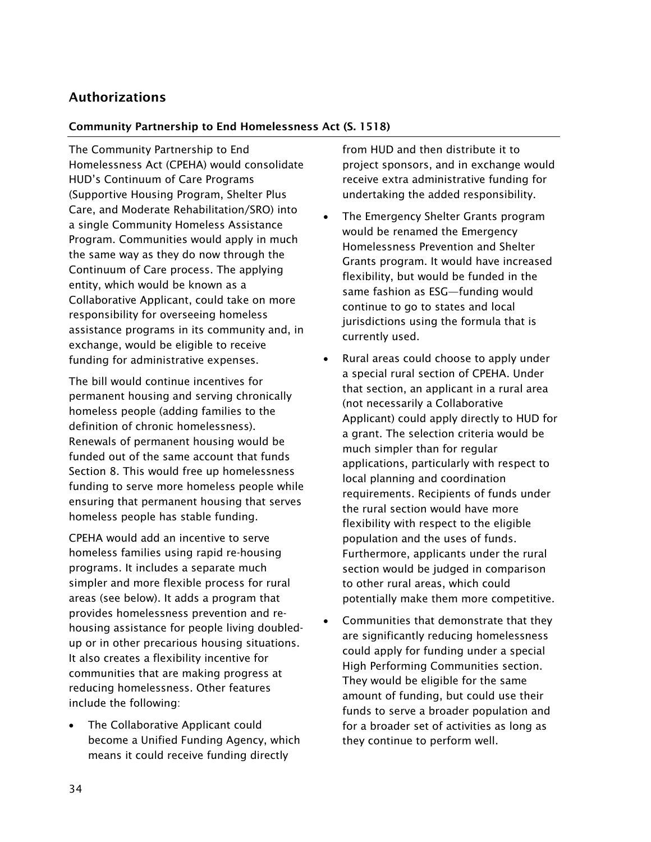## Authorizations

#### Community Partnership to End Homelessness Act (S. 1518)

The Community Partnership to End Homelessness Act (CPEHA) would consolidate HUD's Continuum of Care Programs (Supportive Housing Program, Shelter Plus Care, and Moderate Rehabilitation/SRO) into a single Community Homeless Assistance Program. Communities would apply in much the same way as they do now through the Continuum of Care process. The applying entity, which would be known as a Collaborative Applicant, could take on more responsibility for overseeing homeless assistance programs in its community and, in exchange, would be eligible to receive funding for administrative expenses.

The bill would continue incentives for permanent housing and serving chronically homeless people (adding families to the definition of chronic homelessness). Renewals of permanent housing would be funded out of the same account that funds Section 8. This would free up homelessness funding to serve more homeless people while ensuring that permanent housing that serves homeless people has stable funding.

CPEHA would add an incentive to serve homeless families using rapid re-housing programs. It includes a separate much simpler and more flexible process for rural areas (see below). It adds a program that provides homelessness prevention and rehousing assistance for people living doubledup or in other precarious housing situations. It also creates a flexibility incentive for communities that are making progress at reducing homelessness. Other features include the following:

- The Collaborative Applicant could become a Unified Funding Agency, which means it could receive funding directly

from HUD and then distribute it to project sponsors, and in exchange would receive extra administrative funding for undertaking the added responsibility.

- - The Emergency Shelter Grants program would be renamed the Emergency Homelessness Prevention and Shelter Grants program. It would have increased flexibility, but would be funded in the same fashion as ESG—funding would continue to go to states and local jurisdictions using the formula that is currently used.
- - Rural areas could choose to apply under a special rural section of CPEHA. Under that section, an applicant in a rural area (not necessarily a Collaborative Applicant) could apply directly to HUD for a grant. The selection criteria would be much simpler than for regular applications, particularly with respect to local planning and coordination requirements. Recipients of funds under the rural section would have more flexibility with respect to the eligible population and the uses of funds. Furthermore, applicants under the rural section would be judged in comparison to other rural areas, which could potentially make them more competitive.
- - Communities that demonstrate that they are significantly reducing homelessness could apply for funding under a special High Performing Communities section. They would be eligible for the same amount of funding, but could use their funds to serve a broader population and for a broader set of activities as long as they continue to perform well.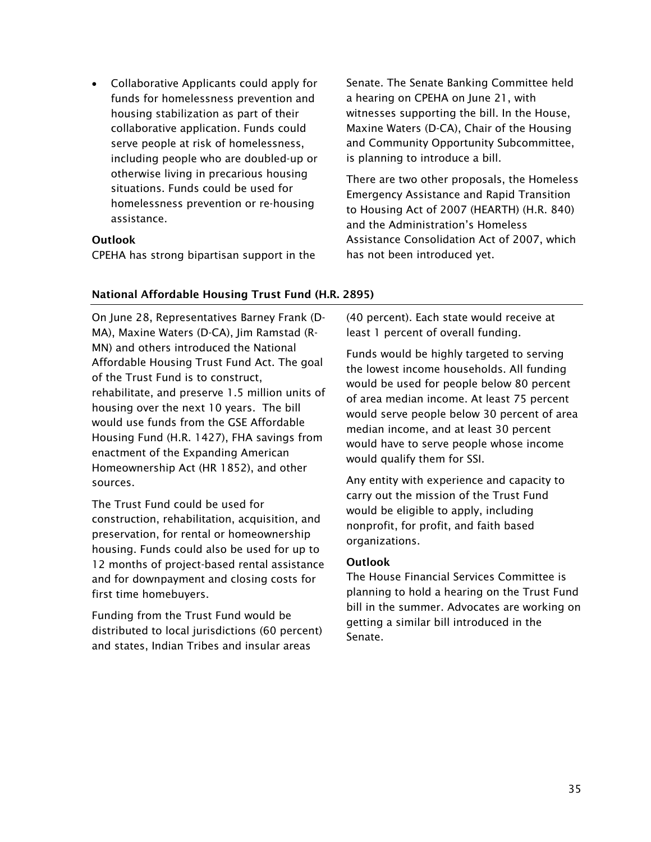$\bullet$  Collaborative Applicants could apply for funds for homelessness prevention and housing stabilization as part of their collaborative application. Funds could serve people at risk of homelessness, including people who are doubled-up or otherwise living in precarious housing situations. Funds could be used for homelessness prevention or re-housing assistance.

#### **Outlook**

CPEHA has strong bipartisan support in the

Senate. The Senate Banking Committee held a hearing on CPEHA on June 21, with witnesses supporting the bill. In the House, Maxine Waters (D-CA), Chair of the Housing and Community Opportunity Subcommittee, is planning to introduce a bill.

There are two other proposals, the Homeless Emergency Assistance and Rapid Transition to Housing Act of 2007 (HEARTH) (H.R. 840) and the Administration's Homeless Assistance Consolidation Act of 2007, which has not been introduced yet.

#### National Affordable Housing Trust Fund (H.R. 2895)

On June 28, Representatives Barney Frank (D-MA), Maxine Waters (D-CA), Jim Ramstad (R-MN) and others introduced the National Affordable Housing Trust Fund Act. The goal of the Trust Fund is to construct, rehabilitate, and preserve 1.5 million units of housing over the next 10 years. The bill would use funds from the GSE Affordable Housing Fund (H.R. 1427), FHA savings from enactment of the Expanding American Homeownership Act (HR 1852), and other sources.

The Trust Fund could be used for construction, rehabilitation, acquisition, and preservation, for rental or homeownership housing. Funds could also be used for up to 12 months of project-based rental assistance and for downpayment and closing costs for first time homebuyers.

Funding from the Trust Fund would be distributed to local jurisdictions (60 percent) and states, Indian Tribes and insular areas

(40 percent). Each state would receive at least 1 percent of overall funding.

Funds would be highly targeted to serving the lowest income households. All funding would be used for people below 80 percent of area median income. At least 75 percent would serve people below 30 percent of area median income, and at least 30 percent would have to serve people whose income would qualify them for SSI.

Any entity with experience and capacity to carry out the mission of the Trust Fund would be eligible to apply, including nonprofit, for profit, and faith based organizations.

#### **Outlook**

The House Financial Services Committee is planning to hold a hearing on the Trust Fund bill in the summer. Advocates are working on getting a similar bill introduced in the Senate.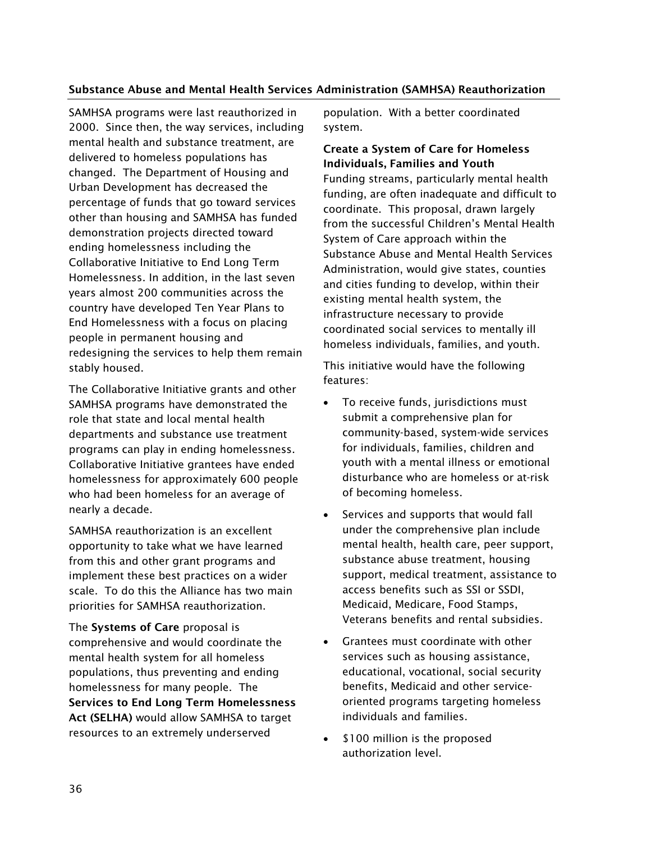#### Substance Abuse and Mental Health Services Administration (SAMHSA) Reauthorization

SAMHSA programs were last reauthorized in 2000. Since then, the way services, including mental health and substance treatment, are delivered to homeless populations has changed. The Department of Housing and Urban Development has decreased the percentage of funds that go toward services other than housing and SAMHSA has funded demonstration projects directed toward ending homelessness including the Collaborative Initiative to End Long Term Homelessness. In addition, in the last seven years almost 200 communities across the country have developed Ten Year Plans to End Homelessness with a focus on placing people in permanent housing and redesigning the services to help them remain stably housed.

The Collaborative Initiative grants and other SAMHSA programs have demonstrated the role that state and local mental health departments and substance use treatment programs can play in ending homelessness. Collaborative Initiative grantees have ended homelessness for approximately 600 people who had been homeless for an average of nearly a decade.

SAMHSA reauthorization is an excellent opportunity to take what we have learned from this and other grant programs and implement these best practices on a wider scale. To do this the Alliance has two main priorities for SAMHSA reauthorization.

The Systems of Care proposal is comprehensive and would coordinate the mental health system for all homeless populations, thus preventing and ending homelessness for many people. The Services to End Long Term Homelessness Act (SELHA) would allow SAMHSA to target resources to an extremely underserved

population. With a better coordinated system.

Create a System of Care for Homeless Individuals, Families and Youth Funding streams, particularly mental health funding, are often inadequate and difficult to coordinate. This proposal, drawn largely from the successful Children's Mental Health System of Care approach within the Substance Abuse and Mental Health Services Administration, would give states, counties and cities funding to develop, within their existing mental health system, the infrastructure necessary to provide coordinated social services to mentally ill homeless individuals, families, and youth.

This initiative would have the following features:

- $\bullet$  To receive funds, jurisdictions must submit a comprehensive plan for community-based, system-wide services for individuals, families, children and youth with a mental illness or emotional disturbance who are homeless or at-risk of becoming homeless.
- $\bullet$  Services and supports that would fall under the comprehensive plan include mental health, health care, peer support, substance abuse treatment, housing support, medical treatment, assistance to access benefits such as SSI or SSDI, Medicaid, Medicare, Food Stamps, Veterans benefits and rental subsidies.
- Grantees must coordinate with other services such as housing assistance, educational, vocational, social security benefits, Medicaid and other serviceoriented programs targeting homeless individuals and families.
- $\bullet$ \$100 million is the proposed authorization level.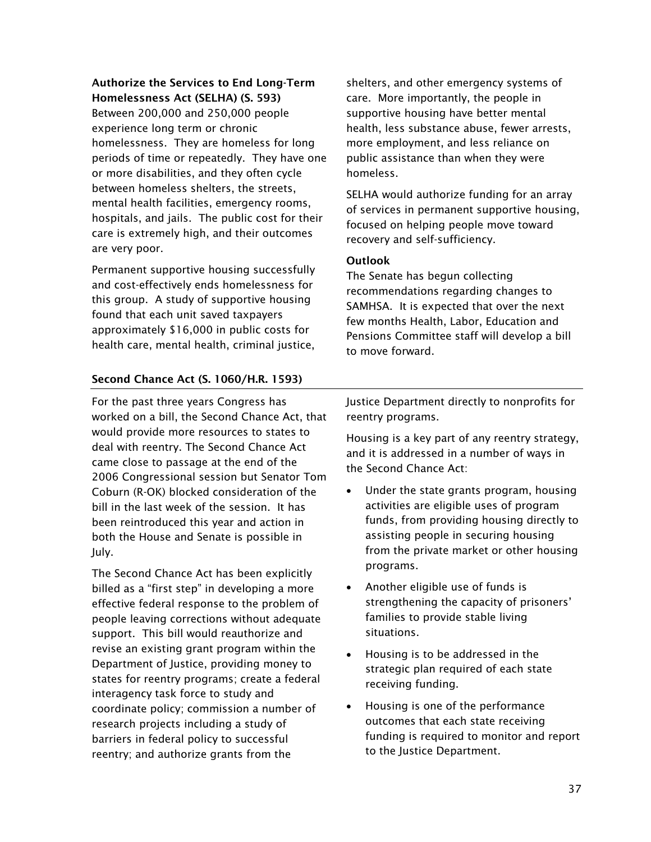#### Authorize the Services to End Long-Term Homelessness Act (SELHA) (S. 593)

Between 200,000 and 250,000 people experience long term or chronic homelessness. They are homeless for long periods of time or repeatedly. They have one or more disabilities, and they often cycle between homeless shelters, the streets, mental health facilities, emergency rooms, hospitals, and jails. The public cost for their care is extremely high, and their outcomes are very poor.

Permanent supportive housing successfully and cost-effectively ends homelessness for this group. A study of supportive housing found that each unit saved taxpayers approximately \$16,000 in public costs for health care, mental health, criminal justice,

## Second Chance Act (S. 1060/H.R. 1593)

For the past three years Congress has worked on a bill, the Second Chance Act, that would provide more resources to states to deal with reentry. The Second Chance Act came close to passage at the end of the 2006 Congressional session but Senator Tom Coburn (R-OK) blocked consideration of the bill in the last week of the session. It has been reintroduced this year and action in both the House and Senate is possible in July.

The Second Chance Act has been explicitly billed as a "first step" in developing a more effective federal response to the problem of people leaving corrections without adequate support. This bill would reauthorize and revise an existing grant program within the Department of Justice, providing money to states for reentry programs; create a federal interagency task force to study and coordinate policy; commission a number of research projects including a study of barriers in federal policy to successful reentry; and authorize grants from the

shelters, and other emergency systems of care. More importantly, the people in supportive housing have better mental health, less substance abuse, fewer arrests, more employment, and less reliance on public assistance than when they were homeless.

SELHA would authorize funding for an array of services in permanent supportive housing, focused on helping people move toward recovery and self-sufficiency.

#### **Outlook**

The Senate has begun collecting recommendations regarding changes to SAMHSA. It is expected that over the next few months Health, Labor, Education and Pensions Committee staff will develop a bill to move forward.

Justice Department directly to nonprofits for reentry programs.

Housing is a key part of any reentry strategy, and it is addressed in a number of ways in the Second Chance Act:

- $\bullet$  Under the state grants program, housing activities are eligible uses of program funds, from providing housing directly to assisting people in securing housing from the private market or other housing programs.
- - Another eligible use of funds is strengthening the capacity of prisoners' families to provide stable living situations.
- - Housing is to be addressed in the strategic plan required of each state receiving funding.
- - Housing is one of the performance outcomes that each state receiving funding is required to monitor and report to the Justice Department.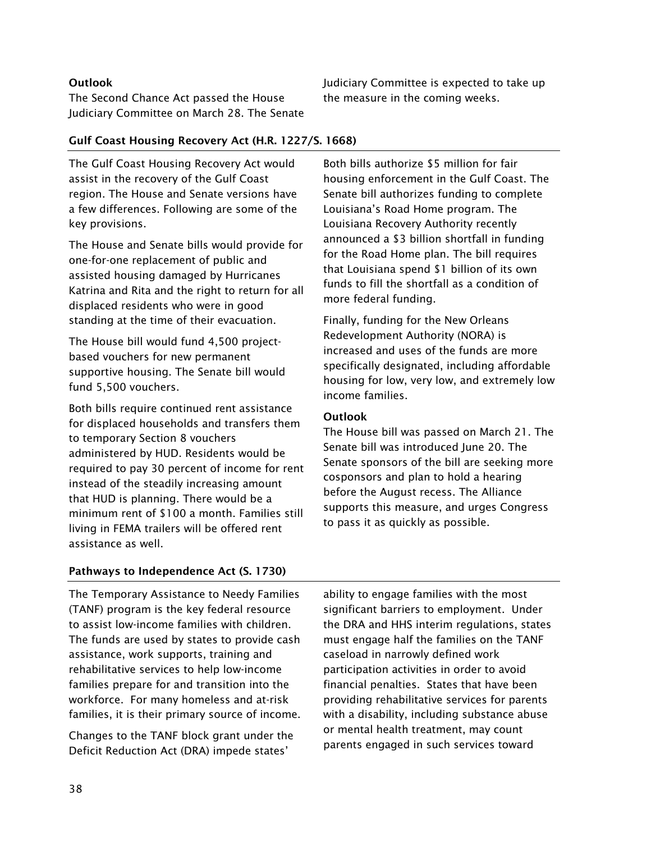#### **Outlook**

The Second Chance Act passed the House Judiciary Committee on March 28. The Senate Judiciary Committee is expected to take up the measure in the coming weeks.

#### Gulf Coast Housing Recovery Act (H.R. 1227/S. 1668)

The Gulf Coast Housing Recovery Act would assist in the recovery of the Gulf Coast region. The House and Senate versions have a few differences. Following are some of the key provisions.

The House and Senate bills would provide for one-for-one replacement of public and assisted housing damaged by Hurricanes Katrina and Rita and the right to return for all displaced residents who were in good standing at the time of their evacuation.

The House bill would fund 4,500 projectbased vouchers for new permanent supportive housing. The Senate bill would fund 5,500 vouchers.

Both bills require continued rent assistance for displaced households and transfers them to temporary Section 8 vouchers administered by HUD. Residents would be required to pay 30 percent of income for rent instead of the steadily increasing amount that HUD is planning. There would be a minimum rent of \$100 a month. Families still living in FEMA trailers will be offered rent assistance as well.

Both bills authorize \$5 million for fair housing enforcement in the Gulf Coast. The Senate bill authorizes funding to complete Louisiana's Road Home program. The Louisiana Recovery Authority recently announced a \$3 billion shortfall in funding for the Road Home plan. The bill requires that Louisiana spend \$1 billion of its own funds to fill the shortfall as a condition of more federal funding.

Finally, funding for the New Orleans Redevelopment Authority (NORA) is increased and uses of the funds are more specifically designated, including affordable housing for low, very low, and extremely low income families.

#### **Outlook**

The House bill was passed on March 21. The Senate bill was introduced June 20. The Senate sponsors of the bill are seeking more cosponsors and plan to hold a hearing before the August recess. The Alliance supports this measure, and urges Congress to pass it as quickly as possible.

#### Pathways to Independence Act (S. 1730)

The Temporary Assistance to Needy Families (TANF) program is the key federal resource to assist low-income families with children. The funds are used by states to provide cash assistance, work supports, training and rehabilitative services to help low-income families prepare for and transition into the workforce. For many homeless and at-risk families, it is their primary source of income.

Changes to the TANF block grant under the Deficit Reduction Act (DRA) impede states'

ability to engage families with the most significant barriers to employment. Under the DRA and HHS interim regulations, states must engage half the families on the TANF caseload in narrowly defined work participation activities in order to avoid financial penalties. States that have been providing rehabilitative services for parents with a disability, including substance abuse or mental health treatment, may count parents engaged in such services toward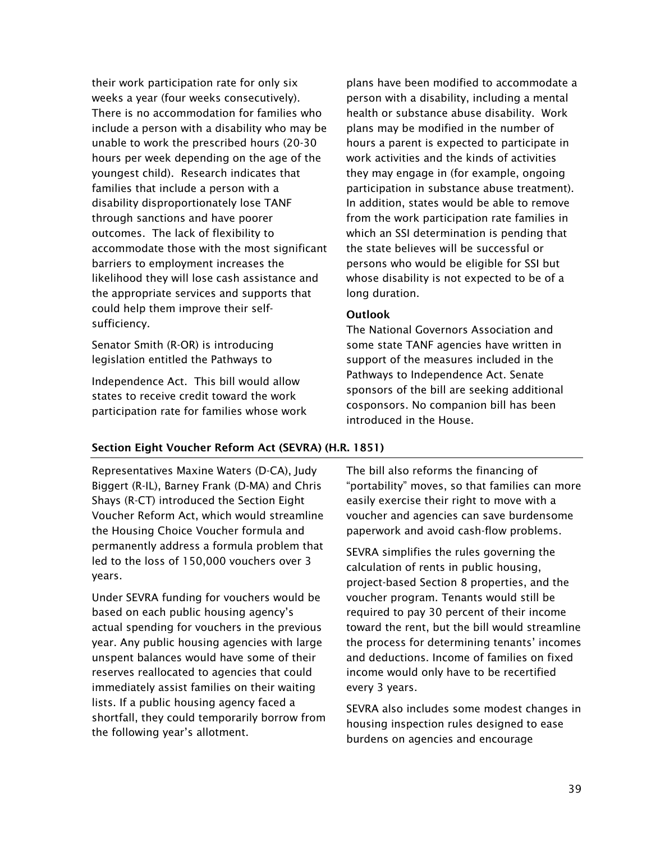their work participation rate for only six weeks a year (four weeks consecutively). There is no accommodation for families who include a person with a disability who may be unable to work the prescribed hours (20-30 hours per week depending on the age of the youngest child). Research indicates that families that include a person with a disability disproportionately lose TANF through sanctions and have poorer outcomes. The lack of flexibility to accommodate those with the most significant barriers to employment increases the likelihood they will lose cash assistance and the appropriate services and supports that could help them improve their selfsufficiency.

Senator Smith (R-OR) is introducing legislation entitled the Pathways to

Independence Act. This bill would allow states to receive credit toward the work participation rate for families whose work

plans have been modified to accommodate a person with a disability, including a mental health or substance abuse disability. Work plans may be modified in the number of hours a parent is expected to participate in work activities and the kinds of activities they may engage in (for example, ongoing participation in substance abuse treatment). In addition, states would be able to remove from the work participation rate families in which an SSI determination is pending that the state believes will be successful or persons who would be eligible for SSI but whose disability is not expected to be of a long duration.

#### **Outlook**

The National Governors Association and some state TANF agencies have written in support of the measures included in the Pathways to Independence Act. Senate sponsors of the bill are seeking additional cosponsors. No companion bill has been introduced in the House.

#### Section Eight Voucher Reform Act (SEVRA) (H.R. 1851)

Representatives Maxine Waters (D-CA), Judy Biggert (R-IL), Barney Frank (D-MA) and Chris Shays (R-CT) introduced the Section Eight Voucher Reform Act, which would streamline the Housing Choice Voucher formula and permanently address a formula problem that led to the loss of 150,000 vouchers over 3 years.

Under SEVRA funding for vouchers would be based on each public housing agency's actual spending for vouchers in the previous year. Any public housing agencies with large unspent balances would have some of their reserves reallocated to agencies that could immediately assist families on their waiting lists. If a public housing agency faced a shortfall, they could temporarily borrow from the following year's allotment.

The bill also reforms the financing of "portability" moves, so that families can more easily exercise their right to move with a voucher and agencies can save burdensome paperwork and avoid cash-flow problems.

SEVRA simplifies the rules governing the calculation of rents in public housing, project-based Section 8 properties, and the voucher program. Tenants would still be required to pay 30 percent of their income toward the rent, but the bill would streamline the process for determining tenants' incomes and deductions. Income of families on fixed income would only have to be recertified every 3 years.

SEVRA also includes some modest changes in housing inspection rules designed to ease burdens on agencies and encourage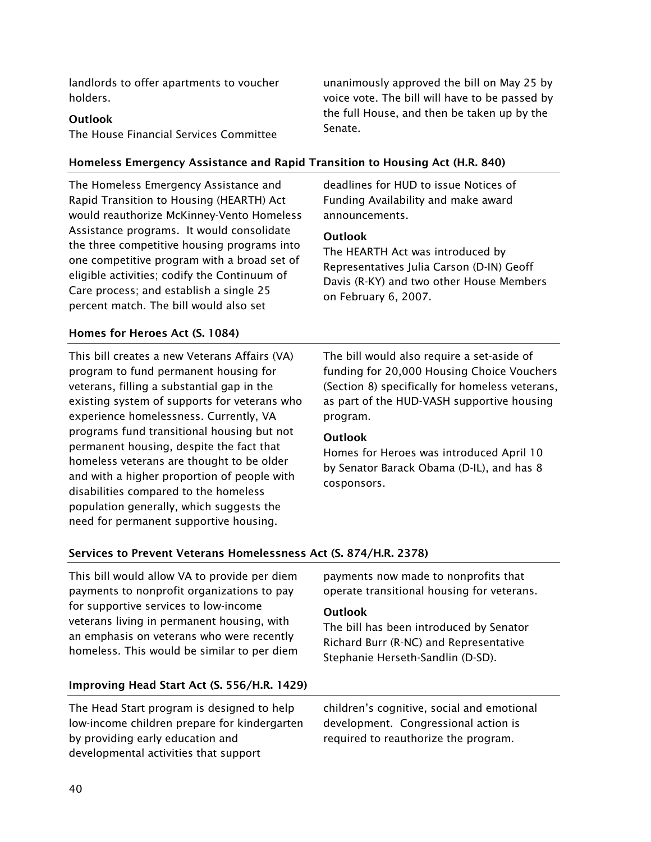landlords to offer apartments to voucher holders.

#### Outlook

The House Financial Services Committee

#### Homeless Emergency Assistance and Rapid Transition to Housing Act (H.R. 840)

The Homeless Emergency Assistance and Rapid Transition to Housing (HEARTH) Act would reauthorize McKinney-Vento Homeless Assistance programs. It would consolidate the three competitive housing programs into one competitive program with a broad set of eligible activities; codify the Continuum of Care process; and establish a single 25 percent match. The bill would also set

deadlines for HUD to issue Notices of Funding Availability and make award announcements.

#### **Outlook**

Senate.

The HEARTH Act was introduced by Representatives Julia Carson (D-IN) Geoff Davis (R-KY) and two other House Members on February 6, 2007.

unanimously approved the bill on May 25 by voice vote. The bill will have to be passed by the full House, and then be taken up by the

#### Homes for Heroes Act (S. 1084)

This bill creates a new Veterans Affairs (VA) program to fund permanent housing for veterans, filling a substantial gap in the existing system of supports for veterans who experience homelessness. Currently, VA programs fund transitional housing but not permanent housing, despite the fact that homeless veterans are thought to be older and with a higher proportion of people with disabilities compared to the homeless population generally, which suggests the need for permanent supportive housing.

The bill would also require a set-aside of funding for 20,000 Housing Choice Vouchers (Section 8) specifically for homeless veterans, as part of the HUD-VASH supportive housing program.

#### **Outlook**

Homes for Heroes was introduced April 10 by Senator Barack Obama (D-IL), and has 8 cosponsors.

#### Services to Prevent Veterans Homelessness Act (S. 874/H.R. 2378)

This bill would allow VA to provide per diem payments to nonprofit organizations to pay for supportive services to low-income veterans living in permanent housing, with an emphasis on veterans who were recently homeless. This would be similar to per diem payments now made to nonprofits that operate transitional housing for veterans.

#### **Outlook**

The bill has been introduced by Senator Richard Burr (R-NC) and Representative Stephanie Herseth-Sandlin (D-SD).

#### Improving Head Start Act (S. 556/H.R. 1429)

The Head Start program is designed to help low-income children prepare for kindergarten by providing early education and developmental activities that support

children's cognitive, social and emotional development. Congressional action is required to reauthorize the program.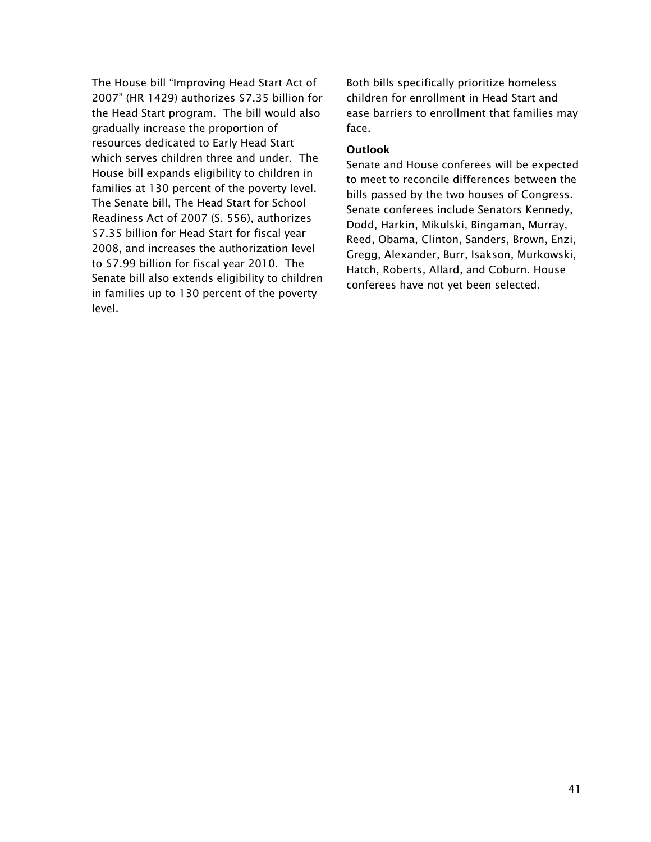The House bill "Improving Head Start Act of 2007" (HR 1429) authorizes \$7.35 billion for the Head Start program. The bill would also gradually increase the proportion of resources dedicated to Early Head Start which serves children three and under. The House bill expands eligibility to children in families at 130 percent of the poverty level. The Senate bill, The Head Start for School Readiness Act of 2007 (S. 556), authorizes \$7.35 billion for Head Start for fiscal year 2008, and increases the authorization level to \$7.99 billion for fiscal year 2010. The Senate bill also extends eligibility to children in families up to 130 percent of the poverty level.

Both bills specifically prioritize homeless children for enrollment in Head Start and ease barriers to enrollment that families may face.

#### **Outlook**

Senate and House conferees will be expected to meet to reconcile differences between the bills passed by the two houses of Congress. Senate conferees include Senators Kennedy, Dodd, Harkin, Mikulski, Bingaman, Murray, Reed, Obama, Clinton, Sanders, Brown, Enzi, Gregg, Alexander, Burr, Isakson, Murkowski, Hatch, Roberts, Allard, and Coburn. House conferees have not yet been selected.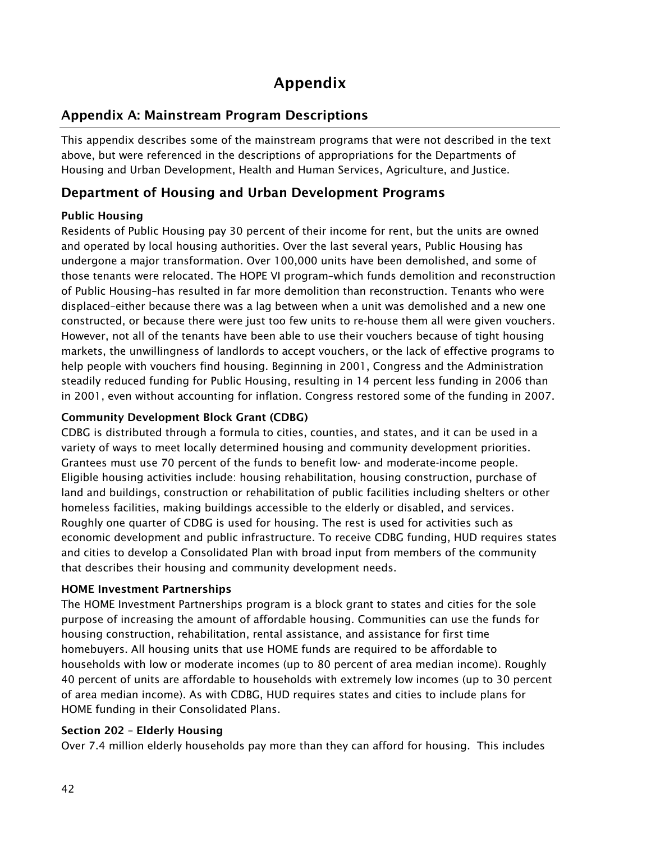# Appendix

## Appendix A: Mainstream Program Descriptions

This appendix describes some of the mainstream programs that were not described in the text above, but were referenced in the descriptions of appropriations for the Departments of Housing and Urban Development, Health and Human Services, Agriculture, and Justice.

## Department of Housing and Urban Development Programs

## Public Housing

Residents of Public Housing pay 30 percent of their income for rent, but the units are owned and operated by local housing authorities. Over the last several years, Public Housing has undergone a major transformation. Over 100,000 units have been demolished, and some of those tenants were relocated. The HOPE VI program–which funds demolition and reconstruction of Public Housing–has resulted in far more demolition than reconstruction. Tenants who were displaced–either because there was a lag between when a unit was demolished and a new one constructed, or because there were just too few units to re-house them all were given vouchers. However, not all of the tenants have been able to use their vouchers because of tight housing markets, the unwillingness of landlords to accept vouchers, or the lack of effective programs to help people with vouchers find housing. Beginning in 2001, Congress and the Administration steadily reduced funding for Public Housing, resulting in 14 percent less funding in 2006 than in 2001, even without accounting for inflation. Congress restored some of the funding in 2007.

#### Community Development Block Grant (CDBG)

CDBG is distributed through a formula to cities, counties, and states, and it can be used in a variety of ways to meet locally determined housing and community development priorities. Grantees must use 70 percent of the funds to benefit low- and moderate-income people. Eligible housing activities include: housing rehabilitation, housing construction, purchase of land and buildings, construction or rehabilitation of public facilities including shelters or other homeless facilities, making buildings accessible to the elderly or disabled, and services. Roughly one quarter of CDBG is used for housing. The rest is used for activities such as economic development and public infrastructure. To receive CDBG funding, HUD requires states and cities to develop a Consolidated Plan with broad input from members of the community that describes their housing and community development needs.

#### HOME Investment Partnerships

The HOME Investment Partnerships program is a block grant to states and cities for the sole purpose of increasing the amount of affordable housing. Communities can use the funds for housing construction, rehabilitation, rental assistance, and assistance for first time homebuyers. All housing units that use HOME funds are required to be affordable to households with low or moderate incomes (up to 80 percent of area median income). Roughly 40 percent of units are affordable to households with extremely low incomes (up to 30 percent of area median income). As with CDBG, HUD requires states and cities to include plans for HOME funding in their Consolidated Plans.

#### Section 202 – Elderly Housing

Over 7.4 million elderly households pay more than they can afford for housing. This includes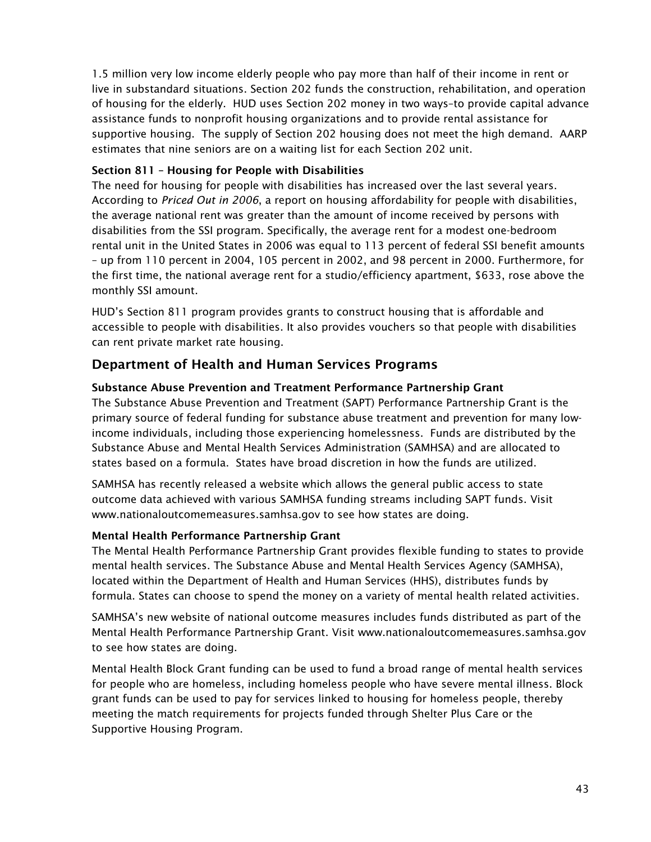1.5 million very low income elderly people who pay more than half of their income in rent or live in substandard situations. Section 202 funds the construction, rehabilitation, and operation of housing for the elderly. HUD uses Section 202 money in two ways–to provide capital advance assistance funds to nonprofit housing organizations and to provide rental assistance for supportive housing. The supply of Section 202 housing does not meet the high demand. AARP estimates that nine seniors are on a waiting list for each Section 202 unit.

#### Section 811 – Housing for People with Disabilities

The need for housing for people with disabilities has increased over the last several years. According to *Priced Out in 2006*, a report on housing affordability for people with disabilities, the average national rent was greater than the amount of income received by persons with disabilities from the SSI program. Specifically, the average rent for a modest one-bedroom rental unit in the United States in 2006 was equal to 113 percent of federal SSI benefit amounts – up from 110 percent in 2004, 105 percent in 2002, and 98 percent in 2000. Furthermore, for the first time, the national average rent for a studio/efficiency apartment, \$633, rose above the monthly SSI amount.

HUD's Section 811 program provides grants to construct housing that is affordable and accessible to people with disabilities. It also provides vouchers so that people with disabilities can rent private market rate housing.

## Department of Health and Human Services Programs

#### Substance Abuse Prevention and Treatment Performance Partnership Grant

The Substance Abuse Prevention and Treatment (SAPT) Performance Partnership Grant is the primary source of federal funding for substance abuse treatment and prevention for many lowincome individuals, including those experiencing homelessness. Funds are distributed by the Substance Abuse and Mental Health Services Administration (SAMHSA) and are allocated to states based on a formula. States have broad discretion in how the funds are utilized.

SAMHSA has recently released a website which allows the general public access to state outcome data achieved with various SAMHSA funding streams including SAPT funds. Visit www.nationaloutcomemeasures.samhsa.gov to see how states are doing.

#### Mental Health Performance Partnership Grant

The Mental Health Performance Partnership Grant provides flexible funding to states to provide mental health services. The Substance Abuse and Mental Health Services Agency (SAMHSA), located within the Department of Health and Human Services (HHS), distributes funds by formula. States can choose to spend the money on a variety of mental health related activities.

SAMHSA's new website of national outcome measures includes funds distributed as part of the Mental Health Performance Partnership Grant. Visit www.nationaloutcomemeasures.samhsa.gov to see how states are doing.

Mental Health Block Grant funding can be used to fund a broad range of mental health services for people who are homeless, including homeless people who have severe mental illness. Block grant funds can be used to pay for services linked to housing for homeless people, thereby meeting the match requirements for projects funded through Shelter Plus Care or the Supportive Housing Program.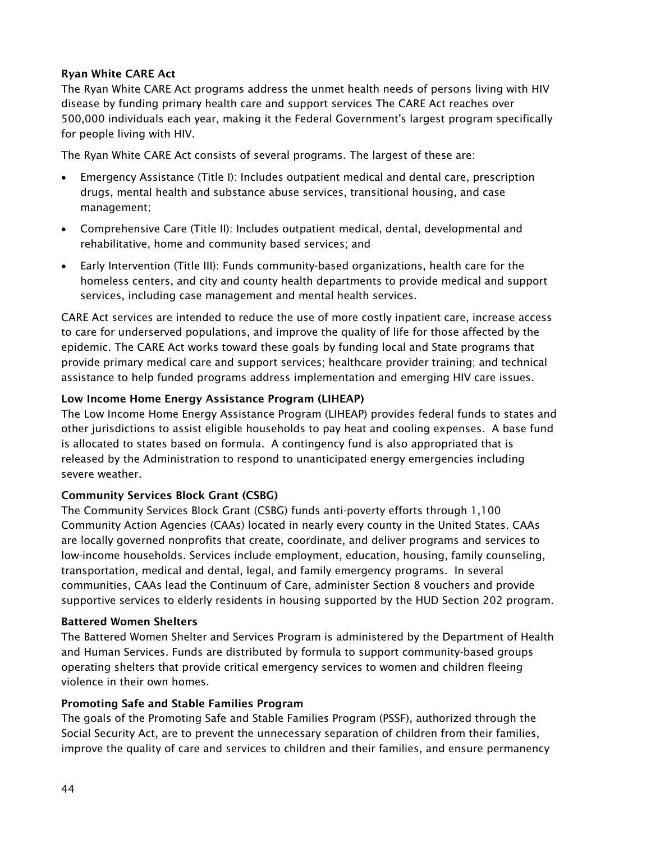#### Ryan White CARE Act

The Ryan White CARE Act programs address the unmet health needs of persons living with HIV disease by funding primary health care and support services The CARE Act reaches over 500,000 individuals each year, making it the Federal Government's largest program specifically for people living with HIV.

The Ryan White CARE Act consists of several programs. The largest of these are:

- $\bullet$  Emergency Assistance (Title I): Includes outpatient medical and dental care, prescription drugs, mental health and substance abuse services, transitional housing, and case management;
- Comprehensive Care (Title II): Includes outpatient medical, dental, developmental and rehabilitative, home and community based services; and
- Early Intervention (Title III): Funds community-based organizations, health care for the homeless centers, and city and county health departments to provide medical and support services, including case management and mental health services.

CARE Act services are intended to reduce the use of more costly inpatient care, increase access to care for underserved populations, and improve the quality of life for those affected by the epidemic. The CARE Act works toward these goals by funding local and State programs that provide primary medical care and support services; healthcare provider training; and technical assistance to help funded programs address implementation and emerging HIV care issues.

#### Low Income Home Energy Assistance Program (LIHEAP)

The Low Income Home Energy Assistance Program (LIHEAP) provides federal funds to states and other jurisdictions to assist eligible households to pay heat and cooling expenses. A base fund is allocated to states based on formula. A contingency fund is also appropriated that is released by the Administration to respond to unanticipated energy emergencies including severe weather.

#### Community Services Block Grant (CSBG)

The Community Services Block Grant (CSBG) funds anti-poverty efforts through 1,100 Community Action Agencies (CAAs) located in nearly every county in the United States. CAAs are locally governed nonprofits that create, coordinate, and deliver programs and services to low-income households. Services include employment, education, housing, family counseling, transportation, medical and dental, legal, and family emergency programs. In several communities, CAAs lead the Continuum of Care, administer Section 8 vouchers and provide supportive services to elderly residents in housing supported by the HUD Section 202 program.

#### Battered Women Shelters

The Battered Women Shelter and Services Program is administered by the Department of Health and Human Services. Funds are distributed by formula to support community-based groups operating shelters that provide critical emergency services to women and children fleeing violence in their own homes.

#### Promoting Safe and Stable Families Program

The goals of the Promoting Safe and Stable Families Program (PSSF), authorized through the Social Security Act, are to prevent the unnecessary separation of children from their families, improve the quality of care and services to children and their families, and ensure permanency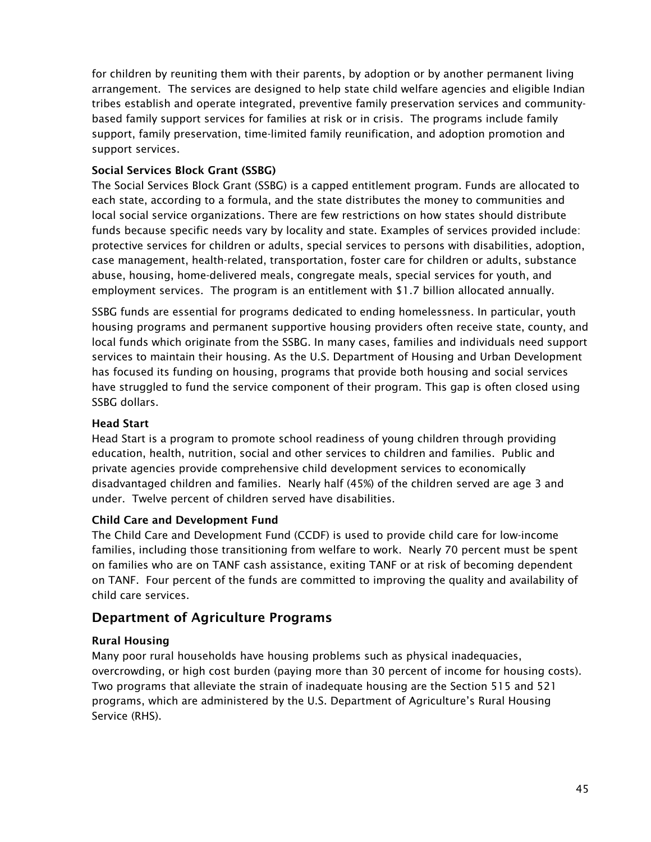for children by reuniting them with their parents, by adoption or by another permanent living arrangement. The services are designed to help state child welfare agencies and eligible Indian tribes establish and operate integrated, preventive family preservation services and communitybased family support services for families at risk or in crisis. The programs include family support, family preservation, time-limited family reunification, and adoption promotion and support services.

#### Social Services Block Grant (SSBG)

The Social Services Block Grant (SSBG) is a capped entitlement program. Funds are allocated to each state, according to a formula, and the state distributes the money to communities and local social service organizations. There are few restrictions on how states should distribute funds because specific needs vary by locality and state. Examples of services provided include: protective services for children or adults, special services to persons with disabilities, adoption, case management, health-related, transportation, foster care for children or adults, substance abuse, housing, home-delivered meals, congregate meals, special services for youth, and employment services. The program is an entitlement with \$1.7 billion allocated annually.

SSBG funds are essential for programs dedicated to ending homelessness. In particular, youth housing programs and permanent supportive housing providers often receive state, county, and local funds which originate from the SSBG. In many cases, families and individuals need support services to maintain their housing. As the U.S. Department of Housing and Urban Development has focused its funding on housing, programs that provide both housing and social services have struggled to fund the service component of their program. This gap is often closed using SSBG dollars.

#### Head Start

Head Start is a program to promote school readiness of young children through providing education, health, nutrition, social and other services to children and families. Public and private agencies provide comprehensive child development services to economically disadvantaged children and families. Nearly half (45%) of the children served are age 3 and under. Twelve percent of children served have disabilities.

#### Child Care and Development Fund

The Child Care and Development Fund (CCDF) is used to provide child care for low-income families, including those transitioning from welfare to work. Nearly 70 percent must be spent on families who are on TANF cash assistance, exiting TANF or at risk of becoming dependent on TANF. Four percent of the funds are committed to improving the quality and availability of child care services.

## Department of Agriculture Programs

#### Rural Housing

Many poor rural households have housing problems such as physical inadequacies, overcrowding, or high cost burden (paying more than 30 percent of income for housing costs). Two programs that alleviate the strain of inadequate housing are the Section 515 and 521 programs, which are administered by the U.S. Department of Agriculture's Rural Housing Service (RHS).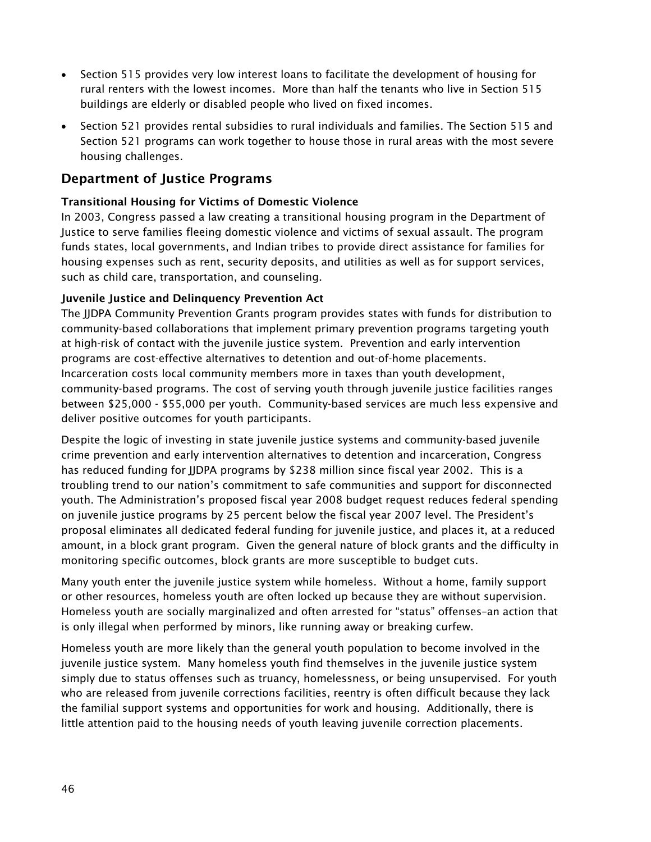- Section 515 provides very low interest loans to facilitate the development of housing for rural renters with the lowest incomes. More than half the tenants who live in Section 515 buildings are elderly or disabled people who lived on fixed incomes.
- Section 521 provides rental subsidies to rural individuals and families. The Section 515 and Section 521 programs can work together to house those in rural areas with the most severe housing challenges.

## Department of Justice Programs

#### Transitional Housing for Victims of Domestic Violence

In 2003, Congress passed a law creating a transitional housing program in the Department of Justice to serve families fleeing domestic violence and victims of sexual assault. The program funds states, local governments, and Indian tribes to provide direct assistance for families for housing expenses such as rent, security deposits, and utilities as well as for support services, such as child care, transportation, and counseling.

#### Juvenile Justice and Delinquency Prevention Act

The JJDPA Community Prevention Grants program provides states with funds for distribution to community-based collaborations that implement primary prevention programs targeting youth at high-risk of contact with the juvenile justice system. Prevention and early intervention programs are cost-effective alternatives to detention and out-of-home placements. Incarceration costs local community members more in taxes than youth development, community-based programs. The cost of serving youth through juvenile justice facilities ranges between \$25,000 - \$55,000 per youth. Community-based services are much less expensive and deliver positive outcomes for youth participants.

Despite the logic of investing in state juvenile justice systems and community-based juvenile crime prevention and early intervention alternatives to detention and incarceration, Congress has reduced funding for JJDPA programs by \$238 million since fiscal year 2002. This is a troubling trend to our nation's commitment to safe communities and support for disconnected youth. The Administration's proposed fiscal year 2008 budget request reduces federal spending on juvenile justice programs by 25 percent below the fiscal year 2007 level. The President's proposal eliminates all dedicated federal funding for juvenile justice, and places it, at a reduced amount, in a block grant program. Given the general nature of block grants and the difficulty in monitoring specific outcomes, block grants are more susceptible to budget cuts.

Many youth enter the juvenile justice system while homeless. Without a home, family support or other resources, homeless youth are often locked up because they are without supervision. Homeless youth are socially marginalized and often arrested for "status" offenses–an action that is only illegal when performed by minors, like running away or breaking curfew.

Homeless youth are more likely than the general youth population to become involved in the juvenile justice system. Many homeless youth find themselves in the juvenile justice system simply due to status offenses such as truancy, homelessness, or being unsupervised. For youth who are released from juvenile corrections facilities, reentry is often difficult because they lack the familial support systems and opportunities for work and housing. Additionally, there is little attention paid to the housing needs of youth leaving juvenile correction placements.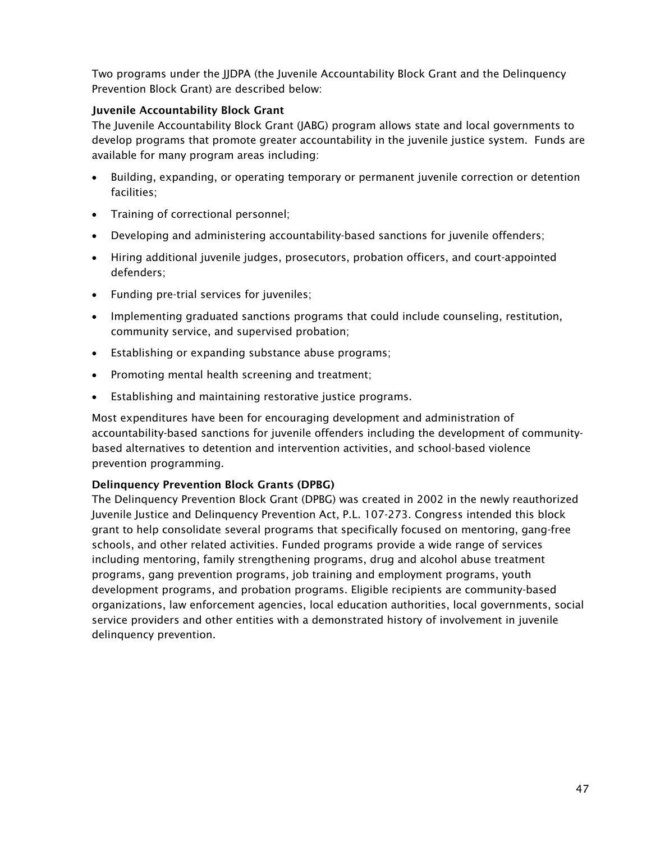Two programs under the JJDPA (the Juvenile Accountability Block Grant and the Delinquency Prevention Block Grant) are described below:

#### Juvenile Accountability Block Grant

The Juvenile Accountability Block Grant (JABG) program allows state and local governments to develop programs that promote greater accountability in the juvenile justice system. Funds are available for many program areas including:

- $\bullet$  Building, expanding, or operating temporary or permanent juvenile correction or detention facilities;
- $\bullet$ Training of correctional personnel;
- Developing and administering accountability-based sanctions for juvenile offenders;
- Hiring additional juvenile judges, prosecutors, probation officers, and court-appointed defenders;
- Funding pre-trial services for juveniles;
- Implementing graduated sanctions programs that could include counseling, restitution, community service, and supervised probation;
- Establishing or expanding substance abuse programs;
- $\bullet$ Promoting mental health screening and treatment;
- $\bullet$ Establishing and maintaining restorative justice programs.

Most expenditures have been for encouraging development and administration of accountability-based sanctions for juvenile offenders including the development of communitybased alternatives to detention and intervention activities, and school-based violence prevention programming.

## Delinquency Prevention Block Grants (DPBG)

The Delinquency Prevention Block Grant (DPBG) was created in 2002 in the newly reauthorized Juvenile Justice and Delinquency Prevention Act, P.L. 107-273. Congress intended this block grant to help consolidate several programs that specifically focused on mentoring, gang-free schools, and other related activities. Funded programs provide a wide range of services including mentoring, family strengthening programs, drug and alcohol abuse treatment programs, gang prevention programs, job training and employment programs, youth development programs, and probation programs. Eligible recipients are community-based organizations, law enforcement agencies, local education authorities, local governments, social service providers and other entities with a demonstrated history of involvement in juvenile delinquency prevention.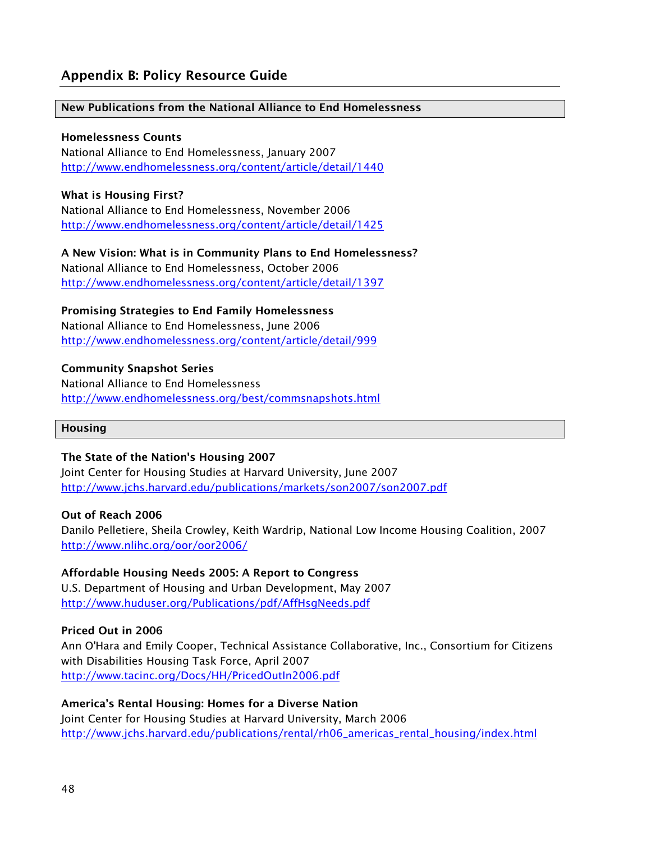## Appendix B: Policy Resource Guide

#### New Publications from the National Alliance to End Homelessness

#### Homelessness Counts

National Alliance to End Homelessness, January 2007 http://www.endhomelessness.org/content/article/detail/1440

#### What is Housing First?

National Alliance to End Homelessness, November 2006 http://www.endhomelessness.org/content/article/detail/1425

A New Vision: What is in Community Plans to End Homelessness? National Alliance to End Homelessness, October 2006 http://www.endhomelessness.org/content/article/detail/1397

#### Promising Strategies to End Family Homelessness

National Alliance to End Homelessness, June 2006 http://www.endhomelessness.org/content/article/detail/999

#### Community Snapshot Series

National Alliance to End Homelessness http://www.endhomelessness.org/best/commsnapshots.html

#### Housing

#### The State of the Nation's Housing 2007

Joint Center for Housing Studies at Harvard University, June 2007 http://www.jchs.harvard.edu/publications/markets/son2007/son2007.pdf

#### Out of Reach 2006

Danilo Pelletiere, Sheila Crowley, Keith Wardrip, National Low Income Housing Coalition, 2007 http://www.nlihc.org/oor/oor2006/

#### Affordable Housing Needs 2005: A Report to Congress

U.S. Department of Housing and Urban Development, May 2007 http://www.huduser.org/Publications/pdf/AffHsgNeeds.pdf

#### Priced Out in 2006

Ann O'Hara and Emily Cooper, Technical Assistance Collaborative, Inc., Consortium for Citizens with Disabilities Housing Task Force, April 2007 http://www.tacinc.org/Docs/HH/PricedOutIn2006.pdf

#### America's Rental Housing: Homes for a Diverse Nation

Joint Center for Housing Studies at Harvard University, March 2006 http://www.jchs.harvard.edu/publications/rental/rh06\_americas\_rental\_housing/index.html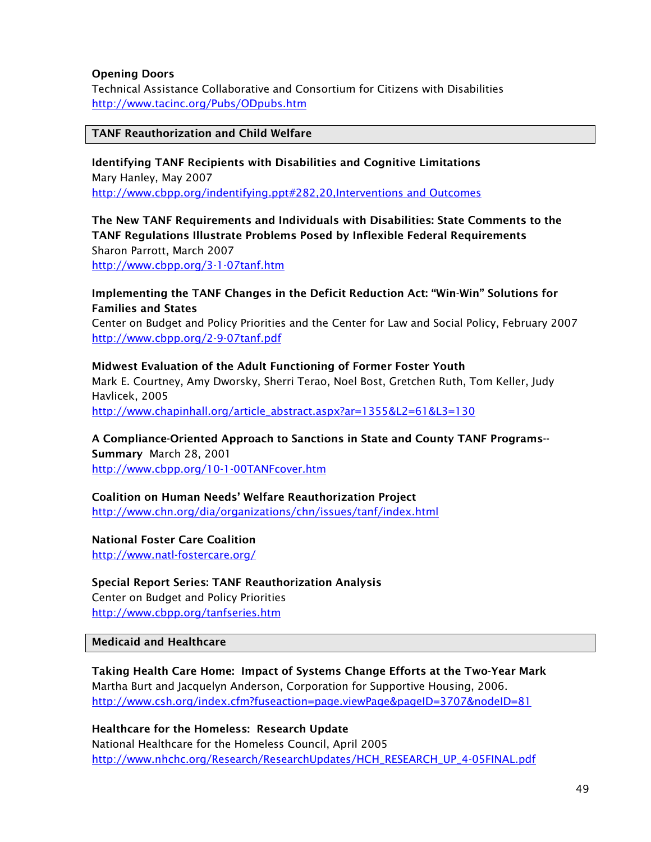#### Opening Doors

Technical Assistance Collaborative and Consortium for Citizens with Disabilities http://www.tacinc.org/Pubs/ODpubs.htm

#### TANF Reauthorization and Child Welfare

Identifying TANF Recipients with Disabilities and Cognitive Limitations Mary Hanley, May 2007 http://www.cbpp.org/indentifying.ppt#282,20,Interventions and Outcomes

The New TANF Requirements and Individuals with Disabilities: State Comments to the TANF Regulations Illustrate Problems Posed by Inflexible Federal Requirements Sharon Parrott, March 2007

http://www.cbpp.org/3-1-07tanf.htm

#### Implementing the TANF Changes in the Deficit Reduction Act: "Win-Win" Solutions for Families and States

Center on Budget and Policy Priorities and the Center for Law and Social Policy, February 2007 http://www.cbpp.org/2-9-07tanf.pdf

#### Midwest Evaluation of the Adult Functioning of Former Foster Youth

Mark E. Courtney, Amy Dworsky, Sherri Terao, Noel Bost, Gretchen Ruth, Tom Keller, Judy Havlicek, 2005

http://www.chapinhall.org/article\_abstract.aspx?ar=1355&L2=61&L3=130

#### A Compliance-Oriented Approach to Sanctions in State and County TANF Programs--

Summary March 28, 2001 http://www.cbpp.org/10-1-00TANFcover.htm

#### Coalition on Human Needs' Welfare Reauthorization Project

http://www.chn.org/dia/organizations/chn/issues/tanf/index.html

#### National Foster Care Coalition

http://www.natl-fostercare.org/

Special Report Series: TANF Reauthorization Analysis Center on Budget and Policy Priorities http://www.cbpp.org/tanfseries.htm

#### Medicaid and Healthcare

Taking Health Care Home: Impact of Systems Change Efforts at the Two-Year Mark Martha Burt and Jacquelyn Anderson, Corporation for Supportive Housing, 2006. http://www.csh.org/index.cfm?fuseaction=page.viewPage&pageID=3707&nodeID=81

Healthcare for the Homeless: Research Update National Healthcare for the Homeless Council, April 2005 http://www.nhchc.org/Research/ResearchUpdates/HCH\_RESEARCH\_UP\_4-05FINAL.pdf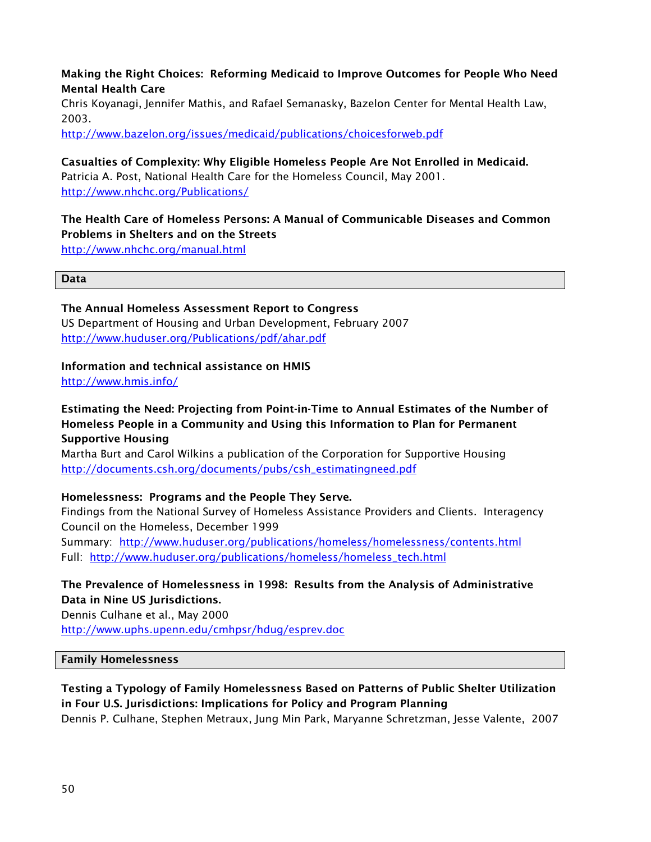#### Making the Right Choices: Reforming Medicaid to Improve Outcomes for People Who Need Mental Health Care

Chris Koyanagi, Jennifer Mathis, and Rafael Semanasky, Bazelon Center for Mental Health Law, 2003.

http://www.bazelon.org/issues/medicaid/publications/choicesforweb.pdf

#### Casualties of Complexity: Why Eligible Homeless People Are Not Enrolled in Medicaid. Patricia A. Post, National Health Care for the Homeless Council, May 2001. http://www.nhchc.org/Publications/

## The Health Care of Homeless Persons: A Manual of Communicable Diseases and Common Problems in Shelters and on the Streets

http://www.nhchc.org/manual.html

Data

The Annual Homeless Assessment Report to Congress US Department of Housing and Urban Development, February 2007 http://www.huduser.org/Publications/pdf/ahar.pdf

#### Information and technical assistance on HMIS

http://www.hmis.info/

#### Estimating the Need: Projecting from Point-in-Time to Annual Estimates of the Number of Homeless People in a Community and Using this Information to Plan for Permanent Supportive Housing

Martha Burt and Carol Wilkins a publication of the Corporation for Supportive Housing http://documents.csh.org/documents/pubs/csh\_estimatingneed.pdf

#### Homelessness: Programs and the People They Serve.

Findings from the National Survey of Homeless Assistance Providers and Clients. Interagency Council on the Homeless, December 1999 Summary: http://www.huduser.org/publications/homeless/homelessness/contents.html

Full: http://www.huduser.org/publications/homeless/homeless\_tech.html

## The Prevalence of Homelessness in 1998: Results from the Analysis of Administrative Data in Nine US Jurisdictions.

Dennis Culhane et al., May 2000 http://www.uphs.upenn.edu/cmhpsr/hdug/esprev.doc

Family Homelessness

#### Testing a Typology of Family Homelessness Based on Patterns of Public Shelter Utilization in Four U.S. Jurisdictions: Implications for Policy and Program Planning

Dennis P. Culhane, Stephen Metraux, Jung Min Park, Maryanne Schretzman, Jesse Valente, 2007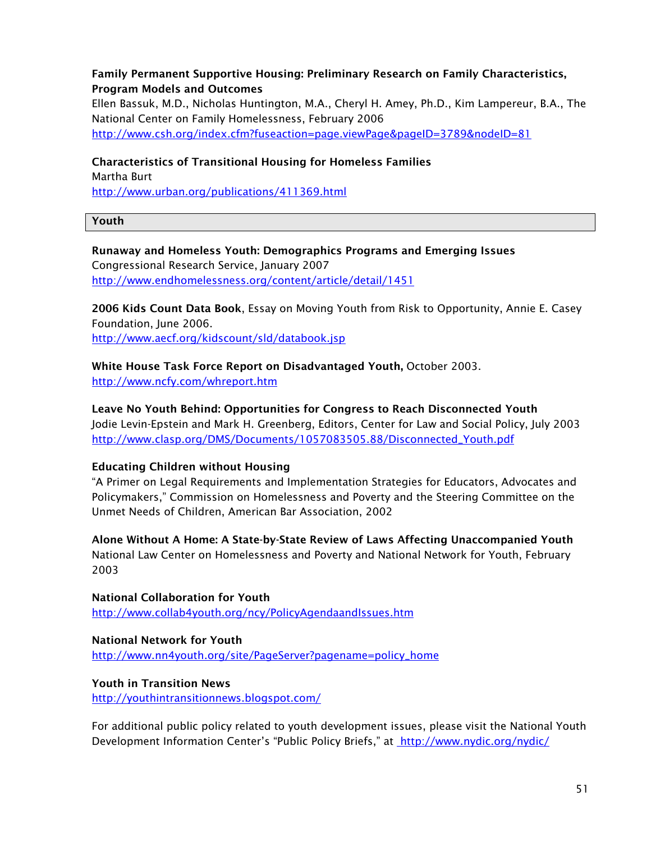#### Family Permanent Supportive Housing: Preliminary Research on Family Characteristics, Program Models and Outcomes

Ellen Bassuk, M.D., Nicholas Huntington, M.A., Cheryl H. Amey, Ph.D., Kim Lampereur, B.A., The National Center on Family Homelessness, February 2006 http://www.csh.org/index.cfm?fuseaction=page.viewPage&pageID=3789&nodeID=81

#### Characteristics of Transitional Housing for Homeless Families

Martha Burt http://www.urban.org/publications/411369.html

#### Youth

#### Runaway and Homeless Youth: Demographics Programs and Emerging Issues Congressional Research Service, January 2007 http://www.endhomelessness.org/content/article/detail/1451

2006 Kids Count Data Book, Essay on Moving Youth from Risk to Opportunity, Annie E. Casey Foundation, June 2006.

http://www.aecf.org/kidscount/sld/databook.jsp

White House Task Force Report on Disadvantaged Youth, October 2003. http://www.ncfy.com/whreport.htm

Leave No Youth Behind: Opportunities for Congress to Reach Disconnected Youth Jodie Levin-Epstein and Mark H. Greenberg, Editors, Center for Law and Social Policy, July 2003 http://www.clasp.org/DMS/Documents/1057083505.88/Disconnected\_Youth.pdf

#### Educating Children without Housing

"A Primer on Legal Requirements and Implementation Strategies for Educators, Advocates and Policymakers," Commission on Homelessness and Poverty and the Steering Committee on the Unmet Needs of Children, American Bar Association, 2002

Alone Without A Home: A State-by-State Review of Laws Affecting Unaccompanied Youth National Law Center on Homelessness and Poverty and National Network for Youth, February 2003

National Collaboration for Youth http://www.collab4youth.org/ncy/PolicyAgendaandIssues.htm

National Network for Youth http://www.nn4youth.org/site/PageServer?pagename=policy\_home

#### Youth in Transition News

http://youthintransitionnews.blogspot.com/

For additional public policy related to youth development issues, please visit the National Youth Development Information Center's "Public Policy Briefs," at http://www.nydic.org/nydic/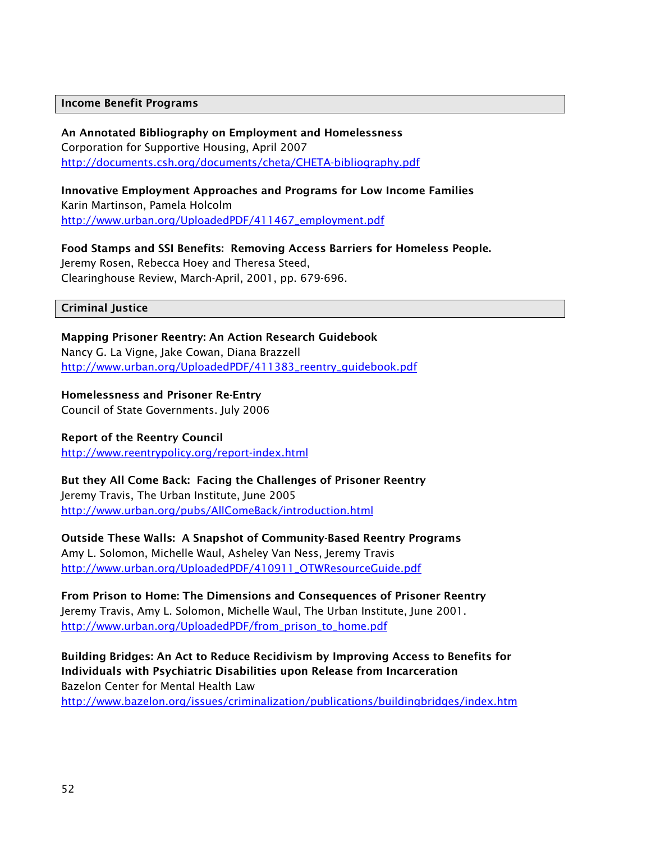#### Income Benefit Programs

An Annotated Bibliography on Employment and Homelessness Corporation for Supportive Housing, April 2007 http://documents.csh.org/documents/cheta/CHETA-bibliography.pdf

Innovative Employment Approaches and Programs for Low Income Families Karin Martinson, Pamela Holcolm http://www.urban.org/UploadedPDF/411467\_employment.pdf

Food Stamps and SSI Benefits: Removing Access Barriers for Homeless People. Jeremy Rosen, Rebecca Hoey and Theresa Steed, Clearinghouse Review, March-April, 2001, pp. 679-696.

#### Criminal Justice

Mapping Prisoner Reentry: An Action Research Guidebook Nancy G. La Vigne, Jake Cowan, Diana Brazzell http://www.urban.org/UploadedPDF/411383\_reentry\_guidebook.pdf

Homelessness and Prisoner Re-Entry Council of State Governments. July 2006

Report of the Reentry Council http://www.reentrypolicy.org/report-index.html

But they All Come Back: Facing the Challenges of Prisoner Reentry Jeremy Travis, The Urban Institute, June 2005 http://www.urban.org/pubs/AllComeBack/introduction.html

Outside These Walls: A Snapshot of Community-Based Reentry Programs Amy L. Solomon, Michelle Waul, Asheley Van Ness, Jeremy Travis http://www.urban.org/UploadedPDF/410911\_OTWResourceGuide.pdf

From Prison to Home: The Dimensions and Consequences of Prisoner Reentry Jeremy Travis, Amy L. Solomon, Michelle Waul, The Urban Institute, June 2001. http://www.urban.org/UploadedPDF/from\_prison\_to\_home.pdf

Building Bridges: An Act to Reduce Recidivism by Improving Access to Benefits for Individuals with Psychiatric Disabilities upon Release from Incarceration Bazelon Center for Mental Health Law http://www.bazelon.org/issues/criminalization/publications/buildingbridges/index.htm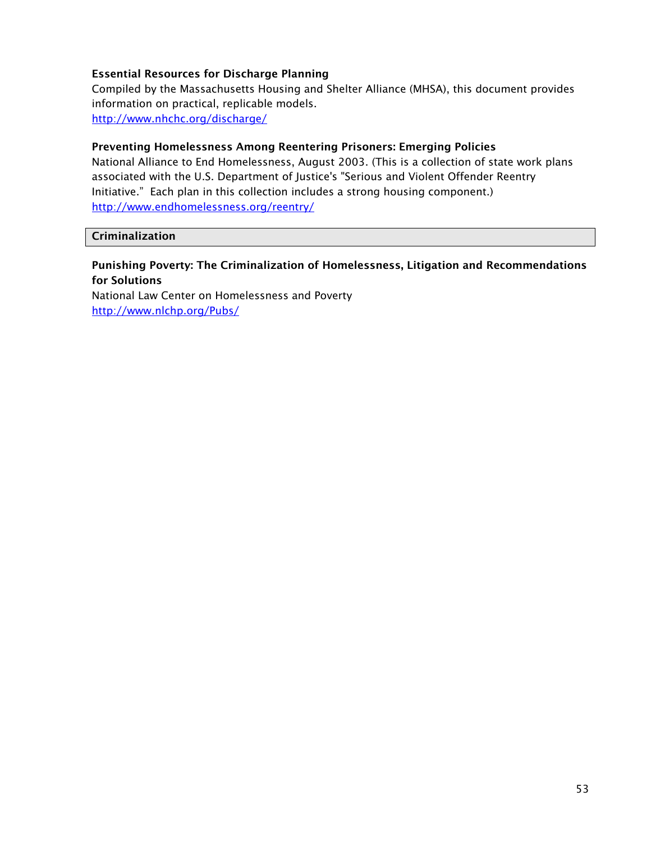#### Essential Resources for Discharge Planning

Compiled by the Massachusetts Housing and Shelter Alliance (MHSA), this document provides information on practical, replicable models. http://www.nhchc.org/discharge/

#### Preventing Homelessness Among Reentering Prisoners: Emerging Policies

National Alliance to End Homelessness, August 2003. (This is a collection of state work plans associated with the U.S. Department of Justice's "Serious and Violent Offender Reentry Initiative." Each plan in this collection includes a strong housing component.) http://www.endhomelessness.org/reentry/

#### **Criminalization**

#### Punishing Poverty: The Criminalization of Homelessness, Litigation and Recommendations for Solutions

National Law Center on Homelessness and Poverty http://www.nlchp.org/Pubs/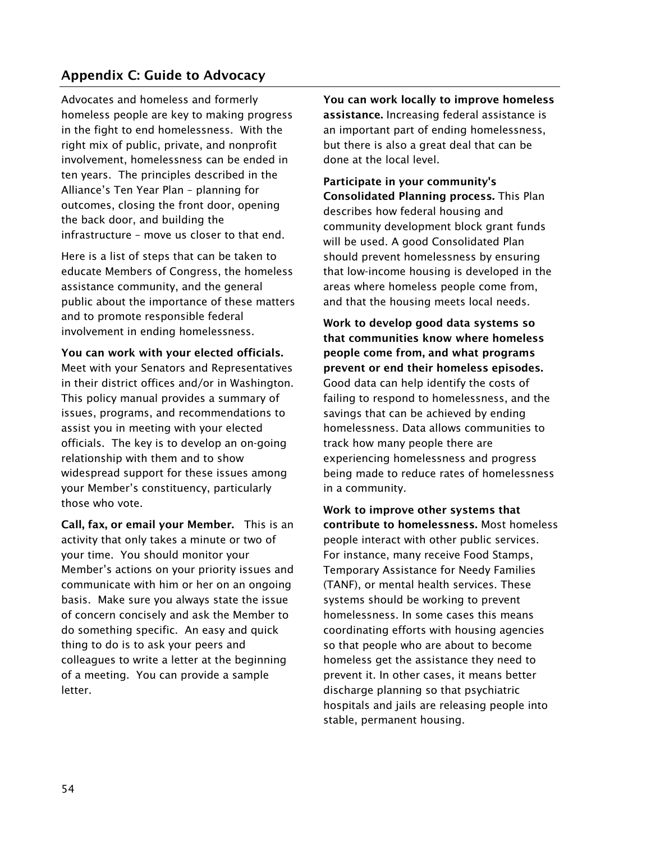## Appendix C: Guide to Advocacy

Advocates and homeless and formerly homeless people are key to making progress in the fight to end homelessness. With the right mix of public, private, and nonprofit involvement, homelessness can be ended in ten years. The principles described in the Alliance's Ten Year Plan – planning for outcomes, closing the front door, opening the back door, and building the infrastructure – move us closer to that end.

Here is a list of steps that can be taken to educate Members of Congress, the homeless assistance community, and the general public about the importance of these matters and to promote responsible federal involvement in ending homelessness.

You can work with your elected officials.

Meet with your Senators and Representatives in their district offices and/or in Washington. This policy manual provides a summary of issues, programs, and recommendations to assist you in meeting with your elected officials. The key is to develop an on-going relationship with them and to show widespread support for these issues among your Member's constituency, particularly those who vote.

Call, fax, or email your Member. This is an activity that only takes a minute or two of your time. You should monitor your Member's actions on your priority issues and communicate with him or her on an ongoing basis. Make sure you always state the issue of concern concisely and ask the Member to do something specific. An easy and quick thing to do is to ask your peers and colleagues to write a letter at the beginning of a meeting. You can provide a sample letter.

You can work locally to improve homeless assistance. Increasing federal assistance is an important part of ending homelessness, but there is also a great deal that can be done at the local level.

Participate in your community's Consolidated Planning process. This Plan describes how federal housing and community development block grant funds will be used. A good Consolidated Plan should prevent homelessness by ensuring that low-income housing is developed in the areas where homeless people come from, and that the housing meets local needs.

Work to develop good data systems so that communities know where homeless people come from, and what programs prevent or end their homeless episodes. Good data can help identify the costs of failing to respond to homelessness, and the savings that can be achieved by ending homelessness. Data allows communities to track how many people there are experiencing homelessness and progress being made to reduce rates of homelessness in a community.

Work to improve other systems that contribute to homelessness. Most homeless people interact with other public services. For instance, many receive Food Stamps, Temporary Assistance for Needy Families (TANF), or mental health services. These systems should be working to prevent homelessness. In some cases this means coordinating efforts with housing agencies so that people who are about to become homeless get the assistance they need to prevent it. In other cases, it means better discharge planning so that psychiatric hospitals and jails are releasing people into stable, permanent housing.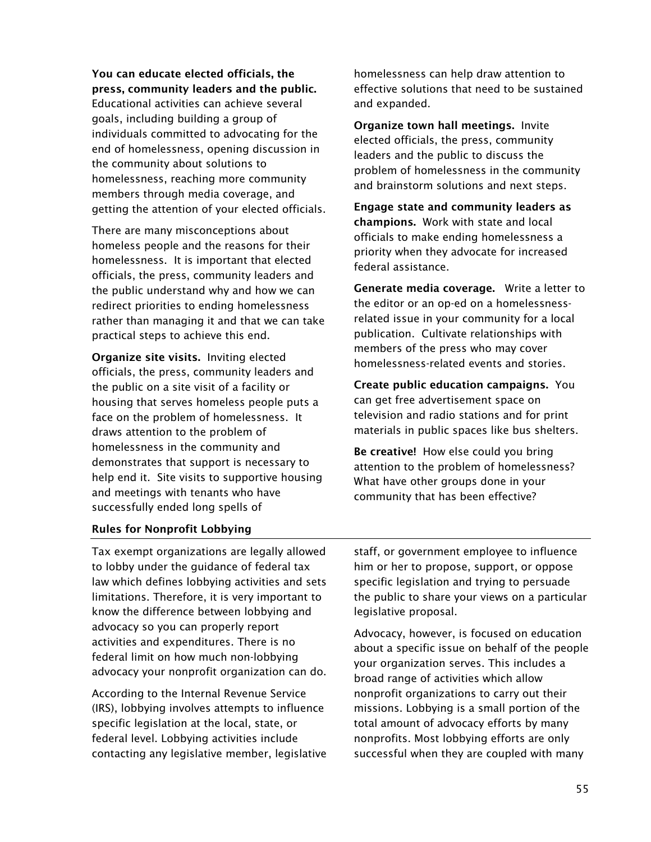You can educate elected officials, the press, community leaders and the public.

Educational activities can achieve several goals, including building a group of individuals committed to advocating for the end of homelessness, opening discussion in the community about solutions to homelessness, reaching more community members through media coverage, and getting the attention of your elected officials.

There are many misconceptions about homeless people and the reasons for their homelessness. It is important that elected officials, the press, community leaders and the public understand why and how we can redirect priorities to ending homelessness rather than managing it and that we can take practical steps to achieve this end.

Organize site visits. Inviting elected officials, the press, community leaders and the public on a site visit of a facility or housing that serves homeless people puts a face on the problem of homelessness. It draws attention to the problem of homelessness in the community and demonstrates that support is necessary to help end it. Site visits to supportive housing and meetings with tenants who have successfully ended long spells of

homelessness can help draw attention to effective solutions that need to be sustained and expanded.

Organize town hall meetings. Invite elected officials, the press, community leaders and the public to discuss the problem of homelessness in the community and brainstorm solutions and next steps.

Engage state and community leaders as champions. Work with state and local officials to make ending homelessness a priority when they advocate for increased federal assistance.

Generate media coverage. Write a letter to the editor or an op-ed on a homelessnessrelated issue in your community for a local publication. Cultivate relationships with members of the press who may cover homelessness-related events and stories.

Create public education campaigns. You can get free advertisement space on television and radio stations and for print materials in public spaces like bus shelters.

Be creative! How else could you bring attention to the problem of homelessness? What have other groups done in your community that has been effective?

#### Rules for Nonprofit Lobbying

Tax exempt organizations are legally allowed to lobby under the guidance of federal tax law which defines lobbying activities and sets limitations. Therefore, it is very important to know the difference between lobbying and advocacy so you can properly report activities and expenditures. There is no federal limit on how much non-lobbying advocacy your nonprofit organization can do.

According to the Internal Revenue Service (IRS), lobbying involves attempts to influence specific legislation at the local, state, or federal level. Lobbying activities include contacting any legislative member, legislative

staff, or government employee to influence him or her to propose, support, or oppose specific legislation and trying to persuade the public to share your views on a particular legislative proposal.

Advocacy, however, is focused on education about a specific issue on behalf of the people your organization serves. This includes a broad range of activities which allow nonprofit organizations to carry out their missions. Lobbying is a small portion of the total amount of advocacy efforts by many nonprofits. Most lobbying efforts are only successful when they are coupled with many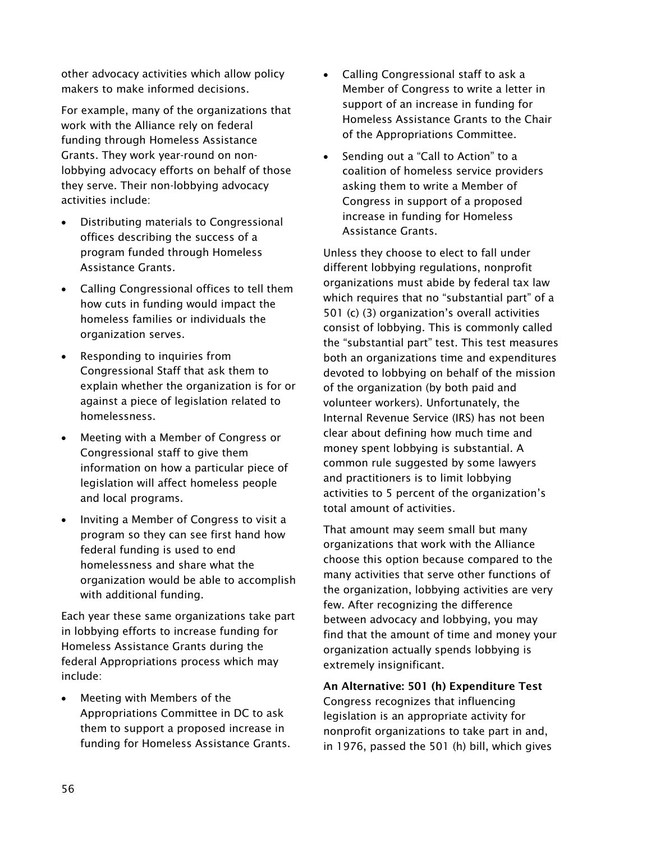other advocacy activities which allow policy makers to make informed decisions.

For example, many of the organizations that work with the Alliance rely on federal funding through Homeless Assistance Grants. They work year-round on nonlobbying advocacy efforts on behalf of those they serve. Their non-lobbying advocacy activities include:

- - Distributing materials to Congressional offices describing the success of a program funded through Homeless Assistance Grants.
- Calling Congressional offices to tell them how cuts in funding would impact the homeless families or individuals the organization serves.
- - Responding to inquiries from Congressional Staff that ask them to explain whether the organization is for or against a piece of legislation related to homelessness.
- Meeting with a Member of Congress or Congressional staff to give them information on how a particular piece of legislation will affect homeless people and local programs.
- - Inviting a Member of Congress to visit a program so they can see first hand how federal funding is used to end homelessness and share what the organization would be able to accomplish with additional funding.

Each year these same organizations take part in lobbying efforts to increase funding for Homeless Assistance Grants during the federal Appropriations process which may include:

- Meeting with Members of the Appropriations Committee in DC to ask them to support a proposed increase in funding for Homeless Assistance Grants.

- Calling Congressional staff to ask a Member of Congress to write a letter in support of an increase in funding for Homeless Assistance Grants to the Chair of the Appropriations Committee.
- - Sending out a "Call to Action" to a coalition of homeless service providers asking them to write a Member of Congress in support of a proposed increase in funding for Homeless Assistance Grants.

Unless they choose to elect to fall under different lobbying regulations, nonprofit organizations must abide by federal tax law which requires that no "substantial part" of a 501 (c) (3) organization's overall activities consist of lobbying. This is commonly called the "substantial part" test. This test measures both an organizations time and expenditures devoted to lobbying on behalf of the mission of the organization (by both paid and volunteer workers). Unfortunately, the Internal Revenue Service (IRS) has not been clear about defining how much time and money spent lobbying is substantial. A common rule suggested by some lawyers and practitioners is to limit lobbying activities to 5 percent of the organization's total amount of activities.

That amount may seem small but many organizations that work with the Alliance choose this option because compared to the many activities that serve other functions of the organization, lobbying activities are very few. After recognizing the difference between advocacy and lobbying, you may find that the amount of time and money your organization actually spends lobbying is extremely insignificant.

An Alternative: 501 (h) Expenditure Test Congress recognizes that influencing legislation is an appropriate activity for nonprofit organizations to take part in and, in 1976, passed the 501 (h) bill, which gives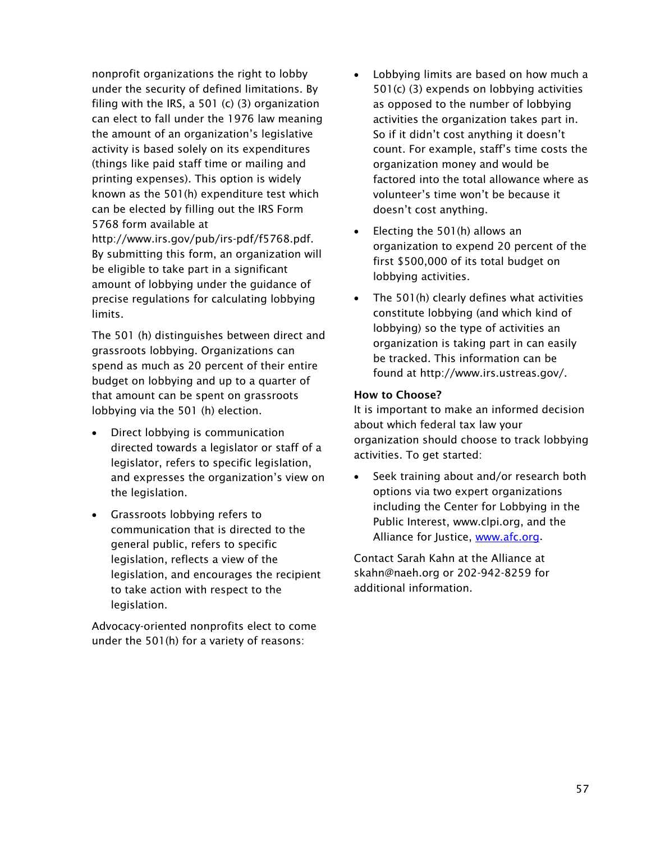nonprofit organizations the right to lobby under the security of defined limitations. By filing with the IRS, a 501 (c) (3) organization can elect to fall under the 1976 law meaning the amount of an organization's legislative activity is based solely on its expenditures (things like paid staff time or mailing and printing expenses). This option is widely known as the 501(h) expenditure test which can be elected by filling out the IRS Form 5768 form available at http://www.irs.gov/pub/irs-pdf/f5768.pdf. By submitting this form, an organization will be eligible to take part in a significant amount of lobbying under the guidance of precise regulations for calculating lobbying

The 501 (h) distinguishes between direct and grassroots lobbying. Organizations can spend as much as 20 percent of their entire budget on lobbying and up to a quarter of that amount can be spent on grassroots lobbying via the 501 (h) election.

limits.

- $\bullet$  Direct lobbying is communication directed towards a legislator or staff of a legislator, refers to specific legislation, and expresses the organization's view on the legislation.
- Grassroots lobbying refers to communication that is directed to the general public, refers to specific legislation, reflects a view of the legislation, and encourages the recipient to take action with respect to the legislation.

Advocacy-oriented nonprofits elect to come under the 501(h) for a variety of reasons:

- - Lobbying limits are based on how much a 501(c) (3) expends on lobbying activities as opposed to the number of lobbying activities the organization takes part in. So if it didn't cost anything it doesn't count. For example, staff's time costs the organization money and would be factored into the total allowance where as volunteer's time won't be because it doesn't cost anything.
- - Electing the 501(h) allows an organization to expend 20 percent of the first \$500,000 of its total budget on lobbying activities.
- - The 501(h) clearly defines what activities constitute lobbying (and which kind of lobbying) so the type of activities an organization is taking part in can easily be tracked. This information can be found at http://www.irs.ustreas.gov/.

#### How to Choose?

It is important to make an informed decision about which federal tax law your organization should choose to track lobbying activities. To get started:

- Seek training about and/or research both options via two expert organizations including the Center for Lobbying in the Public Interest, www.clpi.org, and the Alliance for Justice, www.afc.org.

Contact Sarah Kahn at the Alliance at skahn@naeh.org or 202-942-8259 for additional information.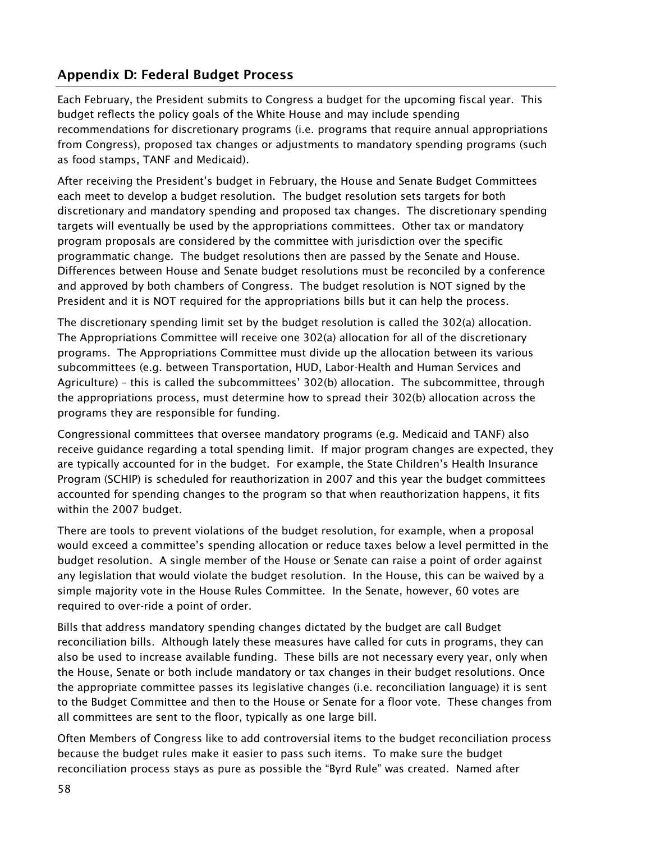## Appendix D: Federal Budget Process

Each February, the President submits to Congress a budget for the upcoming fiscal year. This budget reflects the policy goals of the White House and may include spending recommendations for discretionary programs (i.e. programs that require annual appropriations from Congress), proposed tax changes or adjustments to mandatory spending programs (such as food stamps, TANF and Medicaid).

After receiving the President's budget in February, the House and Senate Budget Committees each meet to develop a budget resolution. The budget resolution sets targets for both discretionary and mandatory spending and proposed tax changes. The discretionary spending targets will eventually be used by the appropriations committees. Other tax or mandatory program proposals are considered by the committee with jurisdiction over the specific programmatic change. The budget resolutions then are passed by the Senate and House. Differences between House and Senate budget resolutions must be reconciled by a conference and approved by both chambers of Congress. The budget resolution is NOT signed by the President and it is NOT required for the appropriations bills but it can help the process.

The discretionary spending limit set by the budget resolution is called the 302(a) allocation. The Appropriations Committee will receive one 302(a) allocation for all of the discretionary programs. The Appropriations Committee must divide up the allocation between its various subcommittees (e.g. between Transportation, HUD, Labor-Health and Human Services and Agriculture) – this is called the subcommittees' 302(b) allocation. The subcommittee, through the appropriations process, must determine how to spread their 302(b) allocation across the programs they are responsible for funding.

Congressional committees that oversee mandatory programs (e.g. Medicaid and TANF) also receive guidance regarding a total spending limit. If major program changes are expected, they are typically accounted for in the budget. For example, the State Children's Health Insurance Program (SCHIP) is scheduled for reauthorization in 2007 and this year the budget committees accounted for spending changes to the program so that when reauthorization happens, it fits within the 2007 budget.

There are tools to prevent violations of the budget resolution, for example, when a proposal would exceed a committee's spending allocation or reduce taxes below a level permitted in the budget resolution. A single member of the House or Senate can raise a point of order against any legislation that would violate the budget resolution. In the House, this can be waived by a simple majority vote in the House Rules Committee. In the Senate, however, 60 votes are required to over-ride a point of order.

Bills that address mandatory spending changes dictated by the budget are call Budget reconciliation bills. Although lately these measures have called for cuts in programs, they can also be used to increase available funding. These bills are not necessary every year, only when the House, Senate or both include mandatory or tax changes in their budget resolutions. Once the appropriate committee passes its legislative changes (i.e. reconciliation language) it is sent to the Budget Committee and then to the House or Senate for a floor vote. These changes from all committees are sent to the floor, typically as one large bill.

Often Members of Congress like to add controversial items to the budget reconciliation process because the budget rules make it easier to pass such items. To make sure the budget reconciliation process stays as pure as possible the "Byrd Rule" was created. Named after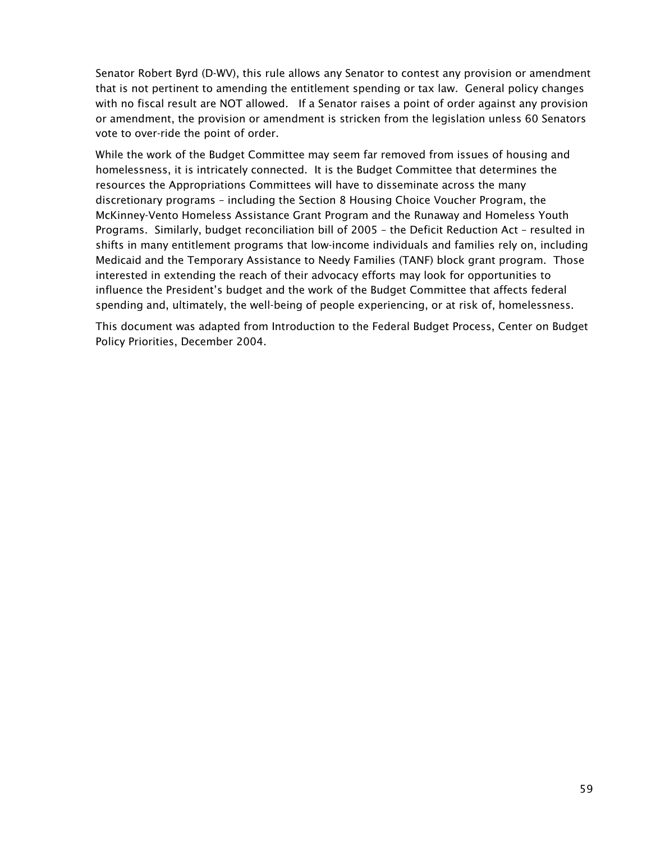Senator Robert Byrd (D-WV), this rule allows any Senator to contest any provision or amendment that is not pertinent to amending the entitlement spending or tax law. General policy changes with no fiscal result are NOT allowed. If a Senator raises a point of order against any provision or amendment, the provision or amendment is stricken from the legislation unless 60 Senators vote to over-ride the point of order.

While the work of the Budget Committee may seem far removed from issues of housing and homelessness, it is intricately connected. It is the Budget Committee that determines the resources the Appropriations Committees will have to disseminate across the many discretionary programs – including the Section 8 Housing Choice Voucher Program, the McKinney-Vento Homeless Assistance Grant Program and the Runaway and Homeless Youth Programs. Similarly, budget reconciliation bill of 2005 – the Deficit Reduction Act – resulted in shifts in many entitlement programs that low-income individuals and families rely on, including Medicaid and the Temporary Assistance to Needy Families (TANF) block grant program. Those interested in extending the reach of their advocacy efforts may look for opportunities to influence the President's budget and the work of the Budget Committee that affects federal spending and, ultimately, the well-being of people experiencing, or at risk of, homelessness.

This document was adapted from Introduction to the Federal Budget Process, Center on Budget Policy Priorities, December 2004.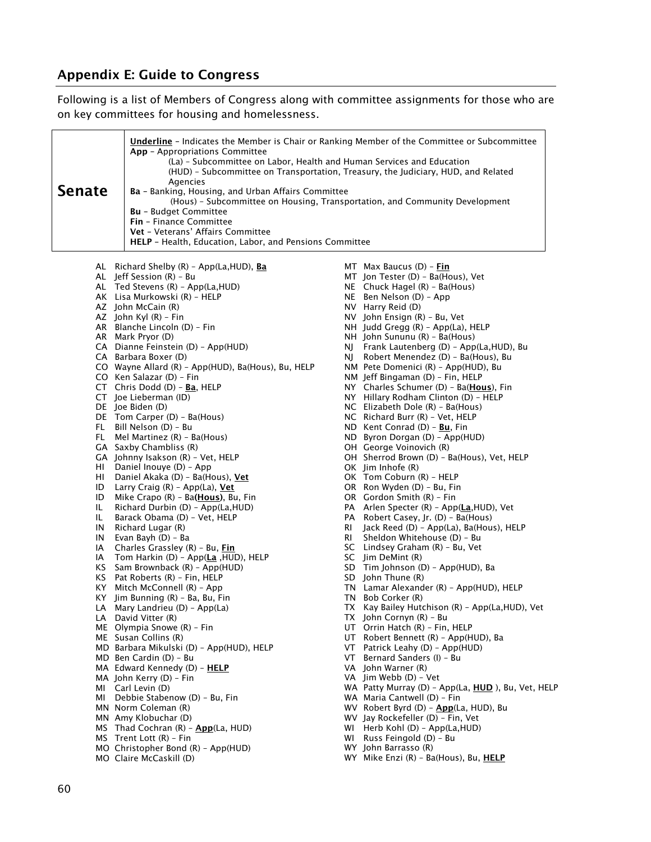## Appendix E: Guide to Congress

Following is a list of Members of Congress along with committee assignments for those who are on key committees for housing and homelessness.

| AL Richard Shelby $(R)$ - App(La, HUD), <b>Ba</b><br>MT $Max$ Baucus (D) – Fin<br>AL Jeff Session (R) - Bu<br>MT Jon Tester (D) - Ba(Hous), Vet<br>NE Chuck Hagel $(R)$ - Ba(Hous)<br>AL Ted Stevens (R) - App(La, HUD)<br>AK Lisa Murkowski (R) - HELP<br>NE Ben Nelson (D) - App<br>AZ John McCain (R)<br>NV Harry Reid (D)<br>AZ John Kyl (R) - Fin<br>NV John Ensign (R) - Bu, Vet<br>AR Blanche Lincoln (D) - Fin<br>$NH$ Judd Gregg $(R)$ - App(La), HELP<br>AR Mark Pryor (D)<br>NH John Sununu (R) - Ba(Hous)<br>CA Dianne Feinstein (D) - App(HUD)<br>NJ Frank Lautenberg (D) - App(La, HUD), Bu<br>CA Barbara Boxer (D)<br>Robert Menendez (D) - Ba(Hous), Bu<br>NJ.<br>CO Wayne Allard (R) - App(HUD), Ba(Hous), Bu, HELP<br>NM Pete Domenici (R) - App(HUD), Bu<br>CO Ken Salazar (D) - Fin<br>NM Jeff Bingaman (D) - Fin, HELP<br>CT Chris Dodd (D) - $\underline{\text{Ba}}$ , HELP<br>NY Charles Schumer (D) - Ba(Hous), Fin<br>CT Joe Lieberman (ID)<br>NY Hillary Rodham Clinton (D) - HELP<br>DE Joe Biden (D)<br>NC Elizabeth Dole (R) - Ba(Hous)<br>DE Tom Carper (D) - Ba(Hous)<br>NC Richard Burr (R) - Vet, HELP<br>FL Bill Nelson (D) - Bu<br>ND Kent Conrad (D) - Bu, Fin<br>FL Mel Martinez $(R)$ - Ba(Hous)<br>ND Byron Dorgan (D) - App(HUD)<br>GA Saxby Chambliss (R)<br>OH George Voinovich (R)<br>GA Johnny Isakson (R) - Vet, HELP<br>OH Sherrod Brown (D) - Ba(Hous), Vet, HELP<br>OK Jim Inhofe (R)<br>HI Daniel Inouye (D) - App<br>OK Tom Coburn (R) - HELP<br>HL<br>Daniel Akaka (D) - Ba(Hous), <u>Vet</u><br>OR Ron Wyden (D) - Bu, Fin<br>ID<br>Larry Craig (R) - App(La), Vet<br>OR Gordon Smith (R) - Fin<br>ID<br>Mike Crapo $(R)$ – Ba( <b>Hous</b> ), Bu, Fin<br>PA Arlen Specter (R) - App(La, HUD), Vet<br>IL.<br>Richard Durbin (D) - App(La, HUD)<br>Barack Obama (D) - Vet, HELP<br>PA Robert Casey, Jr. (D) - Ba(Hous)<br>IL.<br>Richard Lugar (R)<br>RI<br>IN<br>Jack Reed (D) - App(La), Ba(Hous), HELP<br>IN<br>Evan Bayh (D) - Ba<br>RI<br>Sheldon Whitehouse (D) - Bu<br>SC Lindsey Graham (R) - Bu, Vet<br>IA<br>Charles Grassley (R) - Bu, Fin<br>SC Jim DeMint (R)<br>Tom Harkin (D) - App(La, HUD), HELP<br>IA<br>SD Tim Johnson (D) - App(HUD), Ba<br>KS Sam Brownback $(R)$ - App $(HUD)$<br>SD John Thune (R)<br>KS Pat Roberts (R) - Fin, HELP<br>KY Mitch McConnell (R) - App<br>TN Lamar Alexander (R) - App(HUD), HELP<br>TN Bob Corker (R)<br>$KY$ Jim Bunning $(R)$ - Ba, Bu, Fin<br>TX Kay Bailey Hutchison (R) - App(La, HUD), Vet<br>LA Mary Landrieu (D) - App(La)<br>LA David Vitter (R)<br>$TX$ John Cornyn $(R)$ - Bu<br>UT Orrin Hatch (R) - Fin, HELP<br>ME Olympia Snowe (R) - Fin<br>UT Robert Bennett (R) - App(HUD), Ba<br>ME Susan Collins (R)<br>MD Barbara Mikulski (D) - App(HUD), HELP<br>VT Patrick Leahy (D) - App(HUD)<br>MD Ben Cardin (D) - Bu<br>VT Bernard Sanders (I) - Bu<br>MA Edward Kennedy (D) - HELP<br>VA John Warner (R)<br>VA Jim Webb (D) - Vet<br>MA John Kerry (D) - Fin<br>WA Patty Murray (D) - App(La, HUD), Bu, Vet, HELP<br>MI Carl Levin (D)<br>WA Maria Cantwell (D) - Fin<br>MI Debbie Stabenow (D) - Bu, Fin<br>WV Robert Byrd (D) - App(La, HUD), Bu<br>MN Norm Coleman (R)<br>WV Jay Rockefeller (D) - Fin, Vet<br>MN Amy Klobuchar (D)<br>MS Thad Cochran (R) - App(La, HUD)<br>WI Herb Kohl (D) - App(La, HUD)<br>MS Trent Lott $(R)$ - Fin<br>WI<br>Russ Feingold (D) - Bu<br>MO Christopher Bond (R) - App(HUD)<br>WY John Barrasso (R)<br>MO Claire McCaskill (D)<br>WY Mike Enzi (R) - Ba(Hous), Bu, HELP | <b>Underline</b> - Indicates the Member is Chair or Ranking Member of the Committee or Subcommittee<br>App - Appropriations Committee<br>(La) - Subcommittee on Labor, Health and Human Services and Education<br>(HUD) - Subcommittee on Transportation, Treasury, the Judiciary, HUD, and Related<br>Agencies<br><b>Senate</b><br>Ba - Banking, Housing, and Urban Affairs Committee<br>(Hous) - Subcommittee on Housing, Transportation, and Community Development<br><b>Bu</b> - Budget Committee<br>Fin - Finance Committee<br>Vet - Veterans' Affairs Committee<br>HELP - Health, Education, Labor, and Pensions Committee |  |  |  |  |  |
|---------------------------------------------------------------------------------------------------------------------------------------------------------------------------------------------------------------------------------------------------------------------------------------------------------------------------------------------------------------------------------------------------------------------------------------------------------------------------------------------------------------------------------------------------------------------------------------------------------------------------------------------------------------------------------------------------------------------------------------------------------------------------------------------------------------------------------------------------------------------------------------------------------------------------------------------------------------------------------------------------------------------------------------------------------------------------------------------------------------------------------------------------------------------------------------------------------------------------------------------------------------------------------------------------------------------------------------------------------------------------------------------------------------------------------------------------------------------------------------------------------------------------------------------------------------------------------------------------------------------------------------------------------------------------------------------------------------------------------------------------------------------------------------------------------------------------------------------------------------------------------------------------------------------------------------------------------------------------------------------------------------------------------------------------------------------------------------------------------------------------------------------------------------------------------------------------------------------------------------------------------------------------------------------------------------------------------------------------------------------------------------------------------------------------------------------------------------------------------------------------------------------------------------------------------------------------------------------------------------------------------------------------------------------------------------------------------------------------------------------------------------------------------------------------------------------------------------------------------------------------------------------------------------------------------------------------------------------------------------------------------------------------------------------------------------------------------------------------------------------------------------------------------------------------------------------------------------------------------------------------------------------------------------------------------------------------------------------------------------------------------------------------------------------------------------------------------------------------------------------------------------------------------------|----------------------------------------------------------------------------------------------------------------------------------------------------------------------------------------------------------------------------------------------------------------------------------------------------------------------------------------------------------------------------------------------------------------------------------------------------------------------------------------------------------------------------------------------------------------------------------------------------------------------------------|--|--|--|--|--|
|                                                                                                                                                                                                                                                                                                                                                                                                                                                                                                                                                                                                                                                                                                                                                                                                                                                                                                                                                                                                                                                                                                                                                                                                                                                                                                                                                                                                                                                                                                                                                                                                                                                                                                                                                                                                                                                                                                                                                                                                                                                                                                                                                                                                                                                                                                                                                                                                                                                                                                                                                                                                                                                                                                                                                                                                                                                                                                                                                                                                                                                                                                                                                                                                                                                                                                                                                                                                                                                                                                                                       |                                                                                                                                                                                                                                                                                                                                                                                                                                                                                                                                                                                                                                  |  |  |  |  |  |
|                                                                                                                                                                                                                                                                                                                                                                                                                                                                                                                                                                                                                                                                                                                                                                                                                                                                                                                                                                                                                                                                                                                                                                                                                                                                                                                                                                                                                                                                                                                                                                                                                                                                                                                                                                                                                                                                                                                                                                                                                                                                                                                                                                                                                                                                                                                                                                                                                                                                                                                                                                                                                                                                                                                                                                                                                                                                                                                                                                                                                                                                                                                                                                                                                                                                                                                                                                                                                                                                                                                                       |                                                                                                                                                                                                                                                                                                                                                                                                                                                                                                                                                                                                                                  |  |  |  |  |  |
|                                                                                                                                                                                                                                                                                                                                                                                                                                                                                                                                                                                                                                                                                                                                                                                                                                                                                                                                                                                                                                                                                                                                                                                                                                                                                                                                                                                                                                                                                                                                                                                                                                                                                                                                                                                                                                                                                                                                                                                                                                                                                                                                                                                                                                                                                                                                                                                                                                                                                                                                                                                                                                                                                                                                                                                                                                                                                                                                                                                                                                                                                                                                                                                                                                                                                                                                                                                                                                                                                                                                       |                                                                                                                                                                                                                                                                                                                                                                                                                                                                                                                                                                                                                                  |  |  |  |  |  |
|                                                                                                                                                                                                                                                                                                                                                                                                                                                                                                                                                                                                                                                                                                                                                                                                                                                                                                                                                                                                                                                                                                                                                                                                                                                                                                                                                                                                                                                                                                                                                                                                                                                                                                                                                                                                                                                                                                                                                                                                                                                                                                                                                                                                                                                                                                                                                                                                                                                                                                                                                                                                                                                                                                                                                                                                                                                                                                                                                                                                                                                                                                                                                                                                                                                                                                                                                                                                                                                                                                                                       |                                                                                                                                                                                                                                                                                                                                                                                                                                                                                                                                                                                                                                  |  |  |  |  |  |
|                                                                                                                                                                                                                                                                                                                                                                                                                                                                                                                                                                                                                                                                                                                                                                                                                                                                                                                                                                                                                                                                                                                                                                                                                                                                                                                                                                                                                                                                                                                                                                                                                                                                                                                                                                                                                                                                                                                                                                                                                                                                                                                                                                                                                                                                                                                                                                                                                                                                                                                                                                                                                                                                                                                                                                                                                                                                                                                                                                                                                                                                                                                                                                                                                                                                                                                                                                                                                                                                                                                                       |                                                                                                                                                                                                                                                                                                                                                                                                                                                                                                                                                                                                                                  |  |  |  |  |  |
|                                                                                                                                                                                                                                                                                                                                                                                                                                                                                                                                                                                                                                                                                                                                                                                                                                                                                                                                                                                                                                                                                                                                                                                                                                                                                                                                                                                                                                                                                                                                                                                                                                                                                                                                                                                                                                                                                                                                                                                                                                                                                                                                                                                                                                                                                                                                                                                                                                                                                                                                                                                                                                                                                                                                                                                                                                                                                                                                                                                                                                                                                                                                                                                                                                                                                                                                                                                                                                                                                                                                       |                                                                                                                                                                                                                                                                                                                                                                                                                                                                                                                                                                                                                                  |  |  |  |  |  |
|                                                                                                                                                                                                                                                                                                                                                                                                                                                                                                                                                                                                                                                                                                                                                                                                                                                                                                                                                                                                                                                                                                                                                                                                                                                                                                                                                                                                                                                                                                                                                                                                                                                                                                                                                                                                                                                                                                                                                                                                                                                                                                                                                                                                                                                                                                                                                                                                                                                                                                                                                                                                                                                                                                                                                                                                                                                                                                                                                                                                                                                                                                                                                                                                                                                                                                                                                                                                                                                                                                                                       |                                                                                                                                                                                                                                                                                                                                                                                                                                                                                                                                                                                                                                  |  |  |  |  |  |
|                                                                                                                                                                                                                                                                                                                                                                                                                                                                                                                                                                                                                                                                                                                                                                                                                                                                                                                                                                                                                                                                                                                                                                                                                                                                                                                                                                                                                                                                                                                                                                                                                                                                                                                                                                                                                                                                                                                                                                                                                                                                                                                                                                                                                                                                                                                                                                                                                                                                                                                                                                                                                                                                                                                                                                                                                                                                                                                                                                                                                                                                                                                                                                                                                                                                                                                                                                                                                                                                                                                                       |                                                                                                                                                                                                                                                                                                                                                                                                                                                                                                                                                                                                                                  |  |  |  |  |  |
|                                                                                                                                                                                                                                                                                                                                                                                                                                                                                                                                                                                                                                                                                                                                                                                                                                                                                                                                                                                                                                                                                                                                                                                                                                                                                                                                                                                                                                                                                                                                                                                                                                                                                                                                                                                                                                                                                                                                                                                                                                                                                                                                                                                                                                                                                                                                                                                                                                                                                                                                                                                                                                                                                                                                                                                                                                                                                                                                                                                                                                                                                                                                                                                                                                                                                                                                                                                                                                                                                                                                       |                                                                                                                                                                                                                                                                                                                                                                                                                                                                                                                                                                                                                                  |  |  |  |  |  |
|                                                                                                                                                                                                                                                                                                                                                                                                                                                                                                                                                                                                                                                                                                                                                                                                                                                                                                                                                                                                                                                                                                                                                                                                                                                                                                                                                                                                                                                                                                                                                                                                                                                                                                                                                                                                                                                                                                                                                                                                                                                                                                                                                                                                                                                                                                                                                                                                                                                                                                                                                                                                                                                                                                                                                                                                                                                                                                                                                                                                                                                                                                                                                                                                                                                                                                                                                                                                                                                                                                                                       |                                                                                                                                                                                                                                                                                                                                                                                                                                                                                                                                                                                                                                  |  |  |  |  |  |
|                                                                                                                                                                                                                                                                                                                                                                                                                                                                                                                                                                                                                                                                                                                                                                                                                                                                                                                                                                                                                                                                                                                                                                                                                                                                                                                                                                                                                                                                                                                                                                                                                                                                                                                                                                                                                                                                                                                                                                                                                                                                                                                                                                                                                                                                                                                                                                                                                                                                                                                                                                                                                                                                                                                                                                                                                                                                                                                                                                                                                                                                                                                                                                                                                                                                                                                                                                                                                                                                                                                                       |                                                                                                                                                                                                                                                                                                                                                                                                                                                                                                                                                                                                                                  |  |  |  |  |  |
|                                                                                                                                                                                                                                                                                                                                                                                                                                                                                                                                                                                                                                                                                                                                                                                                                                                                                                                                                                                                                                                                                                                                                                                                                                                                                                                                                                                                                                                                                                                                                                                                                                                                                                                                                                                                                                                                                                                                                                                                                                                                                                                                                                                                                                                                                                                                                                                                                                                                                                                                                                                                                                                                                                                                                                                                                                                                                                                                                                                                                                                                                                                                                                                                                                                                                                                                                                                                                                                                                                                                       |                                                                                                                                                                                                                                                                                                                                                                                                                                                                                                                                                                                                                                  |  |  |  |  |  |
|                                                                                                                                                                                                                                                                                                                                                                                                                                                                                                                                                                                                                                                                                                                                                                                                                                                                                                                                                                                                                                                                                                                                                                                                                                                                                                                                                                                                                                                                                                                                                                                                                                                                                                                                                                                                                                                                                                                                                                                                                                                                                                                                                                                                                                                                                                                                                                                                                                                                                                                                                                                                                                                                                                                                                                                                                                                                                                                                                                                                                                                                                                                                                                                                                                                                                                                                                                                                                                                                                                                                       |                                                                                                                                                                                                                                                                                                                                                                                                                                                                                                                                                                                                                                  |  |  |  |  |  |
|                                                                                                                                                                                                                                                                                                                                                                                                                                                                                                                                                                                                                                                                                                                                                                                                                                                                                                                                                                                                                                                                                                                                                                                                                                                                                                                                                                                                                                                                                                                                                                                                                                                                                                                                                                                                                                                                                                                                                                                                                                                                                                                                                                                                                                                                                                                                                                                                                                                                                                                                                                                                                                                                                                                                                                                                                                                                                                                                                                                                                                                                                                                                                                                                                                                                                                                                                                                                                                                                                                                                       |                                                                                                                                                                                                                                                                                                                                                                                                                                                                                                                                                                                                                                  |  |  |  |  |  |
|                                                                                                                                                                                                                                                                                                                                                                                                                                                                                                                                                                                                                                                                                                                                                                                                                                                                                                                                                                                                                                                                                                                                                                                                                                                                                                                                                                                                                                                                                                                                                                                                                                                                                                                                                                                                                                                                                                                                                                                                                                                                                                                                                                                                                                                                                                                                                                                                                                                                                                                                                                                                                                                                                                                                                                                                                                                                                                                                                                                                                                                                                                                                                                                                                                                                                                                                                                                                                                                                                                                                       |                                                                                                                                                                                                                                                                                                                                                                                                                                                                                                                                                                                                                                  |  |  |  |  |  |
|                                                                                                                                                                                                                                                                                                                                                                                                                                                                                                                                                                                                                                                                                                                                                                                                                                                                                                                                                                                                                                                                                                                                                                                                                                                                                                                                                                                                                                                                                                                                                                                                                                                                                                                                                                                                                                                                                                                                                                                                                                                                                                                                                                                                                                                                                                                                                                                                                                                                                                                                                                                                                                                                                                                                                                                                                                                                                                                                                                                                                                                                                                                                                                                                                                                                                                                                                                                                                                                                                                                                       |                                                                                                                                                                                                                                                                                                                                                                                                                                                                                                                                                                                                                                  |  |  |  |  |  |
|                                                                                                                                                                                                                                                                                                                                                                                                                                                                                                                                                                                                                                                                                                                                                                                                                                                                                                                                                                                                                                                                                                                                                                                                                                                                                                                                                                                                                                                                                                                                                                                                                                                                                                                                                                                                                                                                                                                                                                                                                                                                                                                                                                                                                                                                                                                                                                                                                                                                                                                                                                                                                                                                                                                                                                                                                                                                                                                                                                                                                                                                                                                                                                                                                                                                                                                                                                                                                                                                                                                                       |                                                                                                                                                                                                                                                                                                                                                                                                                                                                                                                                                                                                                                  |  |  |  |  |  |
|                                                                                                                                                                                                                                                                                                                                                                                                                                                                                                                                                                                                                                                                                                                                                                                                                                                                                                                                                                                                                                                                                                                                                                                                                                                                                                                                                                                                                                                                                                                                                                                                                                                                                                                                                                                                                                                                                                                                                                                                                                                                                                                                                                                                                                                                                                                                                                                                                                                                                                                                                                                                                                                                                                                                                                                                                                                                                                                                                                                                                                                                                                                                                                                                                                                                                                                                                                                                                                                                                                                                       |                                                                                                                                                                                                                                                                                                                                                                                                                                                                                                                                                                                                                                  |  |  |  |  |  |
|                                                                                                                                                                                                                                                                                                                                                                                                                                                                                                                                                                                                                                                                                                                                                                                                                                                                                                                                                                                                                                                                                                                                                                                                                                                                                                                                                                                                                                                                                                                                                                                                                                                                                                                                                                                                                                                                                                                                                                                                                                                                                                                                                                                                                                                                                                                                                                                                                                                                                                                                                                                                                                                                                                                                                                                                                                                                                                                                                                                                                                                                                                                                                                                                                                                                                                                                                                                                                                                                                                                                       |                                                                                                                                                                                                                                                                                                                                                                                                                                                                                                                                                                                                                                  |  |  |  |  |  |
|                                                                                                                                                                                                                                                                                                                                                                                                                                                                                                                                                                                                                                                                                                                                                                                                                                                                                                                                                                                                                                                                                                                                                                                                                                                                                                                                                                                                                                                                                                                                                                                                                                                                                                                                                                                                                                                                                                                                                                                                                                                                                                                                                                                                                                                                                                                                                                                                                                                                                                                                                                                                                                                                                                                                                                                                                                                                                                                                                                                                                                                                                                                                                                                                                                                                                                                                                                                                                                                                                                                                       |                                                                                                                                                                                                                                                                                                                                                                                                                                                                                                                                                                                                                                  |  |  |  |  |  |
|                                                                                                                                                                                                                                                                                                                                                                                                                                                                                                                                                                                                                                                                                                                                                                                                                                                                                                                                                                                                                                                                                                                                                                                                                                                                                                                                                                                                                                                                                                                                                                                                                                                                                                                                                                                                                                                                                                                                                                                                                                                                                                                                                                                                                                                                                                                                                                                                                                                                                                                                                                                                                                                                                                                                                                                                                                                                                                                                                                                                                                                                                                                                                                                                                                                                                                                                                                                                                                                                                                                                       |                                                                                                                                                                                                                                                                                                                                                                                                                                                                                                                                                                                                                                  |  |  |  |  |  |
|                                                                                                                                                                                                                                                                                                                                                                                                                                                                                                                                                                                                                                                                                                                                                                                                                                                                                                                                                                                                                                                                                                                                                                                                                                                                                                                                                                                                                                                                                                                                                                                                                                                                                                                                                                                                                                                                                                                                                                                                                                                                                                                                                                                                                                                                                                                                                                                                                                                                                                                                                                                                                                                                                                                                                                                                                                                                                                                                                                                                                                                                                                                                                                                                                                                                                                                                                                                                                                                                                                                                       |                                                                                                                                                                                                                                                                                                                                                                                                                                                                                                                                                                                                                                  |  |  |  |  |  |
|                                                                                                                                                                                                                                                                                                                                                                                                                                                                                                                                                                                                                                                                                                                                                                                                                                                                                                                                                                                                                                                                                                                                                                                                                                                                                                                                                                                                                                                                                                                                                                                                                                                                                                                                                                                                                                                                                                                                                                                                                                                                                                                                                                                                                                                                                                                                                                                                                                                                                                                                                                                                                                                                                                                                                                                                                                                                                                                                                                                                                                                                                                                                                                                                                                                                                                                                                                                                                                                                                                                                       |                                                                                                                                                                                                                                                                                                                                                                                                                                                                                                                                                                                                                                  |  |  |  |  |  |
|                                                                                                                                                                                                                                                                                                                                                                                                                                                                                                                                                                                                                                                                                                                                                                                                                                                                                                                                                                                                                                                                                                                                                                                                                                                                                                                                                                                                                                                                                                                                                                                                                                                                                                                                                                                                                                                                                                                                                                                                                                                                                                                                                                                                                                                                                                                                                                                                                                                                                                                                                                                                                                                                                                                                                                                                                                                                                                                                                                                                                                                                                                                                                                                                                                                                                                                                                                                                                                                                                                                                       |                                                                                                                                                                                                                                                                                                                                                                                                                                                                                                                                                                                                                                  |  |  |  |  |  |
|                                                                                                                                                                                                                                                                                                                                                                                                                                                                                                                                                                                                                                                                                                                                                                                                                                                                                                                                                                                                                                                                                                                                                                                                                                                                                                                                                                                                                                                                                                                                                                                                                                                                                                                                                                                                                                                                                                                                                                                                                                                                                                                                                                                                                                                                                                                                                                                                                                                                                                                                                                                                                                                                                                                                                                                                                                                                                                                                                                                                                                                                                                                                                                                                                                                                                                                                                                                                                                                                                                                                       |                                                                                                                                                                                                                                                                                                                                                                                                                                                                                                                                                                                                                                  |  |  |  |  |  |
|                                                                                                                                                                                                                                                                                                                                                                                                                                                                                                                                                                                                                                                                                                                                                                                                                                                                                                                                                                                                                                                                                                                                                                                                                                                                                                                                                                                                                                                                                                                                                                                                                                                                                                                                                                                                                                                                                                                                                                                                                                                                                                                                                                                                                                                                                                                                                                                                                                                                                                                                                                                                                                                                                                                                                                                                                                                                                                                                                                                                                                                                                                                                                                                                                                                                                                                                                                                                                                                                                                                                       |                                                                                                                                                                                                                                                                                                                                                                                                                                                                                                                                                                                                                                  |  |  |  |  |  |
|                                                                                                                                                                                                                                                                                                                                                                                                                                                                                                                                                                                                                                                                                                                                                                                                                                                                                                                                                                                                                                                                                                                                                                                                                                                                                                                                                                                                                                                                                                                                                                                                                                                                                                                                                                                                                                                                                                                                                                                                                                                                                                                                                                                                                                                                                                                                                                                                                                                                                                                                                                                                                                                                                                                                                                                                                                                                                                                                                                                                                                                                                                                                                                                                                                                                                                                                                                                                                                                                                                                                       |                                                                                                                                                                                                                                                                                                                                                                                                                                                                                                                                                                                                                                  |  |  |  |  |  |
|                                                                                                                                                                                                                                                                                                                                                                                                                                                                                                                                                                                                                                                                                                                                                                                                                                                                                                                                                                                                                                                                                                                                                                                                                                                                                                                                                                                                                                                                                                                                                                                                                                                                                                                                                                                                                                                                                                                                                                                                                                                                                                                                                                                                                                                                                                                                                                                                                                                                                                                                                                                                                                                                                                                                                                                                                                                                                                                                                                                                                                                                                                                                                                                                                                                                                                                                                                                                                                                                                                                                       |                                                                                                                                                                                                                                                                                                                                                                                                                                                                                                                                                                                                                                  |  |  |  |  |  |
|                                                                                                                                                                                                                                                                                                                                                                                                                                                                                                                                                                                                                                                                                                                                                                                                                                                                                                                                                                                                                                                                                                                                                                                                                                                                                                                                                                                                                                                                                                                                                                                                                                                                                                                                                                                                                                                                                                                                                                                                                                                                                                                                                                                                                                                                                                                                                                                                                                                                                                                                                                                                                                                                                                                                                                                                                                                                                                                                                                                                                                                                                                                                                                                                                                                                                                                                                                                                                                                                                                                                       |                                                                                                                                                                                                                                                                                                                                                                                                                                                                                                                                                                                                                                  |  |  |  |  |  |
|                                                                                                                                                                                                                                                                                                                                                                                                                                                                                                                                                                                                                                                                                                                                                                                                                                                                                                                                                                                                                                                                                                                                                                                                                                                                                                                                                                                                                                                                                                                                                                                                                                                                                                                                                                                                                                                                                                                                                                                                                                                                                                                                                                                                                                                                                                                                                                                                                                                                                                                                                                                                                                                                                                                                                                                                                                                                                                                                                                                                                                                                                                                                                                                                                                                                                                                                                                                                                                                                                                                                       |                                                                                                                                                                                                                                                                                                                                                                                                                                                                                                                                                                                                                                  |  |  |  |  |  |
|                                                                                                                                                                                                                                                                                                                                                                                                                                                                                                                                                                                                                                                                                                                                                                                                                                                                                                                                                                                                                                                                                                                                                                                                                                                                                                                                                                                                                                                                                                                                                                                                                                                                                                                                                                                                                                                                                                                                                                                                                                                                                                                                                                                                                                                                                                                                                                                                                                                                                                                                                                                                                                                                                                                                                                                                                                                                                                                                                                                                                                                                                                                                                                                                                                                                                                                                                                                                                                                                                                                                       |                                                                                                                                                                                                                                                                                                                                                                                                                                                                                                                                                                                                                                  |  |  |  |  |  |
|                                                                                                                                                                                                                                                                                                                                                                                                                                                                                                                                                                                                                                                                                                                                                                                                                                                                                                                                                                                                                                                                                                                                                                                                                                                                                                                                                                                                                                                                                                                                                                                                                                                                                                                                                                                                                                                                                                                                                                                                                                                                                                                                                                                                                                                                                                                                                                                                                                                                                                                                                                                                                                                                                                                                                                                                                                                                                                                                                                                                                                                                                                                                                                                                                                                                                                                                                                                                                                                                                                                                       |                                                                                                                                                                                                                                                                                                                                                                                                                                                                                                                                                                                                                                  |  |  |  |  |  |
|                                                                                                                                                                                                                                                                                                                                                                                                                                                                                                                                                                                                                                                                                                                                                                                                                                                                                                                                                                                                                                                                                                                                                                                                                                                                                                                                                                                                                                                                                                                                                                                                                                                                                                                                                                                                                                                                                                                                                                                                                                                                                                                                                                                                                                                                                                                                                                                                                                                                                                                                                                                                                                                                                                                                                                                                                                                                                                                                                                                                                                                                                                                                                                                                                                                                                                                                                                                                                                                                                                                                       |                                                                                                                                                                                                                                                                                                                                                                                                                                                                                                                                                                                                                                  |  |  |  |  |  |
|                                                                                                                                                                                                                                                                                                                                                                                                                                                                                                                                                                                                                                                                                                                                                                                                                                                                                                                                                                                                                                                                                                                                                                                                                                                                                                                                                                                                                                                                                                                                                                                                                                                                                                                                                                                                                                                                                                                                                                                                                                                                                                                                                                                                                                                                                                                                                                                                                                                                                                                                                                                                                                                                                                                                                                                                                                                                                                                                                                                                                                                                                                                                                                                                                                                                                                                                                                                                                                                                                                                                       |                                                                                                                                                                                                                                                                                                                                                                                                                                                                                                                                                                                                                                  |  |  |  |  |  |
|                                                                                                                                                                                                                                                                                                                                                                                                                                                                                                                                                                                                                                                                                                                                                                                                                                                                                                                                                                                                                                                                                                                                                                                                                                                                                                                                                                                                                                                                                                                                                                                                                                                                                                                                                                                                                                                                                                                                                                                                                                                                                                                                                                                                                                                                                                                                                                                                                                                                                                                                                                                                                                                                                                                                                                                                                                                                                                                                                                                                                                                                                                                                                                                                                                                                                                                                                                                                                                                                                                                                       |                                                                                                                                                                                                                                                                                                                                                                                                                                                                                                                                                                                                                                  |  |  |  |  |  |
|                                                                                                                                                                                                                                                                                                                                                                                                                                                                                                                                                                                                                                                                                                                                                                                                                                                                                                                                                                                                                                                                                                                                                                                                                                                                                                                                                                                                                                                                                                                                                                                                                                                                                                                                                                                                                                                                                                                                                                                                                                                                                                                                                                                                                                                                                                                                                                                                                                                                                                                                                                                                                                                                                                                                                                                                                                                                                                                                                                                                                                                                                                                                                                                                                                                                                                                                                                                                                                                                                                                                       |                                                                                                                                                                                                                                                                                                                                                                                                                                                                                                                                                                                                                                  |  |  |  |  |  |
|                                                                                                                                                                                                                                                                                                                                                                                                                                                                                                                                                                                                                                                                                                                                                                                                                                                                                                                                                                                                                                                                                                                                                                                                                                                                                                                                                                                                                                                                                                                                                                                                                                                                                                                                                                                                                                                                                                                                                                                                                                                                                                                                                                                                                                                                                                                                                                                                                                                                                                                                                                                                                                                                                                                                                                                                                                                                                                                                                                                                                                                                                                                                                                                                                                                                                                                                                                                                                                                                                                                                       |                                                                                                                                                                                                                                                                                                                                                                                                                                                                                                                                                                                                                                  |  |  |  |  |  |
|                                                                                                                                                                                                                                                                                                                                                                                                                                                                                                                                                                                                                                                                                                                                                                                                                                                                                                                                                                                                                                                                                                                                                                                                                                                                                                                                                                                                                                                                                                                                                                                                                                                                                                                                                                                                                                                                                                                                                                                                                                                                                                                                                                                                                                                                                                                                                                                                                                                                                                                                                                                                                                                                                                                                                                                                                                                                                                                                                                                                                                                                                                                                                                                                                                                                                                                                                                                                                                                                                                                                       |                                                                                                                                                                                                                                                                                                                                                                                                                                                                                                                                                                                                                                  |  |  |  |  |  |
|                                                                                                                                                                                                                                                                                                                                                                                                                                                                                                                                                                                                                                                                                                                                                                                                                                                                                                                                                                                                                                                                                                                                                                                                                                                                                                                                                                                                                                                                                                                                                                                                                                                                                                                                                                                                                                                                                                                                                                                                                                                                                                                                                                                                                                                                                                                                                                                                                                                                                                                                                                                                                                                                                                                                                                                                                                                                                                                                                                                                                                                                                                                                                                                                                                                                                                                                                                                                                                                                                                                                       |                                                                                                                                                                                                                                                                                                                                                                                                                                                                                                                                                                                                                                  |  |  |  |  |  |
|                                                                                                                                                                                                                                                                                                                                                                                                                                                                                                                                                                                                                                                                                                                                                                                                                                                                                                                                                                                                                                                                                                                                                                                                                                                                                                                                                                                                                                                                                                                                                                                                                                                                                                                                                                                                                                                                                                                                                                                                                                                                                                                                                                                                                                                                                                                                                                                                                                                                                                                                                                                                                                                                                                                                                                                                                                                                                                                                                                                                                                                                                                                                                                                                                                                                                                                                                                                                                                                                                                                                       |                                                                                                                                                                                                                                                                                                                                                                                                                                                                                                                                                                                                                                  |  |  |  |  |  |
|                                                                                                                                                                                                                                                                                                                                                                                                                                                                                                                                                                                                                                                                                                                                                                                                                                                                                                                                                                                                                                                                                                                                                                                                                                                                                                                                                                                                                                                                                                                                                                                                                                                                                                                                                                                                                                                                                                                                                                                                                                                                                                                                                                                                                                                                                                                                                                                                                                                                                                                                                                                                                                                                                                                                                                                                                                                                                                                                                                                                                                                                                                                                                                                                                                                                                                                                                                                                                                                                                                                                       |                                                                                                                                                                                                                                                                                                                                                                                                                                                                                                                                                                                                                                  |  |  |  |  |  |
|                                                                                                                                                                                                                                                                                                                                                                                                                                                                                                                                                                                                                                                                                                                                                                                                                                                                                                                                                                                                                                                                                                                                                                                                                                                                                                                                                                                                                                                                                                                                                                                                                                                                                                                                                                                                                                                                                                                                                                                                                                                                                                                                                                                                                                                                                                                                                                                                                                                                                                                                                                                                                                                                                                                                                                                                                                                                                                                                                                                                                                                                                                                                                                                                                                                                                                                                                                                                                                                                                                                                       |                                                                                                                                                                                                                                                                                                                                                                                                                                                                                                                                                                                                                                  |  |  |  |  |  |
|                                                                                                                                                                                                                                                                                                                                                                                                                                                                                                                                                                                                                                                                                                                                                                                                                                                                                                                                                                                                                                                                                                                                                                                                                                                                                                                                                                                                                                                                                                                                                                                                                                                                                                                                                                                                                                                                                                                                                                                                                                                                                                                                                                                                                                                                                                                                                                                                                                                                                                                                                                                                                                                                                                                                                                                                                                                                                                                                                                                                                                                                                                                                                                                                                                                                                                                                                                                                                                                                                                                                       |                                                                                                                                                                                                                                                                                                                                                                                                                                                                                                                                                                                                                                  |  |  |  |  |  |
|                                                                                                                                                                                                                                                                                                                                                                                                                                                                                                                                                                                                                                                                                                                                                                                                                                                                                                                                                                                                                                                                                                                                                                                                                                                                                                                                                                                                                                                                                                                                                                                                                                                                                                                                                                                                                                                                                                                                                                                                                                                                                                                                                                                                                                                                                                                                                                                                                                                                                                                                                                                                                                                                                                                                                                                                                                                                                                                                                                                                                                                                                                                                                                                                                                                                                                                                                                                                                                                                                                                                       |                                                                                                                                                                                                                                                                                                                                                                                                                                                                                                                                                                                                                                  |  |  |  |  |  |
|                                                                                                                                                                                                                                                                                                                                                                                                                                                                                                                                                                                                                                                                                                                                                                                                                                                                                                                                                                                                                                                                                                                                                                                                                                                                                                                                                                                                                                                                                                                                                                                                                                                                                                                                                                                                                                                                                                                                                                                                                                                                                                                                                                                                                                                                                                                                                                                                                                                                                                                                                                                                                                                                                                                                                                                                                                                                                                                                                                                                                                                                                                                                                                                                                                                                                                                                                                                                                                                                                                                                       |                                                                                                                                                                                                                                                                                                                                                                                                                                                                                                                                                                                                                                  |  |  |  |  |  |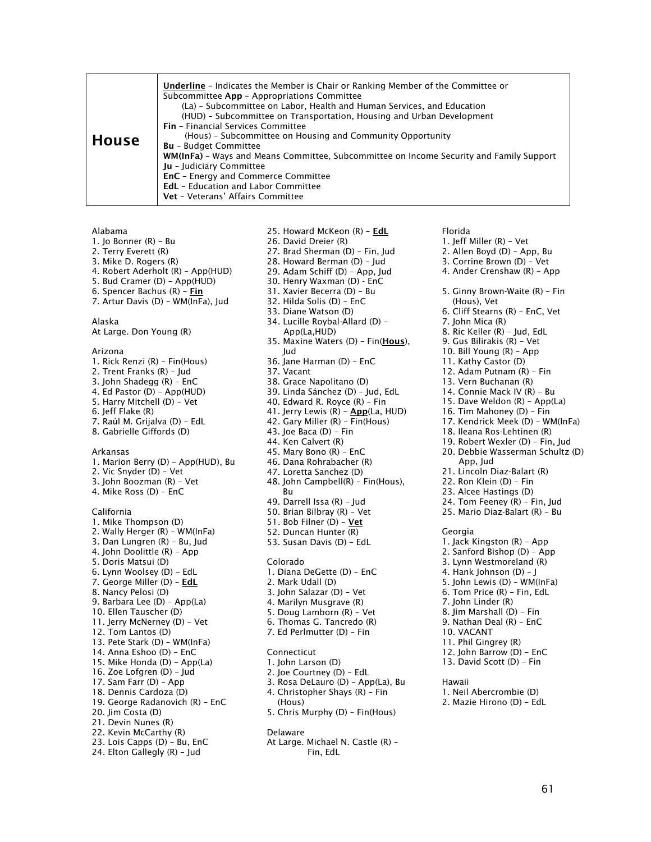#### Alabama

- 1. Jo Bonner (R) Bu
- 2. Terry Everett (R)
- 3. Mike D. Rogers (R)
- 4. Robert Aderholt (R) App(HUD)
- 5. Bud Cramer (D) App(HUD)
- 6. Spencer Bachus (R) Fin
- 7. Artur Davis (D) WM(InFa), Jud

#### Alaska

At Large. Don Young (R)

#### Arizona

- 1. Rick Renzi (R) Fin(Hous) 2. Trent Franks (R) – Jud 3. John Shadegg (R) – EnC 4. Ed Pastor (D) – App(HUD) 5. Harry Mitchell (D) – Vet 6. Jeff Flake (R) 7. Raúl M. Grijalva (D) – EdL 8. Gabrielle Giffords (D) Arkansas 1. Marion Berry (D) – App(HUD), Bu 2. Vic Snyder (D) – Vet 3. John Boozman (R) – Vet 4. Mike Ross (D) – EnC California 1. Mike Thompson (D) 2. Wally Herger (R) – WM(InFa) 3. Dan Lungren (R) – Bu, Jud
- 4. John Doolittle (R) App 5. Doris Matsui (D) 6. Lynn Woolsey (D) – EdL 7. George Miller (D) - EdL 8. Nancy Pelosi (D) 9. Barbara Lee (D) – App(La) 10. Ellen Tauscher (D) 11. Jerry McNerney (D) – Vet 12. Tom Lantos (D) 13. Pete Stark (D) – WM(InFa) 14. Anna Eshoo (D) – EnC 15. Mike Honda (D) – App(La) 16. Zoe Lofgren (D) – Jud
- 17. Sam Farr (D) App 18. Dennis Cardoza (D)
- 19. George Radanovich (R) EnC
- 20. Jim Costa (D)
- 21. Devin Nunes (R)
- 22. Kevin McCarthy (R)
- 23. Lois Capps (D) Bu, EnC
- 24. Elton Gallegly (R) Jud
- 25. Howard McKeon (R) EdL
- 26. David Dreier (R)
- 27. Brad Sherman (D) Fin, Jud
- 28. Howard Berman (D) Jud
- 29. Adam Schiff (D) App, Jud
- 30. Henry Waxman (D) EnC
- 31. Xavier Becerra (D) Bu
- 32. Hilda Solis (D) EnC
- 33. Diane Watson (D)
- 34. Lucille Roybal-Allard (D)
	- App(La,HUD)
- 35. Maxine Waters (D) Fin(Hous), Jud
- 36. Jane Harman (D) EnC
- 37. Vacant
- 38. Grace Napolitano (D)
- 39. Linda Sánchez (D) Jud, EdL
- 40. Edward R. Royce (R) Fin
- 41. Jerry Lewis (R) App(La, HUD)
- 42. Gary Miller (R) Fin(Hous)
- 43. Joe Baca (D) Fin
- 44. Ken Calvert (R)
- 45. Mary Bono (R) EnC
- 46. Dana Rohrabacher (R)
- 47. Loretta Sanchez (D)
- 48. John Campbell(R) Fin(Hous), Bu
- 49. Darrell Issa (R) Jud
- 50. Brian Bilbray (R) Vet
- 51. Bob Filner (D) Vet
- 52. Duncan Hunter (R)
- 53. Susan Davis (D) EdL

#### Colorado

- 1. Diana DeGette (D) EnC 2. Mark Udall (D)
- 3. John Salazar (D) Vet
- 4. Marilyn Musgrave (R)
- 5. Doug Lamborn (R) Vet
- 6. Thomas G. Tancredo (R)
- 7. Ed Perlmutter (D) Fin
- Connecticut
- 1. John Larson (D)
- 2. Joe Courtney (D) EdL
- 3. Rosa DeLauro (D) App(La), Bu
- 4. Christopher Shays (R) Fin
- (Hous)
- 5. Chris Murphy (D) Fin(Hous)
- Delaware
- At Large. Michael N. Castle (R) Fin, EdL

Florida

- 1. Jeff Miller (R) Vet
- 2. Allen Boyd (D) App, Bu
- 3. Corrine Brown (D) Vet
- 4. Ander Crenshaw (R) App
- 5. Ginny Brown-Waite (R) Fin (Hous), Vet
- 6. Cliff Stearns (R) EnC, Vet
- 7. John Mica (R)
- 8. Ric Keller (R) Jud, EdL
- 9. Gus Bilirakis (R) Vet
- 10. Bill Young (R) App
- 11. Kathy Castor (D)
- 12. Adam Putnam (R) Fin
- 13. Vern Buchanan (R)
- 14. Connie Mack IV (R) Bu
- 15. Dave Weldon (R) App(La)
- 16. Tim Mahoney (D) Fin
- 17. Kendrick Meek (D) WM(InFa)
- 18. Ileana Ros-Lehtinen (R)
- 19. Robert Wexler (D) Fin, Jud
- 20. Debbie Wasserman Schultz (D) App, Jud
- 21. Lincoln Diaz-Balart (R)
- 22. Ron Klein (D) Fin
- 23. Alcee Hastings (D)
- 24. Tom Feeney (R) Fin, Jud
- 25. Mario Diaz-Balart (R) Bu
- **Georgia**
- 1. Jack Kingston (R) App 2. Sanford Bishop (D) – App 3. Lynn Westmoreland (R) 4. Hank Johnson (D) – J 5. John Lewis (D) – WM(InFa) 6. Tom Price (R) – Fin, EdL 7. John Linder (R) 8. Jim Marshall (D) – Fin 9. Nathan Deal (R) – EnC 10. VACANT 11. Phil Gingrey (R) 12. John Barrow (D) – EnC 13. David Scott (D) – Fin Hawaii 1. Neil Abercrombie (D) 2. Mazie Hirono (D) – EdL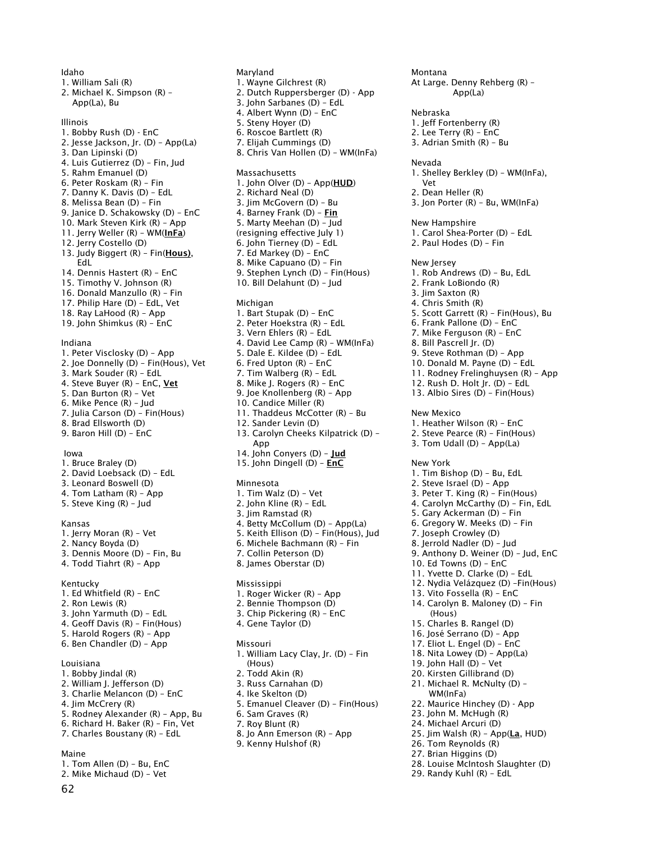Idaho 1. William Sali (R) 2. Michael K. Simpson (R) – App(La), Bu Illinois 1. Bobby Rush (D) - EnC 2. Jesse Jackson, Jr. (D) – App(La) 3. Dan Lipinski (D) 4. Luis Gutierrez (D) – Fin, Jud 5. Rahm Emanuel (D) 6. Peter Roskam (R) – Fin 7. Danny K. Davis (D) – EdL 8. Melissa Bean (D) – Fin 9. Janice D. Schakowsky (D) – EnC 10. Mark Steven Kirk (R) – App 11. Jerry Weller (R) - WM(InFa) 12. Jerry Costello (D) 13. Judy Biggert (R) - Fin(Hous), EdL 14. Dennis Hastert (R) – EnC 15. Timothy V. Johnson (R) 16. Donald Manzullo (R) – Fin 17. Philip Hare (D) – EdL, Vet 18. Ray LaHood (R) – App 19. John Shimkus (R) – EnC Indiana 1. Peter Visclosky (D) – App 2. Joe Donnelly (D) – Fin(Hous), Vet 3. Mark Souder (R) – EdL 4. Steve Buyer (R) - EnC, Vet 5. Dan Burton (R) – Vet 6. Mike Pence (R) – Jud 7. Julia Carson (D) – Fin(Hous) 8. Brad Ellsworth (D) 9. Baron Hill (D) – EnC Iowa 1. Bruce Braley (D) 2. David Loebsack (D) – EdL 3. Leonard Boswell (D) 4. Tom Latham (R) – App 5. Steve King (R) – Jud Kansas 1. Jerry Moran (R) – Vet 2. Nancy Boyda (D) 3. Dennis Moore (D) – Fin, Bu 4. Todd Tiahrt (R) – App Kentucky 1. Ed Whitfield (R) – EnC 2. Ron Lewis (R) 3. John Yarmuth (D) – EdL 4. Geoff Davis (R) – Fin(Hous) 5. Harold Rogers (R) – App 6. Ben Chandler (D) – App Louisiana 1. Bobby Jindal (R) 2. William J. Jefferson (D) 3. Charlie Melancon (D) – EnC 4. Jim McCrery (R) 5. Rodney Alexander (R) – App, Bu 6. Richard H. Baker (R) – Fin, Vet 7. Charles Boustany (R) – EdL Maine 1. Tom Allen (D) – Bu, EnC 2. Mike Michaud (D) – Vet

1. Wayne Gilchrest (R) 2. Dutch Ruppersberger (D) - App 3. John Sarbanes (D) – EdL 4. Albert Wynn (D) – EnC 5. Steny Hoyer (D) 6. Roscoe Bartlett (R) 7. Elijah Cummings (D) 8. Chris Van Hollen (D) – WM(InFa) Massachusetts 1. John Olver (D) - App(HUD) 2. Richard Neal (D) 3. Jim McGovern (D) – Bu 4. Barney Frank (D) – Fin 5. Marty Meehan (D) – Jud (resigning effective July 1) 6. John Tierney (D) – EdL 7. Ed Markey (D) – EnC 8. Mike Capuano (D) – Fin 9. Stephen Lynch (D) – Fin(Hous) 10. Bill Delahunt (D) – Jud 1. Bart Stupak (D) – EnC 2. Peter Hoekstra (R) – EdL 3. Vern Ehlers (R) – EdL 4. David Lee Camp (R) – WM(InFa) 5. Dale E. Kildee (D) – EdL 6. Fred Upton (R) – EnC 7. Tim Walberg (R) – EdL 8. Mike J. Rogers (R) – EnC 9. Joe Knollenberg (R) – App 10. Candice Miller (R) 11. Thaddeus McCotter (R) – Bu 12. Sander Levin (D) 13. Carolyn Cheeks Kilpatrick (D) – 14. John Conyers (D) - Jud 15. John Dingell (D) – EnC Minnesota 1. Tim Walz (D) – Vet 2. John Kline (R) – EdL 3. Jim Ramstad (R) 4. Betty McCollum (D) – App(La) 5. Keith Ellison (D) – Fin(Hous), Jud 6. Michele Bachmann (R) – Fin 7. Collin Peterson (D) 8. James Oberstar (D) Mississippi 1. Roger Wicker (R) – App 2. Bennie Thompson (D) 3. Chip Pickering (R) – EnC 4. Gene Taylor (D) 1. William Lacy Clay, Jr. (D) – Fin 2. Todd Akin (R) 3. Russ Carnahan (D) 4. Ike Skelton (D) 5. Emanuel Cleaver (D) – Fin(Hous) 6. Sam Graves (R) 7. Roy Blunt (R) 8. Jo Ann Emerson (R) – App 9. Kenny Hulshof (R) Montana At Large. Denny Rehberg (R) – Nebraska Nevada Vet

Maryland

Michigan

App

Missouri

(Hous)

1. Jeff Fortenberry (R) 2. Lee Terry (R) – EnC 3. Adrian Smith (R) – Bu 1. Shelley Berkley (D) – WM(InFa), 2. Dean Heller (R) 3. Jon Porter (R) – Bu, WM(InFa) New Hampshire 1. Carol Shea-Porter (D) – EdL 2. Paul Hodes (D) – Fin New Jersey 1. Rob Andrews (D) – Bu, EdL 2. Frank LoBiondo (R) 3. Jim Saxton (R) 4. Chris Smith (R) 5. Scott Garrett (R) – Fin(Hous), Bu 6. Frank Pallone (D) – EnC 7. Mike Ferguson (R) – EnC 8. Bill Pascrell Jr. (D) 9. Steve Rothman (D) – App 10. Donald M. Payne (D) – EdL 11. Rodney Frelinghuysen (R) – App 12. Rush D. Holt Jr. (D) – EdL 13. Albio Sires (D) – Fin(Hous) New Mexico 1. Heather Wilson (R) – EnC 2. Steve Pearce (R) – Fin(Hous) 3. Tom Udall (D) – App(La) New York 1. Tim Bishop (D) – Bu, EdL 2. Steve Israel (D) – App 3. Peter T. King (R) – Fin(Hous) 4. Carolyn McCarthy (D) – Fin, EdL 5. Gary Ackerman (D) – Fin 6. Gregory W. Meeks (D) – Fin 7. Joseph Crowley (D) 8. Jerrold Nadler (D) – Jud 9. Anthony D. Weiner (D) – Jud, EnC 10. Ed Towns (D) – EnC 11. Yvette D. Clarke (D) – EdL 12. Nydia Velázquez (D) –Fin(Hous) 13. Vito Fossella (R) – EnC 14. Carolyn B. Maloney (D) – Fin (Hous) 15. Charles B. Rangel (D) 16. José Serrano (D) – App 17. Eliot L. Engel (D) – EnC 18. Nita Lowey (D) – App(La) 19. John Hall (D) – Vet 20. Kirsten Gillibrand (D) 21. Michael R. McNulty (D) – WM(InFa) 22. Maurice Hinchey (D) - App 23. John M. McHugh (R) 24. Michael Arcuri (D) 25. Jim Walsh (R) - App(La, HUD) 26. Tom Reynolds (R) 27. Brian Higgins (D)

App(La)

- 28. Louise McIntosh Slaughter (D)
- 29. Randy Kuhl (R) EdL